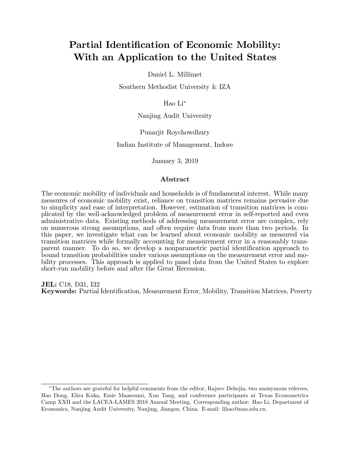# Partial Identification of Economic Mobility: With an Application to the United States

Daniel L. Millimet

Southern Methodist University & IZA

Hao Li

Nanjing Audit University

Punarjit Roychowdhury

Indian Institute of Management, Indore

January 3, 2019

#### Abstract

The economic mobility of individuals and households is of fundamental interest. While many measures of economic mobility exist, reliance on transition matrices remains pervasive due to simplicity and ease of interpretation. However, estimation of transition matrices is complicated by the well-acknowledged problem of measurement error in self-reported and even administrative data. Existing methods of addressing measurement error are complex, rely on numerous strong assumptions, and often require data from more than two periods. In this paper, we investigate what can be learned about economic mobility as measured via transition matrices while formally accounting for measurement error in a reasonably transparent manner. To do so, we develop a nonparametric partial identification approach to bound transition probabilities under various assumptions on the measurement error and mobility processes. This approach is applied to panel data from the United States to explore short-run mobility before and after the Great Recession.

JEL: C18, D31, I32 Keywords: Partial Identification, Measurement Error, Mobility, Transition Matrices, Poverty

The authors are grateful for helpful comments from the editor, Rajeev Dehejia, two anonymous referees, Hao Dong, Elira Kuka, Essie Maasoumi, Xun Tang, and conference participants at Texas Econometrics Camp XXII and the LACEA-LAMES 2018 Annual Meeting. Corresponding author: Hao Li, Department of Economics, Nanjing Audit University, Nanjing, Jiangsu, China. E-mail: lihao@nau.edu.cn.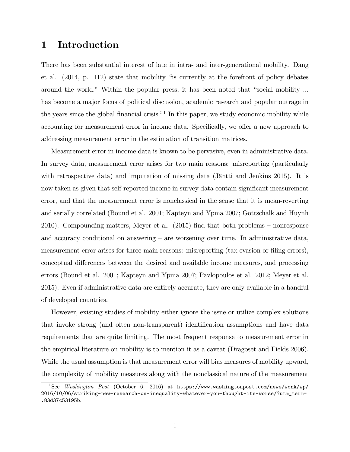## 1 Introduction

There has been substantial interest of late in intra- and inter-generational mobility. Dang et al.  $(2014, p. 112)$  state that mobility "is currently at the forefront of policy debates around the world." Within the popular press, it has been noted that "social mobility ... has become a major focus of political discussion, academic research and popular outrage in the years since the global financial crisis.<sup>"1</sup> In this paper, we study economic mobility while accounting for measurement error in income data. Specifically, we offer a new approach to addressing measurement error in the estimation of transition matrices.

Measurement error in income data is known to be pervasive, even in administrative data. In survey data, measurement error arises for two main reasons: misreporting (particularly with retrospective data) and imputation of missing data (Jäntti and Jenkins 2015). It is now taken as given that self-reported income in survey data contain significant measurement error, and that the measurement error is nonclassical in the sense that it is mean-reverting and serially correlated (Bound et al. 2001; Kapteyn and Ypma 2007; Gottschalk and Huynh 2010). Compounding matters, Meyer et al.  $(2015)$  find that both problems – nonresponse and accuracy conditional on answering  $-$  are worsening over time. In administrative data, measurement error arises for three main reasons: misreporting (tax evasion or filing errors), conceptual differences between the desired and available income measures, and processing errors (Bound et al. 2001; Kapteyn and Ypma 2007; Pavlopoulos et al. 2012; Meyer et al. 2015). Even if administrative data are entirely accurate, they are only available in a handful of developed countries.

However, existing studies of mobility either ignore the issue or utilize complex solutions that invoke strong (and often non-transparent) identification assumptions and have data requirements that are quite limiting. The most frequent response to measurement error in the empirical literature on mobility is to mention it as a caveat (Dragoset and Fields 2006). While the usual assumption is that measurement error will bias measures of mobility upward, the complexity of mobility measures along with the nonclassical nature of the measurement

<sup>&</sup>lt;sup>1</sup>See *Washington Post* (October 6, 2016) at  $https://www.washingtonpost.com/news/work/wp/$ 2016/10/06/striking-new-research-on-inequality-whatever-you-thought-its-worse/?utm\_term= .83d37c53195b.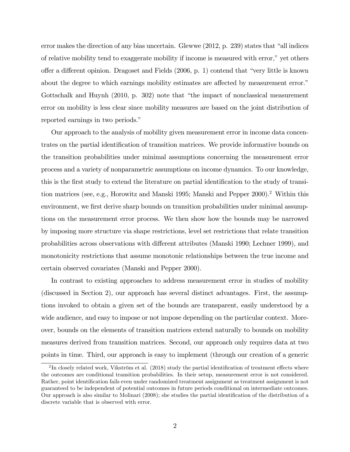error makes the direction of any bias uncertain. Glewwe  $(2012, p. 239)$  states that "all indices" of relative mobility tend to exaggerate mobility if income is measured with error,î yet others offer a different opinion. Dragoset and Fields  $(2006, p. 1)$  contend that "very little is known" about the degree to which earnings mobility estimates are affected by measurement error.<sup>"</sup> Gottschalk and Huynh  $(2010, p. 302)$  note that "the impact of nonclassical measurement" error on mobility is less clear since mobility measures are based on the joint distribution of reported earnings in two periods."

Our approach to the analysis of mobility given measurement error in income data concentrates on the partial identification of transition matrices. We provide informative bounds on the transition probabilities under minimal assumptions concerning the measurement error process and a variety of nonparametric assumptions on income dynamics. To our knowledge, this is the first study to extend the literature on partial identification to the study of transition matrices (see, e.g., Horowitz and Manski 1995; Manski and Pepper 2000).<sup>2</sup> Within this environment, we first derive sharp bounds on transition probabilities under minimal assumptions on the measurement error process. We then show how the bounds may be narrowed by imposing more structure via shape restrictions, level set restrictions that relate transition probabilities across observations with different attributes (Manski 1990; Lechner 1999), and monotonicity restrictions that assume monotonic relationships between the true income and certain observed covariates (Manski and Pepper 2000).

In contrast to existing approaches to address measurement error in studies of mobility (discussed in Section 2), our approach has several distinct advantages. First, the assumptions invoked to obtain a given set of the bounds are transparent, easily understood by a wide audience, and easy to impose or not impose depending on the particular context. Moreover, bounds on the elements of transition matrices extend naturally to bounds on mobility measures derived from transition matrices. Second, our approach only requires data at two points in time. Third, our approach is easy to implement (through our creation of a generic

 ${}^{2}\text{In}$  closely related work, Vikström et al. (2018) study the partial identification of treatment effects where the outcomes are conditional transition probabilities. In their setup, measurement error is not considered. Rather, point identification fails even under randomized treatment assignment as treatment assignment is not guaranteed to be independent of potential outcomes in future periods conditional on intermediate outcomes. Our approach is also similar to Molinari (2008); she studies the partial identification of the distribution of a discrete variable that is observed with error.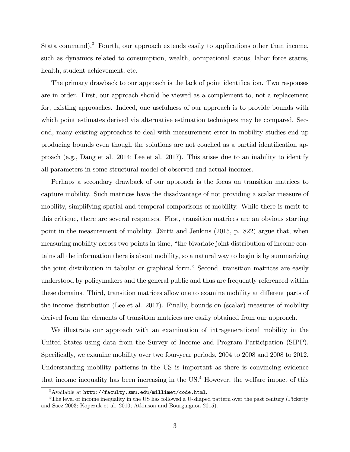Stata command).<sup>3</sup> Fourth, our approach extends easily to applications other than income, such as dynamics related to consumption, wealth, occupational status, labor force status, health, student achievement, etc.

The primary drawback to our approach is the lack of point identification. Two responses are in order. First, our approach should be viewed as a complement to, not a replacement for, existing approaches. Indeed, one usefulness of our approach is to provide bounds with which point estimates derived via alternative estimation techniques may be compared. Second, many existing approaches to deal with measurement error in mobility studies end up producing bounds even though the solutions are not couched as a partial identification approach (e.g., Dang et al. 2014; Lee et al. 2017). This arises due to an inability to identify all parameters in some structural model of observed and actual incomes.

Perhaps a secondary drawback of our approach is the focus on transition matrices to capture mobility. Such matrices have the disadvantage of not providing a scalar measure of mobility, simplifying spatial and temporal comparisons of mobility. While there is merit to this critique, there are several responses. First, transition matrices are an obvious starting point in the measurement of mobility. Jäntti and Jenkins  $(2015, p. 822)$  argue that, when measuring mobility across two points in time, "the bivariate joint distribution of income contains all the information there is about mobility, so a natural way to begin is by summarizing the joint distribution in tabular or graphical form." Second, transition matrices are easily understood by policymakers and the general public and thus are frequently referenced within these domains. Third, transition matrices allow one to examine mobility at different parts of the income distribution (Lee et al. 2017). Finally, bounds on (scalar) measures of mobility derived from the elements of transition matrices are easily obtained from our approach.

We illustrate our approach with an examination of intragenerational mobility in the United States using data from the Survey of Income and Program Participation (SIPP). Specifically, we examine mobility over two four-year periods, 2004 to 2008 and 2008 to 2012. Understanding mobility patterns in the US is important as there is convincing evidence that income inequality has been increasing in the US.<sup>4</sup> However, the welfare impact of this

<sup>3</sup>Available at http://faculty.smu.edu/millimet/code.html.

<sup>&</sup>lt;sup>4</sup>The level of income inequality in the US has followed a U-shaped pattern over the past century (Picketty and Saez 2003; Kopczuk et al. 2010; Atkinson and Bourguignon 2015).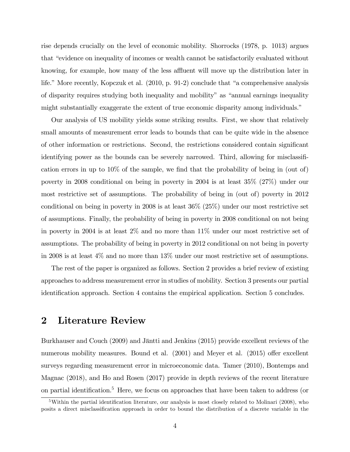rise depends crucially on the level of economic mobility. Shorrocks (1978, p. 1013) argues that "evidence on inequality of incomes or wealth cannot be satisfactorily evaluated without knowing, for example, how many of the less affluent will move up the distribution later in life." More recently, Kopczuk et al.  $(2010, p. 91-2)$  conclude that "a comprehensive analysis of disparity requires studying both inequality and mobility" as "annual earnings inequality might substantially exaggerate the extent of true economic disparity among individuals."

Our analysis of US mobility yields some striking results. First, we show that relatively small amounts of measurement error leads to bounds that can be quite wide in the absence of other information or restrictions. Second, the restrictions considered contain significant identifying power as the bounds can be severely narrowed. Third, allowing for misclassification errors in up to  $10\%$  of the sample, we find that the probability of being in (out of) poverty in 2008 conditional on being in poverty in 2004 is at least 35% (27%) under our most restrictive set of assumptions. The probability of being in (out of) poverty in 2012 conditional on being in poverty in 2008 is at least 36% (25%) under our most restrictive set of assumptions. Finally, the probability of being in poverty in 2008 conditional on not being in poverty in 2004 is at least 2% and no more than 11% under our most restrictive set of assumptions. The probability of being in poverty in 2012 conditional on not being in poverty in 2008 is at least 4% and no more than 13% under our most restrictive set of assumptions.

The rest of the paper is organized as follows. Section 2 provides a brief review of existing approaches to address measurement error in studies of mobility. Section 3 presents our partial identification approach. Section 4 contains the empirical application. Section 5 concludes.

## 2 Literature Review

Burkhauser and Couch (2009) and Jäntti and Jenkins (2015) provide excellent reviews of the numerous mobility measures. Bound et al.  $(2001)$  and Meyer et al.  $(2015)$  offer excellent surveys regarding measurement error in microeconomic data. Tamer (2010), Bontemps and Magnac (2018), and Ho and Rosen (2017) provide in depth reviews of the recent literature on partial identification.<sup>5</sup> Here, we focus on approaches that have been taken to address (or

<sup>&</sup>lt;sup>5</sup>Within the partial identification literature, our analysis is most closely related to Molinari (2008), who posits a direct misclassification approach in order to bound the distribution of a discrete variable in the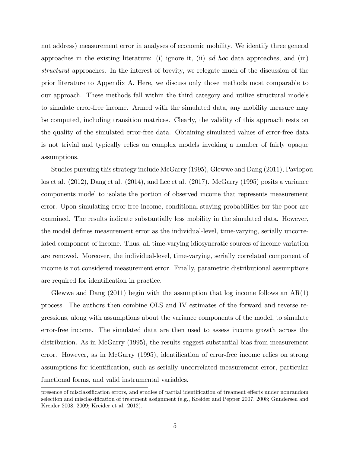not address) measurement error in analyses of economic mobility. We identify three general approaches in the existing literature: (i) ignore it, (ii)  $ad hoc$  data approaches, and (iii) structural approaches. In the interest of brevity, we relegate much of the discussion of the prior literature to Appendix A. Here, we discuss only those methods most comparable to our approach. These methods fall within the third category and utilize structural models to simulate error-free income. Armed with the simulated data, any mobility measure may be computed, including transition matrices. Clearly, the validity of this approach rests on the quality of the simulated error-free data. Obtaining simulated values of error-free data is not trivial and typically relies on complex models invoking a number of fairly opaque assumptions.

Studies pursuing this strategy include McGarry (1995), Glewwe and Dang (2011), Pavlopoulos et al. (2012), Dang et al. (2014), and Lee et al. (2017). McGarry (1995) posits a variance components model to isolate the portion of observed income that represents measurement error. Upon simulating error-free income, conditional staying probabilities for the poor are examined. The results indicate substantially less mobility in the simulated data. However, the model defines measurement error as the individual-level, time-varying, serially uncorrelated component of income. Thus, all time-varying idiosyncratic sources of income variation are removed. Moreover, the individual-level, time-varying, serially correlated component of income is not considered measurement error. Finally, parametric distributional assumptions are required for identification in practice.

Glewwe and Dang  $(2011)$  begin with the assumption that log income follows an  $AR(1)$ process. The authors then combine OLS and IV estimates of the forward and reverse regressions, along with assumptions about the variance components of the model, to simulate error-free income. The simulated data are then used to assess income growth across the distribution. As in McGarry (1995), the results suggest substantial bias from measurement error. However, as in McGarry (1995), identification of error-free income relies on strong assumptions for identification, such as serially uncorrelated measurement error, particular functional forms, and valid instrumental variables.

presence of misclassification errors, and studies of partial identification of treament effects under nonrandom selection and misclassification of treatment assignment (e.g., Kreider and Pepper 2007, 2008; Gundersen and Kreider 2008, 2009; Kreider et al. 2012).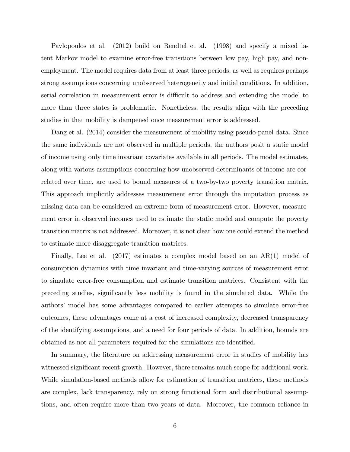Pavlopoulos et al. (2012) build on Rendtel et al. (1998) and specify a mixed latent Markov model to examine error-free transitions between low pay, high pay, and nonemployment. The model requires data from at least three periods, as well as requires perhaps strong assumptions concerning unobserved heterogeneity and initial conditions. In addition, serial correlation in measurement error is difficult to address and extending the model to more than three states is problematic. Nonetheless, the results align with the preceding studies in that mobility is dampened once measurement error is addressed.

Dang et al. (2014) consider the measurement of mobility using pseudo-panel data. Since the same individuals are not observed in multiple periods, the authors posit a static model of income using only time invariant covariates available in all periods. The model estimates, along with various assumptions concerning how unobserved determinants of income are correlated over time, are used to bound measures of a two-by-two poverty transition matrix. This approach implicitly addresses measurement error through the imputation process as missing data can be considered an extreme form of measurement error. However, measurement error in observed incomes used to estimate the static model and compute the poverty transition matrix is not addressed. Moreover, it is not clear how one could extend the method to estimate more disaggregate transition matrices.

Finally, Lee et al. (2017) estimates a complex model based on an AR(1) model of consumption dynamics with time invariant and time-varying sources of measurement error to simulate error-free consumption and estimate transition matrices. Consistent with the preceding studies, significantly less mobility is found in the simulated data. While the authors' model has some advantages compared to earlier attempts to simulate error-free outcomes, these advantages come at a cost of increased complexity, decreased transparency of the identifying assumptions, and a need for four periods of data. In addition, bounds are obtained as not all parameters required for the simulations are identified.

In summary, the literature on addressing measurement error in studies of mobility has witnessed significant recent growth. However, there remains much scope for additional work. While simulation-based methods allow for estimation of transition matrices, these methods are complex, lack transparency, rely on strong functional form and distributional assumptions, and often require more than two years of data. Moreover, the common reliance in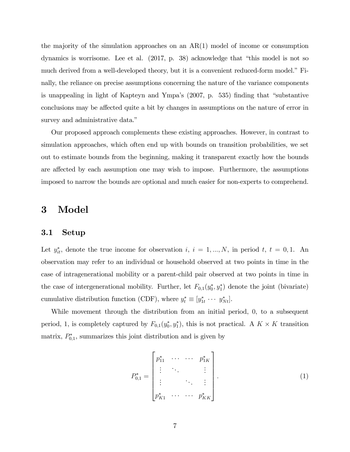the majority of the simulation approaches on an  $AR(1)$  model of income or consumption dynamics is worrisome. Lee et al.  $(2017, p. 38)$  acknowledge that "this model is not so much derived from a well-developed theory, but it is a convenient reduced-form model." Finally, the reliance on precise assumptions concerning the nature of the variance components is unappealing in light of Kapteyn and Ympa's  $(2007, p. 535)$  finding that "substantive conclusions may be affected quite a bit by changes in assumptions on the nature of error in survey and administrative data."

Our proposed approach complements these existing approaches. However, in contrast to simulation approaches, which often end up with bounds on transition probabilities, we set out to estimate bounds from the beginning, making it transparent exactly how the bounds are affected by each assumption one may wish to impose. Furthermore, the assumptions imposed to narrow the bounds are optional and much easier for non-experts to comprehend.

## 3 Model

#### 3.1 Setup

Let  $y_{it}^*$ , denote the true income for observation i,  $i = 1, ..., N$ , in period t,  $t = 0, 1$ . An observation may refer to an individual or household observed at two points in time in the case of intragenerational mobility or a parent-child pair observed at two points in time in the case of intergenerational mobility. Further, let  $F_{0,1}(y_0^*, y_1^*)$  denote the joint (bivariate) cumulative distribution function (CDF), where  $y_t^* \equiv [y_{1t}^* \cdots y_{Nt}^*].$ 

While movement through the distribution from an initial period, 0, to a subsequent period, 1, is completely captured by  $F_{0,1}(y_0^*, y_1^*)$ , this is not practical. A  $K \times K$  transition matrix,  $P_{0,1}^*$ , summarizes this joint distribution and is given by

$$
P_{0,1}^{*} = \begin{bmatrix} p_{11}^{*} & \cdots & \cdots & p_{1K}^{*} \\ \vdots & \ddots & & \vdots \\ \vdots & & \ddots & \vdots \\ p_{K1}^{*} & \cdots & \cdots & p_{KK}^{*} \end{bmatrix} .
$$
 (1)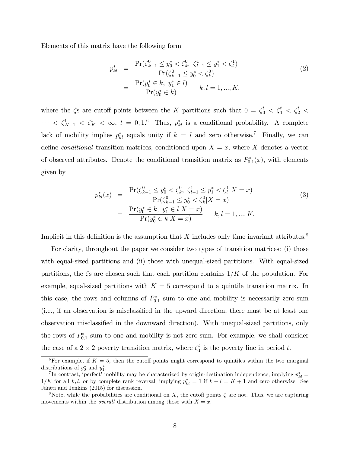Elements of this matrix have the following form

$$
p_{kl}^* = \frac{\Pr(\zeta_{k-1}^0 \le y_0^* < \zeta_k^0, \zeta_{l-1}^1 \le y_1^* < \zeta_l^1)}{\Pr(\zeta_{k-1}^0 \le y_0^* < \zeta_k^0)} \\
= \frac{\Pr(y_0^* \in k, y_1^* \in l)}{\Pr(y_0^* \in k)} \qquad k, l = 1, ..., K,
$$
\n(2)

where the  $\zeta$  are cutoff points between the K partitions such that  $0 = \zeta_0^t < \zeta_1^t < \zeta_2^t < \zeta_3^t$  $\cdots < \zeta_{K-1}^t < \zeta_K^t < \infty$ ,  $t = 0, 1.^6$  Thus,  $p_{kl}^*$  is a conditional probability. A complete lack of mobility implies  $p_{kl}^*$  equals unity if  $k = l$  and zero otherwise.<sup>7</sup> Finally, we can define *conditional* transition matrices, conditioned upon  $X = x$ , where X denotes a vector of observed attributes. Denote the conditional transition matrix as  $P_{0,1}^*(x)$ , with elements given by

$$
p_{kl}^*(x) = \frac{\Pr(\zeta_{k-1}^0 \le y_0^* < \zeta_k^0, \ \zeta_{l-1}^1 \le y_1^* < \zeta_l^1 | X = x)}{\Pr(\zeta_{k-1}^0 \le y_0^* < \zeta_k^0 | X = x)} \\
= \frac{\Pr(y_0^* \in k, \ y_1^* \in l | X = x)}{\Pr(y_0^* \in k | X = x)} \quad k, l = 1, ..., K.
$$
\n(3)

Implicit in this definition is the assumption that  $X$  includes only time invariant attributes.<sup>8</sup>

For clarity, throughout the paper we consider two types of transition matrices: (i) those with equal-sized partitions and (ii) those with unequal-sized partitions. With equal-sized partitions, the  $\zeta$  are chosen such that each partition contains  $1/K$  of the population. For example, equal-sized partitions with  $K = 5$  correspond to a quintile transition matrix. In this case, the rows and columns of  $P_{0,1}^*$  sum to one and mobility is necessarily zero-sum (i.e., if an observation is misclassified in the upward direction, there must be at least one observation misclassified in the downward direction). With unequal-sized partitions, only the rows of  $P_{0,1}^*$  sum to one and mobility is not zero-sum. For example, we shall consider the case of a  $2 \times 2$  poverty transition matrix, where  $\zeta_1^t$  $i_1$  is the poverty line in period t.

<sup>&</sup>lt;sup>6</sup>For example, if  $K = 5$ , then the cutoff points might correspond to quintiles within the two marginal distributions of  $y_0^*$  and  $y_1^*$ .

<sup>&</sup>lt;sup>7</sup>In contrast, 'perfect' mobility may be characterized by origin-destination independence, implying  $p_{kl}^* =$  $1/K$  for all k, l, or by complete rank reversal, implying  $p_{kl}^* = 1$  if  $k + l = K + 1$  and zero otherwise. See Jäntti and Jenkins (2015) for discussion.

<sup>&</sup>lt;sup>8</sup>Note, while the probabilities are conditional on X, the cutoff points  $\zeta$  are not. Thus, we are capturing movements within the *overall* distribution among those with  $X = x$ .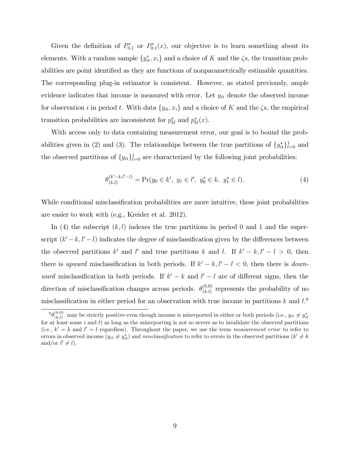Given the definition of  $P_{0,1}^*$  or  $P_{0,1}^*(x)$ , our objective is to learn something about its elements. With a random sample  $\{y_{it}^*, x_i\}$  and a choice of K and the  $\zeta$ s, the transition probabilities are point identified as they are functions of nonparametrically estimable quantities. The corresponding plug-in estimator is consistent. However, as stated previously, ample evidence indicates that income is measured with error. Let  $y_{it}$  denote the observed income for observation i in period t. With data  $\{y_{it}, x_i\}$  and a choice of K and the  $\zeta$ s, the empirical transition probabilities are inconsistent for  $p_{kl}^*$  and  $p_{kl}^*(x)$ .

With access only to data containing measurement error, our goal is to bound the probabilities given in (2) and (3). The relationships between the true partitions of  $\{y_{it}^*\}_{t=0}^1$  and the observed partitions of  $\{y_{it}\}_{t=0}^1$  are characterized by the following joint probabilities:

$$
\theta_{(k,l)}^{(k'-k,l'-l)} = \Pr(y_0 \in k', \ y_1 \in l', \ y_0^* \in k, \ y_1^* \in l). \tag{4}
$$

While conditional misclassification probabilities are more intuitive, these joint probabilities are easier to work with (e.g., Kreider et al. 2012).

In (4) the subscript  $(k, l)$  indexes the true partitions in period 0 and 1 and the superscript  $(k'-k, l'-l)$  indicates the degree of misclassification given by the differences between the observed partitions k' and l' and true partitions k and l. If  $k' - k$ ,  $l' - l > 0$ , then there is upward misclassification in both periods. If  $k' - k$ ,  $l' - l < 0$ , then there is *down*ward misclassification in both periods. If  $k' - k$  and  $l' - l$  are of different signs, then the direction of misclassification changes across periods.  $\theta_{(k)}^{(0,0)}$  $\binom{(0,0)}{(k,l)}$  represents the probability of no misclassification in either period for an observation with true income in partitions k and  $l$ <sup>9</sup>

 ${}^9\theta^{(0,0)}_{(k,l)}$  may be strictly positive even though income is misreported in either or both periods (i.e.,  $y_{it} \neq y_{it}^*$ for at least some i and t) as long as the misreporting is not so severe as to invalidate the observed partitions (i.e.,  $k' = k$  and  $l' = l$  regardless). Throughout the paper, we use the term measurement error to refer to errors in observed income  $(y_{it} \neq y_{it}^*)$  and *misclassification* to refer to errors in the observed partitions  $(k' \neq k)$ and/or  $l' \neq l$ .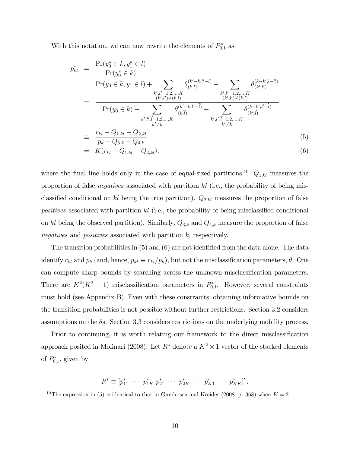With this notation, we can now rewrite the elements of  $P_{0,1}^*$  as

$$
p_{kl}^{*} = \frac{\Pr(y_0^* \in k, y_1^* \in l)}{\Pr(y_0 \in k, y_1 \in l) + \sum_{\substack{k', l' = 1, 2, ..., K \\ (k', l') \neq (k, l)}} \theta_{(k, l)}^{(k' - k, l' - l)} - \sum_{\substack{k', l' = 1, 2, ..., K \\ (k', l') \neq (k, l)}} \theta_{(k', l')}^{(k - k', l - l')}
$$
\n
$$
= \frac{\Pr(y_0 \in k) + \sum_{\substack{k', l' = 1, 2, ..., K \\ (k', l') \neq (k, l)}} \theta_{(k, l)}^{(k' - k, l' - l)} - \sum_{\substack{k', l', l' = 1, 2, ..., K \\ k' \neq k}} \theta_{(k', l)}^{(k - k', l' - l)}
$$
\n
$$
= \frac{r_{kl} + Q_{1,kl} - Q_{2,kl}}{p_k + Q_{3,k} - Q_{4,k}}
$$
\n
$$
= K(r_{kl} + Q_{1,kl} - Q_{2,kl}), \tag{6}
$$

where the final line holds only in the case of equal-sized partitions.<sup>10</sup>  $Q_{1,kl}$  measures the proportion of false *negatives* associated with partition kl (i.e., the probability of being misclassified conditional on kl being the true partition).  $Q_{2,kl}$  measures the proportion of false positives associated with partition  $kl$  (i.e., the probability of being misclassified conditional on kl being the observed partition). Similarly,  $Q_{3,k}$  and  $Q_{4,k}$  measure the proportion of false negatives and positives associated with partition k, respectively.

The transition probabilities in  $(5)$  and  $(6)$  are not identified from the data alone. The data identify  $r_{kl}$  and  $p_k$  (and, hence,  $p_{kl} \equiv r_{kl}/p_k$ ), but not the misclassification parameters,  $\theta$ . One can compute sharp bounds by searching across the unknown misclassification parameters. There are  $K^2(K^2-1)$  misclassification parameters in  $P_{0,1}^*$ . However, several constraints must hold (see Appendix B). Even with these constraints, obtaining informative bounds on the transition probabilities is not possible without further restrictions. Section 3.2 considers assumptions on the  $\theta$ s. Section 3.3 considers restrictions on the underlying mobility process.

Prior to continuing, it is worth relating our framework to the direct misclassification approach posited in Molinari (2008). Let  $R^*$  denote a  $K^2 \times 1$  vector of the stacked elements of  $P_{0,1}^*$ , given by

 $R^* \equiv [p_{11}^* \cdots p_{1K}^* p_{21}^* \cdots p_{2K}^* \cdots p_{K1}^* \cdots p_{KK}^*]'$ .

<sup>&</sup>lt;sup>10</sup>The expression in (5) is identical to that in Gundersen and Kreider (2008, p. 368) when  $K = 2$ .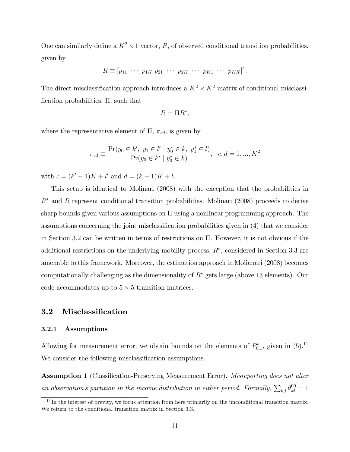One can similarly define a  $K^2 \times 1$  vector, R, of observed conditional transition probabilities, given by

$$
R \equiv [p_{11} \cdots p_{1K} p_{21} \cdots p_{2K} \cdots p_{K1} \cdots p_{KK}]'.
$$

The direct misclassification approach introduces a  $K^2 \times K^2$  matrix of conditional misclassification probabilities,  $\Pi$ , such that

$$
R=\Pi R^*,
$$

where the representative element of  $\Pi$ ,  $\pi_{cd}$ , is given by

$$
\pi_{cd} \equiv \frac{\Pr(y_0 \in k', y_1 \in l' \mid y_0^* \in k, y_1^* \in l)}{\Pr(y_0 \in k' \mid y_0^* \in k)} , \quad c, d = 1, ..., K^2
$$

with  $c = (k' - 1)K + l'$  and  $d = (k - 1)K + l$ .

This setup is identical to Molinari (2008) with the exception that the probabilities in  $R^*$  and R represent conditional transition probabilities. Molinari (2008) proceeds to derive sharp bounds given various assumptions on  $\Pi$  using a nonlinear programming approach. The assumptions concerning the joint misclassification probabilities given in (4) that we consider in Section 3.2 can be written in terms of restrictions on  $\Pi$ . However, it is not obvious if the additional restrictions on the underlying mobility process,  $R^*$ , considered in Section 3.3 are amenable to this framework. Moreover, the estimation approach in Molianari (2008) becomes computationally challenging as the dimensionality of  $R^*$  gets large (above 13 elements). Our code accommodates up to  $5 \times 5$  transition matrices.

## 3.2 Misclassification

### 3.2.1 Assumptions

Allowing for measurement error, we obtain bounds on the elements of  $P_{0,1}^*$ , given in (5).<sup>11</sup> We consider the following misclassification assumptions.

**Assumption 1** (Classification-Preserving Measurement Error). *Misreporting does not alter* an observation's partition in the income distribution in either period. Formally,  $\sum_{k,l} \theta_{kl}^{00} = 1$ 

 $11$ In the interest of brevity, we focus attention from here primarily on the unconditional transition matrix. We return to the conditional transition matrix in Section 3.3.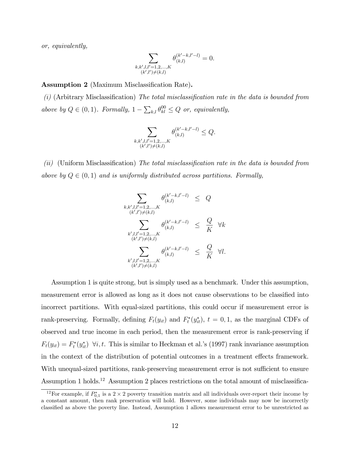or, equivalently,

$$
\sum_{\substack{k,k',l,l'=1,2,\ldots,K\\(k',l')\neq(k,l)}} \theta_{(k,l)}^{(k'-k,l'-l)} = 0.
$$

Assumption 2 (Maximum Misclassification Rate).

 $(i)$  (Arbitrary Misclassification) The total misclassification rate in the data is bounded from above by  $Q \in (0, 1)$ . Formally,  $1 - \sum_{k,l} \theta_{kl}^{00} \leq Q$  or, equivalently,

$$
\sum_{\substack{k,k',l,l'=1,2,\ldots,K\\(k',l')\neq(k,l)}} \theta_{(k,l)}^{(k'-k,l'-l)} \leq Q.
$$

(ii) (Uniform Misclassification) The total misclassification rate in the data is bounded from above by  $Q \in (0, 1)$  and is uniformly distributed across partitions. Formally,

$$
\sum_{\substack{k,k',l,l'=1,2,\ldots,K \\ (k',l')\neq (k,l)}} \theta_{(k,l)}^{(k'-k,l'-l)} \leq Q
$$
\n
$$
\sum_{\substack{k',l,l'=1,2,\ldots,K \\ (k',l')\neq (k,l)}} \theta_{(k,l)}^{(k'-k,l'-l)} \leq \frac{Q}{K} \quad \forall k
$$
\n
$$
\sum_{\substack{k',l,l'=1,2,\ldots,K \\ (k',l')\neq (k,l)}} \theta_{(k,l)}^{(k'-k,l'-l)} \leq \frac{Q}{K} \quad \forall l.
$$

Assumption 1 is quite strong, but is simply used as a benchmark. Under this assumption, measurement error is allowed as long as it does not cause observations to be classified into incorrect partitions. With equal-sized partitions, this could occur if measurement error is rank-preserving. Formally, defining  $F_t(y_{it})$  and  $F_t^*(y_{it}^*)$ ,  $t = 0, 1$ , as the marginal CDFs of observed and true income in each period, then the measurement error is rank-preserving if  $F_t(y_{it}) = F_t^*(y_{it}^*)$   $\forall i, t$ . This is similar to Heckman et al.'s (1997) rank invariance assumption in the context of the distribution of potential outcomes in a treatment effects framework. With unequal-sized partitions, rank-preserving measurement error is not sufficient to ensure Assumption 1 holds.<sup>12</sup> Assumption 2 places restrictions on the total amount of misclassifica-

<sup>&</sup>lt;sup>12</sup>For example, if  $P_{0,1}^*$  is a 2  $\times$  2 poverty transition matrix and all individuals over-report their income by a constant amount, then rank preservation will hold. However, some individuals may now be incorrectly classified as above the poverty line. Instead, Assumption 1 allows measurement error to be unrestricted as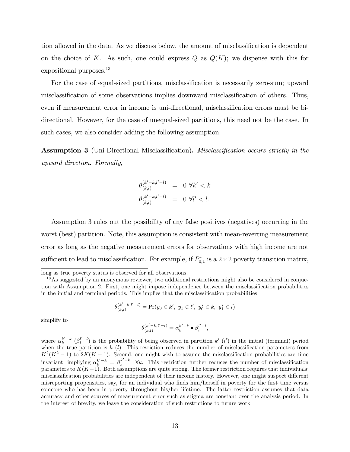tion allowed in the data. As we discuss below, the amount of misclassification is dependent on the choice of K. As such, one could express  $Q$  as  $Q(K)$ ; we dispense with this for expositional purposes.<sup>13</sup>

For the case of equal-sized partitions, misclassification is necessarily zero-sum; upward misclassification of some observations implies downward misclassification of others. Thus, even if measurement error in income is uni-directional, misclassification errors must be bidirectional. However, for the case of unequal-sized partitions, this need not be the case. In such cases, we also consider adding the following assumption.

Assumption 3 (Uni-Directional Misclassification). Misclassification occurs strictly in the upward direction. Formally,

$$
\begin{array}{rcl} \theta_{(k,l)}^{(k'-k,l'-l)} & = & 0 \ \forall k' < k \\ \theta_{(k,l)}^{(k'-k,l'-l)} & = & 0 \ \forall l' < l. \end{array}
$$

Assumption 3 rules out the possibility of any false positives (negatives) occurring in the worst (best) partition. Note, this assumption is consistent with mean-reverting measurement error as long as the negative measurement errors for observations with high income are not sufficient to lead to misclassification. For example, if  $P_{0,1}^*$  is a  $2 \times 2$  poverty transition matrix,

$$
\theta^{(k'-k,l'-l)}_{(k,l)} = \Pr(y_0 \in k',\ y_1 \in l',\ y_0^* \in k,\ y_1^* \in l)
$$

simplify to

$$
\theta_{(k,l)}^{(k'-k,l'-l)}=\alpha_k^{k'-k}\bullet\beta_l^{l'-l},
$$

where  $\alpha_k^{k'-k}$   $(\beta_l^{l'-l})$  is the probability of being observed in partition k'  $(l')$  in the initial (terminal) period when the true partition is  $k\ (l)$ . This resriction reduces the number of misclassification parameters from  $K^2(K^2-1)$  to  $2K(K-1)$ . Second, one might wish to assume the misclassification probabilities are time invariant, impliying  $\alpha_k^{k'-k} = \beta_k^{k'-k}$   $\forall k$ . This restriction further reduces the number of misclassification parameters to  $K(K-1)$ . Both assumptions are quite strong. The former restriction requires that individuals misclassification probabilities are independent of their income history. However, one might suspect different misreporting propensities, say, for an individual who finds him/herself in poverty for the first time versus someone who has been in poverty throughout his/her lifetime. The latter restriction assumes that data accuracy and other sources of measurement error such as stigma are constant over the analysis period. In the interest of brevity, we leave the consideration of such restrictions to future work.

long as true poverty status is observed for all observations.

 $13\,\text{As suggested by an anonymous reviewer, two additional restrictions might also be considered in conjugate.}$ tion with Assumption 2. First, one might impose independence between the misclassification probabilities in the initial and terminal periods. This implies that the misclassification probabilities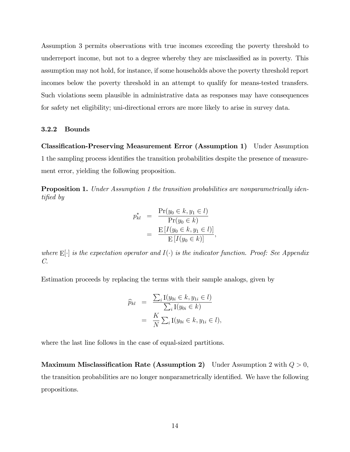Assumption 3 permits observations with true incomes exceeding the poverty threshold to underreport income, but not to a degree whereby they are misclassified as in poverty. This assumption may not hold, for instance, if some households above the poverty threshold report incomes below the poverty threshold in an attempt to qualify for means-tested transfers. Such violations seem plausible in administrative data as responses may have consequences for safety net eligibility; uni-directional errors are more likely to arise in survey data.

#### 3.2.2 Bounds

Classification-Preserving Measurement Error (Assumption 1) Under Assumption 1 the sampling process identifies the transition probabilities despite the presence of measurement error, yielding the following proposition.

**Proposition 1.** Under Assumption 1 the transition probabilities are nonparametrically identified by

$$
p_{kl}^* = \frac{\Pr(y_0 \in k, y_1 \in l)}{\Pr(y_0 \in k)} = \frac{\mathbb{E}[I(y_0 \in k, y_1 \in l)]}{\mathbb{E}[I(y_0 \in k)]},
$$

where  $E[\cdot]$  is the expectation operator and  $I(\cdot)$  is the indicator function. Proof: See Appendix C.

Estimation proceeds by replacing the terms with their sample analogs, given by

$$
\widehat{p}_{kl} = \frac{\sum_{i} \text{I}(y_{0i} \in k, y_{1i} \in l)}{\sum_{i} \text{I}(y_{0i} \in k)}
$$

$$
= \frac{K}{N} \sum_{i} \text{I}(y_{0i} \in k, y_{1i} \in l),
$$

where the last line follows in the case of equal-sized partitions.

Maximum Misclassification Rate (Assumption 2) Under Assumption 2 with  $Q > 0$ , the transition probabilities are no longer nonparametrically identified. We have the following propositions.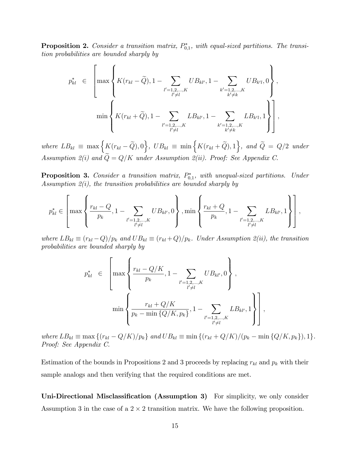**Proposition 2.** Consider a transition matrix,  $P_{0,1}^*$ , with equal-sized partitions. The transition probabilities are bounded sharply by

$$
p_{kl}^{*} \in \left[\max\left\{K(r_{kl} - \widetilde{Q}), 1 - \sum_{\substack{l'=1,2,\ldots,K \\ l'\neq l}}UB_{kl'}, 1 - \sum_{\substack{k'=1,2,\ldots,K \\ k'\neq k}}UB_{k'l}, 0\right\},\newline \min\left\{K(r_{kl} + \widetilde{Q}), 1 - \sum_{\substack{l'=1,2,\ldots,K \\ l'\neq l}}LB_{kl'}, 1 - \sum_{\substack{k'=1,2,\ldots,K \\ k'\neq k}}LB_{k'l}, 1\right\}\right],
$$

where  $LB_{kl} \equiv \max \Big\{ K(r_{kl} - \widetilde{Q}), 0 \Big\}, \ UB_{kl} \equiv \min \Big\{ K(r_{kl} + \widetilde{Q}), 1 \Big\}, \ and \ \widetilde{Q} = Q/2 \ under$ Assumption 2(i) and  $\widetilde{Q}=Q/K$  under Assumption 2(ii). Proof: See Appendix C.

**Proposition 3.** Consider a transition matrix,  $P_{0,1}^*$ , with unequal-sized partitions. Under Assumption  $2(i)$ , the transition probabilities are bounded sharply by

$$
p_{kl}^* \in \left[\max\left\{\frac{r_{kl}-Q}{p_k}, 1-\sum_{\substack{l'=1,2,\ldots,K \\ l'\neq l}}UB_{kl'},0\right\}, \min\left\{\frac{r_{kl}+Q}{p_k}, 1-\sum_{\substack{l'=1,2,\ldots,K \\ l'\neq l}}LB_{kl'},1\right\}\right],
$$

where  $LB_{kl} \equiv (r_{kl} - Q)/p_k$  and  $UB_{kl} \equiv (r_{kl} + Q)/p_k$ . Under Assumption 2(ii), the transition probabilities are bounded sharply by

$$
p_{kl}^{*} \in \left[\max\left\{\frac{r_{kl} - Q/K}{p_k}, 1 - \sum_{\substack{l'=1,2,\ldots,K \\ l'\neq l}} UB_{kl'}, 0\right\},\newline \min\left\{\frac{r_{kl} + Q/K}{p_k - \min\{Q/K, p_k\}}, 1 - \sum_{\substack{l'=1,2,\ldots,K \\ l'\neq l}} LB_{kl'}, 1\right\}\right],
$$

where  $LB_{kl} \equiv \max \{(r_{kl} - Q/K)/p_k\}$  and  $UB_{kl} \equiv \min \{(r_{kl} + Q/K)/(p_k - \min \{Q/K, p_k\}), 1\}.$ Proof: See Appendix C.

Estimation of the bounds in Propositions 2 and 3 proceeds by replacing  $r_{kl}$  and  $p_k$  with their sample analogs and then verifying that the required conditions are met.

Uni-Directional Misclassification (Assumption 3) For simplicity, we only consider Assumption 3 in the case of a  $2 \times 2$  transition matrix. We have the following proposition.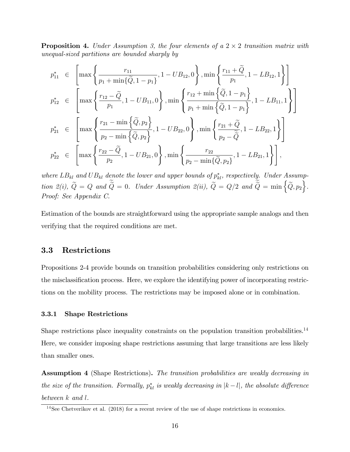**Proposition 4.** Under Assumption 3, the four elements of a  $2 \times 2$  transition matrix with unequal-sized partitions are bounded sharply by

$$
p_{11}^{*} \in \left[\max\left\{\frac{r_{11}}{p_1 + \min\{\tilde{Q}, 1 - p_1\}}, 1 - UB_{12}, 0\right\}, \min\left\{\frac{r_{11} + \tilde{Q}}{p_1}, 1 - LB_{12}, 1\right\}\right]
$$
  
\n
$$
p_{12}^{*} \in \left[\max\left\{\frac{r_{12} - \tilde{Q}}{p_1}, 1 - UB_{11}, 0\right\}, \min\left\{\frac{r_{12} + \min\{\tilde{Q}, 1 - p_1\}}{p_1 + \min\{\tilde{Q}, 1 - p_1\}}, 1 - LB_{11}, 1\right\}\right]
$$
  
\n
$$
p_{21}^{*} \in \left[\max\left\{\frac{r_{21} - \min\{\tilde{Q}, p_2\}}{p_2 - \min\{\tilde{Q}, p_2\}}, 1 - UB_{22}, 0\right\}, \min\left\{\frac{r_{21} + \tilde{Q}}{p_2 - \tilde{Q}}, 1 - LB_{22}, 1\right\}\right]
$$
  
\n
$$
p_{22}^{*} \in \left[\max\left\{\frac{r_{22} - \tilde{Q}}{p_2}, 1 - UB_{21}, 0\right\}, \min\left\{\frac{r_{22}}{p_2 - \min\{\tilde{Q}, p_2\}}, 1 - LB_{21}, 1\right\}\right],
$$

where  $LB_{kl}$  and  $UB_{kl}$  denote the lower and upper bounds of  $p_{kl}^*$ , respectively. Under Assumption 2(i),  $\widetilde{Q} = Q$  and  $\widetilde{\widetilde{Q}} = 0$ . Under Assumption 2(ii),  $\widetilde{Q} = Q/2$  and  $\widetilde{\widetilde{Q}} = \min\left\{\widetilde{Q}, p_2\right\}$ . Proof: See Appendix C.

Estimation of the bounds are straightforward using the appropriate sample analogs and then verifying that the required conditions are met.

### 3.3 Restrictions

Propositions 2-4 provide bounds on transition probabilities considering only restrictions on the misclassification process. Here, we explore the identifying power of incorporating restrictions on the mobility process. The restrictions may be imposed alone or in combination.

#### 3.3.1 Shape Restrictions

Shape restrictions place inequality constraints on the population transition probabilities.<sup>14</sup> Here, we consider imposing shape restrictions assuming that large transitions are less likely than smaller ones.

Assumption 4 (Shape Restrictions). The transition probabilities are weakly decreasing in the size of the transition. Formally,  $p_{kl}^*$  is weakly decreasing in  $|k-l|$ , the absolute difference between k and l.

 $14$ See Chetverikov et al. (2018) for a recent review of the use of shape restrictions in economics.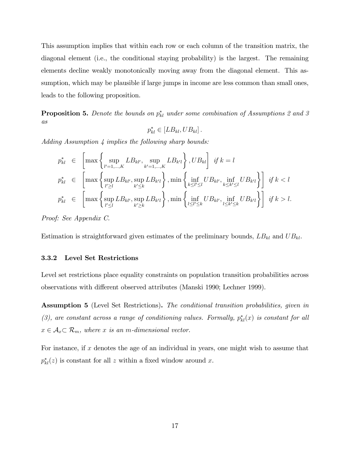This assumption implies that within each row or each column of the transition matrix, the diagonal element (i.e., the conditional staying probability) is the largest. The remaining elements decline weakly monotonically moving away from the diagonal element. This assumption, which may be plausible if large jumps in income are less common than small ones, leads to the following proposition.

**Proposition 5.** Denote the bounds on  $p_{kl}^*$  under some combination of Assumptions 2 and 3 as

$$
p_{kl}^* \in [LB_{kl}, UB_{kl}].
$$

Adding Assumption 4 implies the following sharp bounds:

$$
p_{kl}^{*} \in \left[\max\left\{\sup_{l'=1,\ldots,K}LB_{kl'},\sup_{k'=1,\ldots,K}LB_{k'l}\right\},UB_{kl}\right] \text{ if } k=l
$$
  

$$
p_{kl}^{*} \in \left[\max\left\{\sup_{l'\geq l}LB_{kl'},\sup_{k'\leq k}LB_{k'l}\right\},\min\left\{\inf_{k\leq l'\leq l}UB_{kl'},\inf_{k\leq k'\leq l}UB_{k'l}\right\}\right] \text{ if } k  

$$
p_{kl}^{*} \in \left[\max\left\{\sup_{l'\leq l}LB_{kl'},\sup_{k'\geq k}LB_{k'l}\right\},\min\left\{\inf_{l\leq l'\leq k}UB_{kl'},\inf_{l\leq k'\leq k}UB_{k'l}\right\}\right] \text{ if } k>l.
$$
$$

Proof: See Appendix C.

Estimation is straightforward given estimates of the preliminary bounds,  $LB_{kl}$  and  $UB_{kl}$ .

#### 3.3.2 Level Set Restrictions

Level set restrictions place equality constraints on population transition probabilities across observations with different observed attributes (Manski 1990; Lechner 1999).

Assumption 5 (Level Set Restrictions). The conditional transition probabilities, given in (3), are constant across a range of conditioning values. Formally,  $p_{kl}^*(x)$  is constant for all  $x \in A_x \subset \mathcal{R}_m$ , where x is an m-dimensional vector.

For instance, if x denotes the age of an individual in years, one might wish to assume that  $p_{kl}^*(z)$  is constant for all z within a fixed window around x.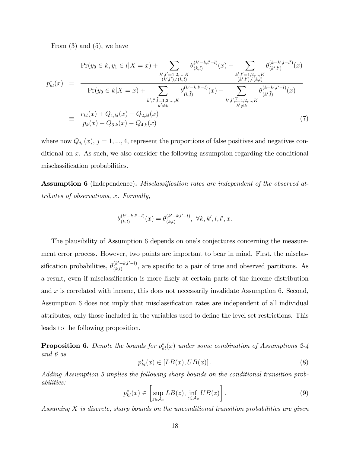From  $(3)$  and  $(5)$ , we have

$$
Pr(y_0 \in k, y_1 \in l | X = x) + \sum_{\substack{k', l' = 1, 2, ..., K \\ (k', l') \neq (k, l)}} \theta_{(k, l)}^{(k' - k, l' - l)}(x) - \sum_{\substack{k', l' = 1, 2, ..., K \\ (k', l') \neq (k, l)}} \theta_{(k', l')}^{(k - k, l' - l')}(x)
$$
\n
$$
Pr(y_0 \in k | X = x) + \sum_{\substack{k', l', l = 1, 2, ..., K \\ k' \neq k}} \theta_{(k, l)}^{(k' - k, l' - l)}(x) - \sum_{\substack{k', l', l = 1, 2, ..., K \\ (k', l') \neq (k, l)}} \theta_{(k', l)}^{(k - k', l' - l)}(x)
$$
\n
$$
\equiv \frac{r_{kl}(x) + Q_{1, kl}(x) - Q_{2, kl}(x)}{p_k(x) + Q_{3, k}(x) - Q_{4, k}(x)} \tag{7}
$$

where now  $Q_{j,:}(x)$ ,  $j = 1, ..., 4$ , represent the proportions of false positives and negatives conditional on x. As such, we also consider the following assumption regarding the conditional misclassification probabilities.

**Assumption 6** (Independence). *Misclassification rates are independent of the observed at*tributes of observations, x. Formally,

$$
\theta_{(k,l)}^{(k'-k,l'-l)}(x)=\theta_{(k,l)}^{(k'-k,l'-l)},\ \forall k,k',l,l',x.
$$

The plausibility of Assumption 6 depends on one's conjectures concerning the measurement error process. However, two points are important to bear in mind. First, the misclassification probabilities,  $\theta_{(k,l)}^{(k'-k,l'-l)}$  $(k-1)(k,l)$ , are specific to a pair of true and observed partitions. As a result, even if misclassification is more likely at certain parts of the income distribution and x is correlated with income, this does not necessarily invalidate Assumption 6. Second, Assumption 6 does not imply that misclassification rates are independent of all individual attributes, only those included in the variables used to define the level set restrictions. This leads to the following proposition.

**Proposition 6.** Denote the bounds for  $p_{kl}^*(x)$  under some combination of Assumptions 2-4 and 6 as

$$
p_{kl}^*(x) \in [LB(x), UB(x)].
$$
\n(8)

Adding Assumption 5 implies the following sharp bounds on the conditional transition probabilities:

$$
p_{kl}^*(x) \in \left[\sup_{z \in \mathcal{A}_x} LB(z), \inf_{z \in \mathcal{A}_x} UB(z)\right].
$$
 (9)

Assuming X is discrete, sharp bounds on the unconditional transition probabilities are given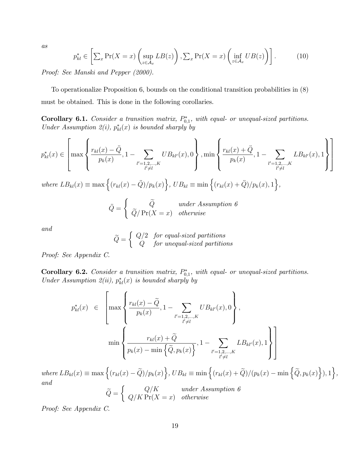as

$$
p_{kl}^* \in \left[ \sum_x \Pr(X = x) \left( \sup_{z \in \mathcal{A}_x} LB(z) \right), \sum_x \Pr(X = x) \left( \inf_{z \in \mathcal{A}_x} UB(z) \right) \right]. \tag{10}
$$

Proof: See Manski and Pepper (2000).

To operationalize Proposition 6, bounds on the conditional transition probabilities in (8) must be obtained. This is done in the following corollaries.

**Corollary 6.1.** Consider a transition matrix,  $P_{0,1}^*$ , with equal- or unequal-sized partitions. Under Assumption 2(i),  $p_{kl}^*(x)$  is bounded sharply by

$$
p_{kl}^*(x) \in \left[ \max\left\{ \frac{r_{kl}(x) - \ddot{Q}}{p_k(x)}, 1 - \sum_{\substack{l'=1,2,\ldots,K \\ l'\neq l}} UB_{kl'}(x), 0 \right\}, \min\left\{ \frac{r_{kl}(x) + \ddot{Q}}{p_k(x)}, 1 - \sum_{\substack{l'=1,2,\ldots,K \\ l'\neq l}} LB_{kl'}(x), 1 \right\} \right]
$$

where  $LB_{kl}(x) \equiv \max \left\{ (r_{kl}(x) - \ddot{Q})/p_k(x) \right\}$ ,  $UB_{kl} \equiv \min \left\{ (r_{kl}(x) + \ddot{Q})/p_k(x), 1 \right\}$ ,

$$
\ddot{Q} = \begin{cases} \ddot{Q} & under Assumption 6 \\ \ddot{Q}/\Pr(X = x) & otherwise \end{cases}
$$

and

$$
\widetilde{Q} = \left\{ \begin{array}{ll} Q/2 & \text{for equal-sized partitions} \\ Q & \text{for unequal-sized partitions} \end{array} \right.
$$

Proof: See Appendix C.

**Corollary 6.2.** Consider a transition matrix,  $P_{0,1}^*$ , with equal- or unequal-sized partitions. Under Assumption 2(ii),  $p_{kl}^*(x)$  is bounded sharply by

$$
p_{kl}^{*}(x) \in \left[\max\left\{\frac{r_{kl}(x) - \tilde{Q}}{p_k(x)}, 1 - \sum_{\substack{l'=1,2,\ldots,K \\ l'\neq l}} UB_{kl'}(x), 0\right\},\right] \newline \min\left\{\frac{r_{kl}(x) + \tilde{Q}}{p_k(x) - \min\left\{\tilde{Q}, p_k(x)\right\}}, 1 - \sum_{\substack{l'=1,2,\ldots,K \\ l'\neq l}} LB_{kl'}(x), 1\right\}\right]
$$

where  $LB_{kl}(x) \equiv \max \Big\{ (r_{kl}(x) - \widetilde{Q})/p_k(x) \Big\}, UB_{kl} \equiv \min \Big\{ (r_{kl}(x) + \widetilde{Q})/(p_k(x) - \min \Big\{ \widetilde{Q}, p_k(x) \Big\}), 1 \Big\},$ and

$$
\widetilde{Q} = \begin{cases} Q/K & under Assumption 6 \\ Q/K \Pr(X = x) & otherwise \end{cases}
$$

Proof: See Appendix C.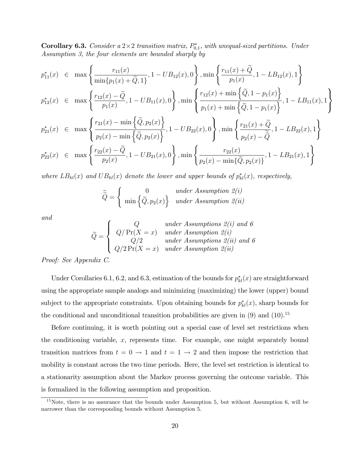**Corollary 6.3.** Consider a  $2 \times 2$  transition matrix,  $P_{0,1}^*$ , with unequal-sized partitions. Under Assumption 3, the four elements are bounded sharply by

$$
p_{11}^{*}(x) \in \max\left\{\frac{r_{11}(x)}{\min\{p_1(x) + \widetilde{Q}, 1\}}, 1 - UB_{12}(x), 0\right\}, \min\left\{\frac{r_{11}(x) + \widetilde{Q}}{p_1(x)}, 1 - LB_{12}(x), 1\right\}
$$

$$
\left\{\frac{r_{12}(x) - \widetilde{Q}}{r_{12}(x) - \widetilde{Q}}\right\} \in \left\{\frac{r_{12}(x) - \widetilde{Q}}{r_{12}(x) + \min\left\{\widetilde{Q}, 1 - p_1(x)\right\}}\right\}
$$

$$
p_{12}^*(x) \in \max\left\{\frac{r_{12}(x) - \tilde{Q}}{p_1(x)}, 1 - UB_{11}(x), 0\right\}, \min\left\{\frac{r_{12}(x) + \min\left\{\tilde{Q}, 1 - p_1(x)\right\}}{p_1(x) + \min\left\{\tilde{Q}, 1 - p_1(x)\right\}}, 1 - LB_{11}(x), 1\right\}
$$

$$
p_{21}^{*}(x) \in \max\left\{\frac{r_{21}(x) - \min\left\{\tilde{Q}, p_{2}(x)\right\}}{p_{2}(x) - \min\left\{\tilde{Q}, p_{2}(x)\right\}}, 1 - UB_{22}(x), 0\right\}, \min\left\{\frac{r_{21}(x) + \tilde{Q}}{p_{2}(x) - \tilde{Q}}, 1 - LB_{22}(x), 1\right\}
$$

$$
p_{22}^*(x) \in \max\left\{\frac{r_{22}(x) - \tilde{Q}}{p_2(x)}, 1 - UB_{21}(x), 0\right\}, \min\left\{\frac{r_{22}(x)}{p_2(x) - \min\{\tilde{Q}, p_2(x)\}}, 1 - LB_{21}(x), 1\right\}
$$

where  $LB_{kl}(x)$  and  $UB_{kl}(x)$  denote the lower and upper bounds of  $p_{kl}^*(x)$ , respectively,

$$
\widetilde{\widetilde{Q}} = \begin{cases}\n0 & under Assumption 2(i) \\
\min \left\{ \widetilde{Q}, p_2(x) \right\} & under Assumption 2(ii)\n\end{cases}
$$

and

$$
\widetilde{Q} = \begin{cases}\nQ & under Assumptions 2(i) \text{ and } 6 \\
Q/\Pr(X = x) & under Assumption 2(i) \\
Q/2 & under Assumptions 2(ii) \text{ and } 6 \\
Q/2\Pr(X = x) & under Assumption 2(ii)\n\end{cases}
$$

Proof: See Appendix C.

Under Corollaries 6.1, 6.2, and 6.3, estimation of the bounds for  $p_{kl}^*(x)$  are straightforward using the appropriate sample analogs and minimizing (maximizing) the lower (upper) bound subject to the appropriate constraints. Upon obtaining bounds for  $p_{kl}^*(x)$ , sharp bounds for the conditional and unconditional transition probabilities are given in  $(9)$  and  $(10)$ .<sup>15</sup>

Before continuing, it is worth pointing out a special case of level set restrictions when the conditioning variable, x, represents time. For example, one might separately bound transition matrices from  $t = 0 \rightarrow 1$  and  $t = 1 \rightarrow 2$  and then impose the restriction that mobility is constant across the two time periods. Here, the level set restriction is identical to a stationarity assumption about the Markov process governing the outcome variable. This is formalized in the following assumption and proposition.

<sup>&</sup>lt;sup>15</sup>Note, there is no assurance that the bounds under Assumption 5, but without Assumption 6, will be narrower than the corresponding bounds without Assumption 5.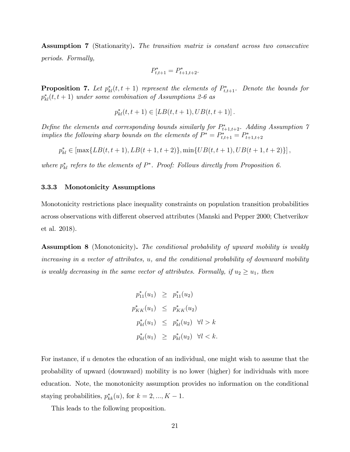Assumption 7 (Stationarity). The transition matrix is constant across two consecutive periods. Formally,

$$
P_{t,t+1}^* = P_{t+1,t+2}^*.
$$

**Proposition 7.** Let  $p_{kl}^*(t, t + 1)$  represent the elements of  $P_{t,t+1}^*$ . Denote the bounds for  $p_{kl}^*(t,t+1)$  under some combination of Assumptions 2-6 as

$$
p_{kl}^*(t,t+1) \in [LB(t,t+1),UB(t,t+1)]\,.
$$

Define the elements and corresponding bounds similarly for  $P_{t+1,t+2}^*$ . Adding Assumption  $\gamma$ implies the following sharp bounds on the elements of  $P^* = P^*_{t,t+1} = P^*_{t+1,t+2}$ 

$$
p_{kl}^* \in \left[ \max\{LB(t,t+1), LB(t+1,t+2)\}, \min\{UB(t,t+1), UB(t+1,t+2)\} \right],
$$

where  $p_{kl}^*$  refers to the elements of  $P^*$ . Proof: Follows directly from Proposition 6.

#### 3.3.3 Monotonicity Assumptions

Monotonicity restrictions place inequality constraints on population transition probabilities across observations with different observed attributes (Manski and Pepper 2000; Chetverikov et al. 2018).

Assumption 8 (Monotonicity). The conditional probability of upward mobility is weakly increasing in a vector of attributes, u, and the conditional probability of downward mobility is weakly decreasing in the same vector of attributes. Formally, if  $u_2 \geq u_1$ , then

$$
p_{11}^{*}(u_{1}) \geq p_{11}^{*}(u_{2})
$$
  

$$
p_{KK}^{*}(u_{1}) \leq p_{KK}^{*}(u_{2})
$$
  

$$
p_{kl}^{*}(u_{1}) \leq p_{kl}^{*}(u_{2}) \quad \forall l > k
$$
  

$$
p_{kl}^{*}(u_{1}) \geq p_{kl}^{*}(u_{2}) \quad \forall l < k.
$$

For instance, if  $u$  denotes the education of an individual, one might wish to assume that the probability of upward (downward) mobility is no lower (higher) for individuals with more education. Note, the monotonicity assumption provides no information on the conditional staying probabilities,  $p_{kk}^*(u)$ , for  $k = 2, ..., K - 1$ .

This leads to the following proposition.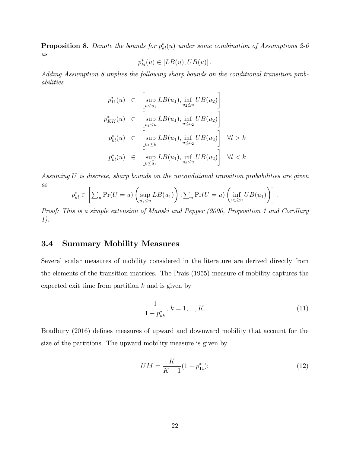**Proposition 8.** Denote the bounds for  $p_{kl}^*(u)$  under some combination of Assumptions 2-6 as

$$
p_{kl}^*(u) \in [LB(u), UB(u)].
$$

Adding Assumption 8 implies the following sharp bounds on the conditional transition probabilities

$$
p_{11}^*(u) \in \left[\sup_{u \le u_1} LB(u_1), \inf_{u_2 \le u} UB(u_2)\right]
$$
  

$$
p_{KK}^*(u) \in \left[\sup_{u_1 \le u} LB(u_1), \inf_{u \le u_2} UB(u_2)\right]
$$
  

$$
p_{kl}^*(u) \in \left[\sup_{u_1 \le u} LB(u_1), \inf_{u \le u_2} UB(u_2)\right] \quad \forall l > k
$$
  

$$
p_{kl}^*(u) \in \left[\sup_{u \le u_1} LB(u_1), \inf_{u_2 \le u} UB(u_2)\right] \quad \forall l < k
$$

Assuming U is discrete, sharp bounds on the unconditional transition probabilities are given as

$$
p_{kl}^* \in \left[ \sum_u \Pr(U = u) \left( \sup_{u_1 \le u} LB(u_1) \right), \sum_u \Pr(U = u) \left( \inf_{u_1 \ge u} UB(u_1) \right) \right].
$$

Proof: This is a simple extension of Manski and Pepper (2000, Proposition 1 and Corollary 1).

## 3.4 Summary Mobility Measures

Several scalar measures of mobility considered in the literature are derived directly from the elements of the transition matrices. The Prais (1955) measure of mobility captures the expected exit time from partition  $k$  and is given by

$$
\frac{1}{1 - p_{kk}^*}, \, k = 1, ..., K. \tag{11}
$$

Bradbury (2016) defines measures of upward and downward mobility that account for the size of the partitions. The upward mobility measure is given by

$$
UM = \frac{K}{K - 1}(1 - p_{11}^*); \tag{12}
$$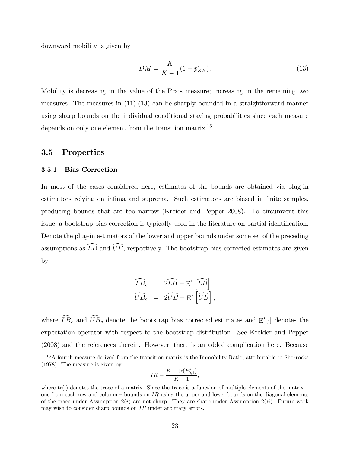downward mobility is given by

$$
DM = \frac{K}{K - 1}(1 - p_{KK}^*)
$$
\n(13)

Mobility is decreasing in the value of the Prais measure; increasing in the remaining two measures. The measures in  $(11)-(13)$  can be sharply bounded in a straightforward manner using sharp bounds on the individual conditional staying probabilities since each measure depends on only one element from the transition matrix.<sup>16</sup>

## 3.5 Properties

#### 3.5.1 Bias Correction

In most of the cases considered here, estimates of the bounds are obtained via plug-in estimators relying on infima and suprema. Such estimators are biased in finite samples, producing bounds that are too narrow (Kreider and Pepper 2008). To circumvent this issue, a bootstrap bias correction is typically used in the literature on partial identification. Denote the plug-in estimators of the lower and upper bounds under some set of the preceding assumptions as  $\widehat{LB}$  and  $\widehat{UB}$ , respectively. The bootstrap bias corrected estimates are given by

$$
\widehat{LB}_{c} = 2\widehat{LB} - \mathbf{E}^{*} \left[\widehat{LB}\right]
$$

$$
\widehat{UB}_{c} = 2\widehat{UB} - \mathbf{E}^{*} \left[\widehat{UB}\right],
$$

where  $\overline{L}\overline{B}_c$  and  $\overline{U}\overline{B}_c$  denote the bootstrap bias corrected estimates and  $E^*[\cdot]$  denotes the expectation operator with respect to the bootstrap distribution. See Kreider and Pepper (2008) and the references therein. However, there is an added complication here. Because

$$
IR = \frac{K - \text{tr}(P_{0,1}^*)}{K - 1},
$$

 $16A$  fourth measure derived from the transition matrix is the Immobility Ratio, attributable to Shorrocks (1978). The measure is given by

where  $\text{tr}(\cdot)$  denotes the trace of a matrix. Since the trace is a function of multiple elements of the matrix – one from each row and column – bounds on IR using the upper and lower bounds on the diagonal elements of the trace under Assumption  $2(i)$  are not sharp. They are sharp under Assumption  $2(ii)$ . Future work may wish to consider sharp bounds on  $IR$  under arbitrary errors.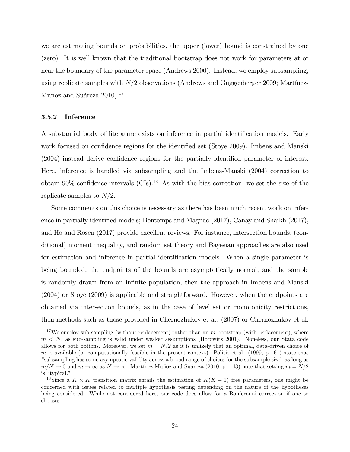we are estimating bounds on probabilities, the upper (lower) bound is constrained by one (zero). It is well known that the traditional bootstrap does not work for parameters at or near the boundary of the parameter space (Andrews 2000). Instead, we employ subsampling, using replicate samples with  $N/2$  observations (Andrews and Guggenberger 2009; Martínez-Muñoz and Suáreza  $2010$ ).<sup>17</sup>

#### 3.5.2 Inference

A substantial body of literature exists on inference in partial identification models. Early work focused on confidence regions for the identified set (Stoye 2009). Imbens and Manski (2004) instead derive confidence regions for the partially identified parameter of interest. Here, inference is handled via subsampling and the Imbens-Manski (2004) correction to obtain  $90\%$  confidence intervals (CIs).<sup>18</sup> As with the bias correction, we set the size of the replicate samples to  $N/2$ .

Some comments on this choice is necessary as there has been much recent work on inference in partially identified models; Bontemps and Magnac  $(2017)$ , Canay and Shaikh  $(2017)$ , and Ho and Rosen (2017) provide excellent reviews. For instance, intersection bounds, (conditional) moment inequality, and random set theory and Bayesian approaches are also used for estimation and inference in partial identification models. When a single parameter is being bounded, the endpoints of the bounds are asymptotically normal, and the sample is randomly drawn from an infinite population, then the approach in Imbens and Manski (2004) or Stoye (2009) is applicable and straightforward. However, when the endpoints are obtained via intersection bounds, as in the case of level set or monotonicity restrictions, then methods such as those provided in Chernozhukov et al. (2007) or Chernozhukov et al.

<sup>&</sup>lt;sup>17</sup>We employ sub-sampling (without replacement) rather than an  $m$ -bootstrap (with replacement), where  $m < N$ , as sub-sampling is valid under weaker assumptions (Horowitz 2001). Noneless, our Stata code allows for both options. Moreover, we set  $m = N/2$  as it is unlikely that an optimal, data-driven choice of m is available (or computationally feasible in the present context). Politis et al.  $(1999, p. 61)$  state that ìsubsampling has some asymptotic validity across a broad range of choices for the subsample sizeî as long as  $m/N \to 0$  and  $m \to \infty$  as  $N \to \infty$ . Martínez-Muñoz and Suáreza (2010, p. 143) note that setting  $m = N/2$ is "typical."

<sup>&</sup>lt;sup>18</sup>Since a  $K \times K$  transition matrix entails the estimation of  $K(K-1)$  free parameters, one might be concerned with issues related to multiple hypothesis testing depending on the nature of the hypotheses being considered. While not considered here, our code does allow for a Bonferonni correction if one so chooses.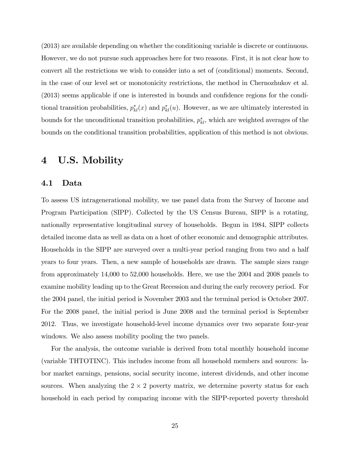(2013) are available depending on whether the conditioning variable is discrete or continuous. However, we do not pursue such approaches here for two reasons. First, it is not clear how to convert all the restrictions we wish to consider into a set of (conditional) moments. Second, in the case of our level set or monotonicity restrictions, the method in Chernozhukov et al.  $(2013)$  seems applicable if one is interested in bounds and confidence regions for the conditional transition probabilities,  $p_{kl}^*(x)$  and  $p_{kl}^*(u)$ . However, as we are ultimately interested in bounds for the unconditional transition probabilities,  $p_{kl}^*$ , which are weighted averages of the bounds on the conditional transition probabilities, application of this method is not obvious.

## 4 U.S. Mobility

#### 4.1 Data

To assess US intragenerational mobility, we use panel data from the Survey of Income and Program Participation (SIPP). Collected by the US Census Bureau, SIPP is a rotating, nationally representative longitudinal survey of households. Begun in 1984, SIPP collects detailed income data as well as data on a host of other economic and demographic attributes. Households in the SIPP are surveyed over a multi-year period ranging from two and a half years to four years. Then, a new sample of households are drawn. The sample sizes range from approximately 14,000 to 52,000 households. Here, we use the 2004 and 2008 panels to examine mobility leading up to the Great Recession and during the early recovery period. For the 2004 panel, the initial period is November 2003 and the terminal period is October 2007. For the 2008 panel, the initial period is June 2008 and the terminal period is September 2012. Thus, we investigate household-level income dynamics over two separate four-year windows. We also assess mobility pooling the two panels.

For the analysis, the outcome variable is derived from total monthly household income (variable THTOTINC). This includes income from all household members and sources: labor market earnings, pensions, social security income, interest dividends, and other income sources. When analyzing the  $2 \times 2$  poverty matrix, we determine poverty status for each household in each period by comparing income with the SIPP-reported poverty threshold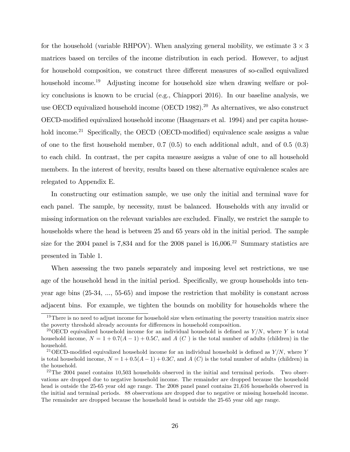for the household (variable RHPOV). When analyzing general mobility, we estimate  $3 \times 3$ matrices based on terciles of the income distribution in each period. However, to adjust for household composition, we construct three different measures of so-called equivalized household income.<sup>19</sup> Adjusting income for household size when drawing welfare or policy conclusions is known to be crucial (e.g., Chiappori 2016). In our baseline analysis, we use OECD equivalized household income (OECD 1982).<sup>20</sup> As alternatives, we also construct OECD-modified equivalized household income (Haagenars et al. 1994) and per capita household income.<sup>21</sup> Specifically, the OECD (OECD-modified) equivalence scale assigns a value of one to the first household member,  $0.7 \,(0.5)$  to each additional adult, and of  $0.5 \,(0.3)$ to each child. In contrast, the per capita measure assigns a value of one to all household members. In the interest of brevity, results based on these alternative equivalence scales are relegated to Appendix E.

In constructing our estimation sample, we use only the initial and terminal wave for each panel. The sample, by necessity, must be balanced. Households with any invalid or missing information on the relevant variables are excluded. Finally, we restrict the sample to households where the head is between 25 and 65 years old in the initial period. The sample size for the 2004 panel is  $7,834$  and for the 2008 panel is  $16,006$ <sup>22</sup> Summary statistics are presented in Table 1.

When assessing the two panels separately and imposing level set restrictions, we use age of the household head in the initial period. Specifically, we group households into tenyear age bins (25-34, ..., 55-65) and impose the restriction that mobility is constant across adjacent bins. For example, we tighten the bounds on mobility for households where the

 $19$ There is no need to adjust income for household size when estimating the poverty transition matrix since the poverty threshold already accounts for differences in household composition.

<sup>&</sup>lt;sup>20</sup>OECD equivalized household income for an individual household is defined as  $Y/N$ , where Y is total household income,  $N = 1 + 0.7(A-1) + 0.5C$ , and A (C) is the total number of adults (children) in the household.

<sup>&</sup>lt;sup>21</sup> OECD-modified equivalized household income for an individual household is defined as  $Y/N$ , where Y is total household income,  $N = 1 + 0.5(A-1) + 0.3C$ , and A (C) is the total number of adults (children) in the household.

 $22$ <sup>22</sup>The 2004 panel contains 10,503 households observed in the initial and terminal periods. Two observations are dropped due to negative household income. The remainder are dropped because the household head is outside the 25-65 year old age range. The 2008 panel panel contains 21,616 households observed in the initial and terminal periods. 88 observations are dropped due to negative or missing household income. The remainder are dropped because the household head is outside the 25-65 year old age range.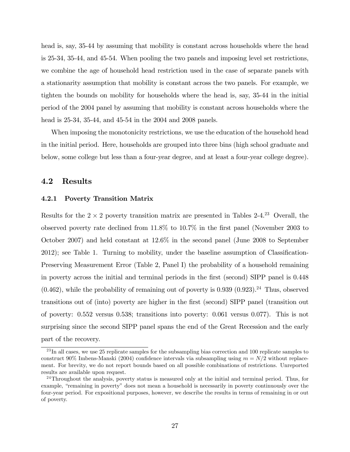head is, say, 35-44 by assuming that mobility is constant across households where the head is 25-34, 35-44, and 45-54. When pooling the two panels and imposing level set restrictions, we combine the age of household head restriction used in the case of separate panels with a stationarity assumption that mobility is constant across the two panels. For example, we tighten the bounds on mobility for households where the head is, say, 35-44 in the initial period of the 2004 panel by assuming that mobility is constant across households where the head is 25-34, 35-44, and 45-54 in the 2004 and 2008 panels.

When imposing the monotonicity restrictions, we use the education of the household head in the initial period. Here, households are grouped into three bins (high school graduate and below, some college but less than a four-year degree, and at least a four-year college degree).

## 4.2 Results

#### 4.2.1 Poverty Transition Matrix

Results for the  $2 \times 2$  poverty transition matrix are presented in Tables 2-4.<sup>23</sup> Overall, the observed poverty rate declined from  $11.8\%$  to  $10.7\%$  in the first panel (November 2003 to October 2007) and held constant at 12.6% in the second panel (June 2008 to September  $2012$ ; see Table 1. Turning to mobility, under the baseline assumption of Classification-Preserving Measurement Error (Table 2, Panel I) the probability of a household remaining in poverty across the initial and terminal periods in the first (second) SIPP panel is 0.448  $(0.462)$ , while the probability of remaining out of poverty is 0.939  $(0.923)$ .<sup>24</sup> Thus, observed transitions out of (into) poverty are higher in the first (second) SIPP panel (transition out of poverty: 0.552 versus 0.538; transitions into poverty: 0.061 versus 0.077). This is not surprising since the second SIPP panel spans the end of the Great Recession and the early part of the recovery.

<sup>23</sup> In all cases, we use 25 replicate samples for the subsampling bias correction and 100 replicate samples to construct 90% Imbens-Manski (2004) confidence intervals via subsampling using  $m = N/2$  without replacement. For brevity, we do not report bounds based on all possible combinations of restrictions. Unreported results are available upon request.

<sup>&</sup>lt;sup>24</sup>Throughout the analysis, poverty status is measured only at the initial and terminal period. Thus, for example, "remaining in poverty" does not mean a household is necessarily in poverty continuously over the four-year period. For expositional purposes, however, we describe the results in terms of remaining in or out of poverty.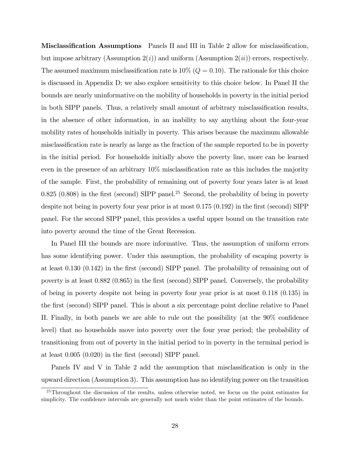**Misclassification Assumptions** Panels II and III in Table 2 allow for misclassification, but impose arbitrary (Assumption  $2(i)$ ) and uniform (Assumption  $2(ii)$ ) errors, respectively. The assumed maximum misclassification rate is  $10\%$  ( $Q = 0.10$ ). The rationale for this choice is discussed in Appendix D; we also explore sensitivity to this choice below. In Panel II the bounds are nearly uninformative on the mobility of households in poverty in the initial period in both SIPP panels. Thus, a relatively small amount of arbitrary misclassification results, in the absence of other information, in an inability to say anything about the four-year mobility rates of households initially in poverty. This arises because the maximum allowable misclassification rate is nearly as large as the fraction of the sample reported to be in poverty in the initial period. For households initially above the poverty line, more can be learned even in the presence of an arbitrary  $10\%$  misclassification rate as this includes the majority of the sample. First, the probability of remaining out of poverty four years later is at least  $0.825$   $(0.808)$  in the first (second) SIPP panel.<sup>25</sup> Second, the probability of being in poverty despite not being in poverty four year prior is at most  $0.175$   $(0.192)$  in the first (second) SIPP panel. For the second SIPP panel, this provides a useful upper bound on the transition rate into poverty around the time of the Great Recession.

In Panel III the bounds are more informative. Thus, the assumption of uniform errors has some identifying power. Under this assumption, the probability of escaping poverty is at least  $0.130$   $(0.142)$  in the first (second) SIPP panel. The probability of remaining out of poverty is at least 0.882 (0.865) in the first (second) SIPP panel. Conversely, the probability of being in poverty despite not being in poverty four year prior is at most 0.118 (0.135) in the first (second) SIPP panel. This is about a six percentage point decline relative to Panel II. Finally, in both panels we are able to rule out the possibility (at the  $90\%$  confidence level) that no households move into poverty over the four year period; the probability of transitioning from out of poverty in the initial period to in poverty in the terminal period is at least  $0.005$   $(0.020)$  in the first (second) SIPP panel.

Panels IV and V in Table 2 add the assumption that misclassification is only in the upward direction (Assumption 3). This assumption has no identifying power on the transition

<sup>&</sup>lt;sup>25</sup>Throughout the discussion of the results, unless otherwise noted, we focus on the point estimates for simplicity. The confidence intervals are generally not much wider than the point estimates of the bounds.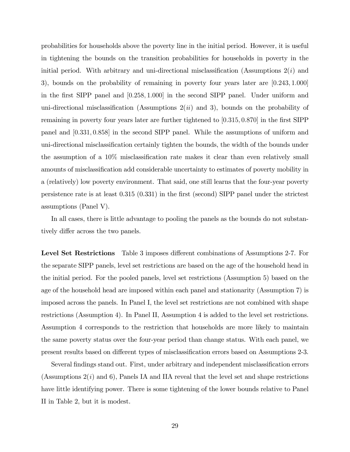probabilities for households above the poverty line in the initial period. However, it is useful in tightening the bounds on the transition probabilities for households in poverty in the initial period. With arbitrary and uni-directional misclassification (Assumptions  $2(i)$  and 3), bounds on the probability of remaining in poverty four years later are  $[0.243, 1.000]$ in the Örst SIPP panel and [0:258; 1:000] in the second SIPP panel. Under uniform and uni-directional misclassification (Assumptions  $2(ii)$  and 3), bounds on the probability of remaining in poverty four years later are further tightened to  $[0.315, 0.870]$  in the first SIPP panel and [0:331; 0:858] in the second SIPP panel. While the assumptions of uniform and uni-directional misclassification certainly tighten the bounds, the width of the bounds under the assumption of a  $10\%$  misclassification rate makes it clear than even relatively small amounts of misclassification add considerable uncertainty to estimates of poverty mobility in a (relatively) low poverty environment. That said, one still learns that the four-year poverty persistence rate is at least  $0.315$   $(0.331)$  in the first (second) SIPP panel under the strictest assumptions (Panel V).

In all cases, there is little advantage to pooling the panels as the bounds do not substantively differ across the two panels.

**Level Set Restrictions** Table 3 imposes different combinations of Assumptions 2-7. For the separate SIPP panels, level set restrictions are based on the age of the household head in the initial period. For the pooled panels, level set restrictions (Assumption 5) based on the age of the household head are imposed within each panel and stationarity (Assumption 7) is imposed across the panels. In Panel I, the level set restrictions are not combined with shape restrictions (Assumption 4). In Panel II, Assumption 4 is added to the level set restrictions. Assumption 4 corresponds to the restriction that households are more likely to maintain the same poverty status over the four-year period than change status. With each panel, we present results based on different types of misclassification errors based on Assumptions 2-3.

Several findings stand out. First, under arbitrary and independent misclassification errors (Assumptions  $2(i)$  and 6), Panels IA and IIA reveal that the level set and shape restrictions have little identifying power. There is some tightening of the lower bounds relative to Panel II in Table 2, but it is modest.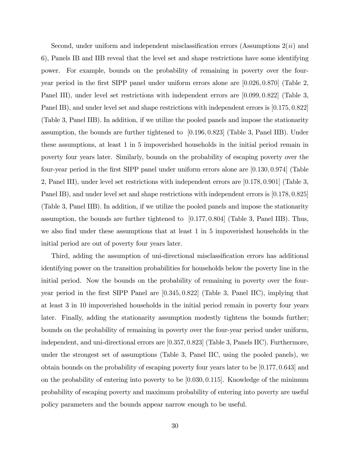Second, under uniform and independent misclassification errors (Assumptions  $2(ii)$  and 6), Panels IB and IIB reveal that the level set and shape restrictions have some identifying power. For example, bounds on the probability of remaining in poverty over the fouryear period in the first SIPP panel under uniform errors alone are  $[0.026, 0.870]$  (Table 2, Panel III), under level set restrictions with independent errors are  $(0.099, 0.822)$  (Table 3, Panel IB), and under level set and shape restrictions with independent errors is [0.175, 0.822] (Table 3, Panel IIB). In addition, if we utilize the pooled panels and impose the stationarity assumption, the bounds are further tightened to  $(0.196, 0.823)$  (Table 3, Panel IIB). Under these assumptions, at least 1 in 5 impoverished households in the initial period remain in poverty four years later. Similarly, bounds on the probability of escaping poverty over the four-year period in the first SIPP panel under uniform errors alone are [0.130, 0.974] (Table 2, Panel III), under level set restrictions with independent errors are [0:178; 0:901] (Table 3, Panel IB), and under level set and shape restrictions with independent errors is  $(0.178, 0.825)$ (Table 3, Panel IIB). In addition, if we utilize the pooled panels and impose the stationarity assumption, the bounds are further tightened to  $[0.177, 0.804]$  (Table 3, Panel IIB). Thus, we also find under these assumptions that at least 1 in 5 impoverished households in the initial period are out of poverty four years later.

Third, adding the assumption of uni-directional misclassification errors has additional identifying power on the transition probabilities for households below the poverty line in the initial period. Now the bounds on the probability of remaining in poverty over the fouryear period in the first SIPP Panel are  $[0.345, 0.822]$  (Table 3, Panel IIC), implying that at least 3 in 10 impoverished households in the initial period remain in poverty four years later. Finally, adding the stationarity assumption modestly tightens the bounds further; bounds on the probability of remaining in poverty over the four-year period under uniform, independent, and uni-directional errors are [0.357, 0.823] (Table 3, Panels IIC). Furthermore, under the strongest set of assumptions (Table 3, Panel IIC, using the pooled panels), we obtain bounds on the probability of escaping poverty four years later to be [0:177; 0:643] and on the probability of entering into poverty to be  $[0.030, 0.115]$ . Knowledge of the minimum probability of escaping poverty and maximum probability of entering into poverty are useful policy parameters and the bounds appear narrow enough to be useful.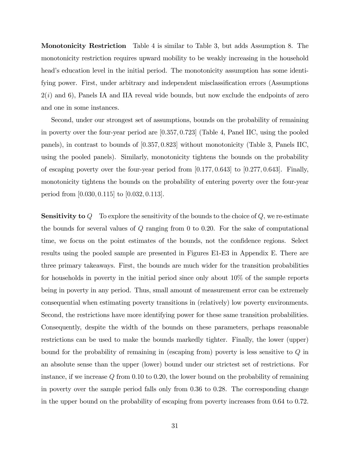Monotonicity Restriction Table 4 is similar to Table 3, but adds Assumption 8. The monotonicity restriction requires upward mobility to be weakly increasing in the household head's education level in the initial period. The monotonicity assumption has some identifying power. First, under arbitrary and independent misclassification errors (Assumptions  $2(i)$  and 6), Panels IA and IIA reveal wide bounds, but now exclude the endpoints of zero and one in some instances.

Second, under our strongest set of assumptions, bounds on the probability of remaining in poverty over the four-year period are [0:357; 0:723] (Table 4, Panel IIC, using the pooled panels), in contrast to bounds of [0:357; 0:823] without monotonicity (Table 3, Panels IIC, using the pooled panels). Similarly, monotonicity tightens the bounds on the probability of escaping poverty over the four-year period from  $[0.177, 0.643]$  to  $[0.277, 0.643]$ . Finally, monotonicity tightens the bounds on the probability of entering poverty over the four-year period from [0:030; 0:115] to [0:032; 0:113].

**Sensitivity to**  $Q$  To explore the sensitivity of the bounds to the choice of  $Q$ , we re-estimate the bounds for several values of  $Q$  ranging from 0 to 0.20. For the sake of computational time, we focus on the point estimates of the bounds, not the confidence regions. Select results using the pooled sample are presented in Figures E1-E3 in Appendix E. There are three primary takeaways. First, the bounds are much wider for the transition probabilities for households in poverty in the initial period since only about 10% of the sample reports being in poverty in any period. Thus, small amount of measurement error can be extremely consequential when estimating poverty transitions in (relatively) low poverty environments. Second, the restrictions have more identifying power for these same transition probabilities. Consequently, despite the width of the bounds on these parameters, perhaps reasonable restrictions can be used to make the bounds markedly tighter. Finally, the lower (upper) bound for the probability of remaining in (escaping from) poverty is less sensitive to Q in an absolute sense than the upper (lower) bound under our strictest set of restrictions. For instance, if we increase Q from 0.10 to 0.20, the lower bound on the probability of remaining in poverty over the sample period falls only from 0.36 to 0.28. The corresponding change in the upper bound on the probability of escaping from poverty increases from 0.64 to 0.72.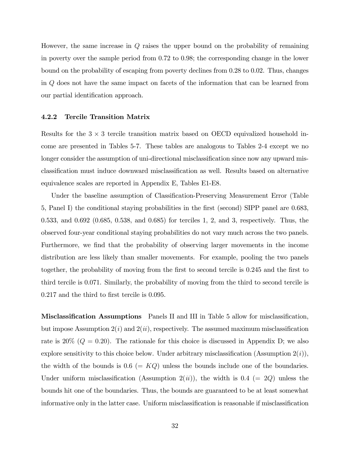However, the same increase in  $Q$  raises the upper bound on the probability of remaining in poverty over the sample period from 0.72 to 0.98; the corresponding change in the lower bound on the probability of escaping from poverty declines from 0.28 to 0.02. Thus, changes in Q does not have the same impact on facets of the information that can be learned from our partial identification approach.

#### 4.2.2 Tercile Transition Matrix

Results for the  $3 \times 3$  tercile transition matrix based on OECD equivalized household income are presented in Tables 5-7. These tables are analogous to Tables 2-4 except we no longer consider the assumption of uni-directional misclassification since now any upward misclassification must induce downward misclassification as well. Results based on alternative equivalence scales are reported in Appendix E, Tables E1-E8.

Under the baseline assumption of Classification-Preserving Measurement Error (Table 5, Panel I) the conditional staying probabilities in the Örst (second) SIPP panel are 0.683, 0.533, and 0.692 (0.685, 0.538, and 0.685) for terciles 1, 2, and 3, respectively. Thus, the observed four-year conditional staying probabilities do not vary much across the two panels. Furthermore, we find that the probability of observing larger movements in the income distribution are less likely than smaller movements. For example, pooling the two panels together, the probability of moving from the first to second tercile is 0.245 and the first to third tercile is 0.071. Similarly, the probability of moving from the third to second tercile is  $0.217$  and the third to first tercile is  $0.095$ .

Misclassification Assumptions Panels II and III in Table 5 allow for misclassification, but impose Assumption  $2(i)$  and  $2(ii)$ , respectively. The assumed maximum misclassification rate is  $20\%$  ( $Q = 0.20$ ). The rationale for this choice is discussed in Appendix D; we also explore sensitivity to this choice below. Under arbitrary misclassification (Assumption  $2(i)$ ), the width of the bounds is  $0.6$  (= KQ) unless the bounds include one of the boundaries. Under uniform misclassification (Assumption  $2(ii)$ ), the width is 0.4 (= 2Q) unless the bounds hit one of the boundaries. Thus, the bounds are guaranteed to be at least somewhat informative only in the latter case. Uniform misclassification is reasonable if misclassification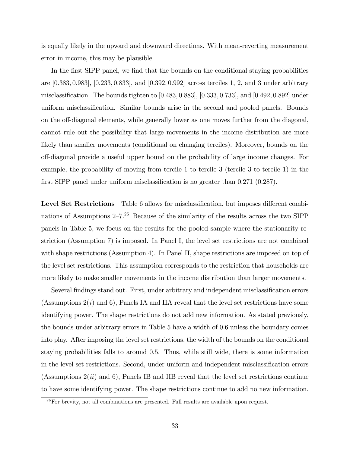is equally likely in the upward and downward directions. With mean-reverting measurement error in income, this may be plausible.

In the first SIPP panel, we find that the bounds on the conditional staying probabilities are [0:383; 0:983], [0:233; 0:833], and [0:392; 0:992] across terciles 1, 2, and 3 under arbitrary misclassification. The bounds tighten to  $(0.483, 0.883)$ ,  $(0.333, 0.733)$ , and  $(0.492, 0.892)$  under uniform misclassification. Similar bounds arise in the second and pooled panels. Bounds on the off-diagonal elements, while generally lower as one moves further from the diagonal, cannot rule out the possibility that large movements in the income distribution are more likely than smaller movements (conditional on changing terciles). Moreover, bounds on the o§-diagonal provide a useful upper bound on the probability of large income changes. For example, the probability of moving from tercile 1 to tercile 3 (tercile 3 to tercile 1) in the first SIPP panel under uniform misclassification is no greater than  $0.271$   $(0.287)$ .

Level Set Restrictions Table 6 allows for misclassification, but imposes different combinations of Assumptions  $2-7<sup>26</sup>$  Because of the similarity of the results across the two SIPP panels in Table 5, we focus on the results for the pooled sample where the stationarity restriction (Assumption 7) is imposed. In Panel I, the level set restrictions are not combined with shape restrictions (Assumption 4). In Panel II, shape restrictions are imposed on top of the level set restrictions. This assumption corresponds to the restriction that households are more likely to make smaller movements in the income distribution than larger movements.

Several findings stand out. First, under arbitrary and independent misclassification errors (Assumptions  $2(i)$  and 6), Panels IA and IIA reveal that the level set restrictions have some identifying power. The shape restrictions do not add new information. As stated previously, the bounds under arbitrary errors in Table 5 have a width of 0.6 unless the boundary comes into play. After imposing the level set restrictions, the width of the bounds on the conditional staying probabilities falls to around 0.5. Thus, while still wide, there is some information in the level set restrictions. Second, under uniform and independent misclassification errors (Assumptions  $2(ii)$  and 6), Panels IB and IIB reveal that the level set restrictions continue to have some identifying power. The shape restrictions continue to add no new information.

 $26$  For brevity, not all combinations are presented. Full results are available upon request.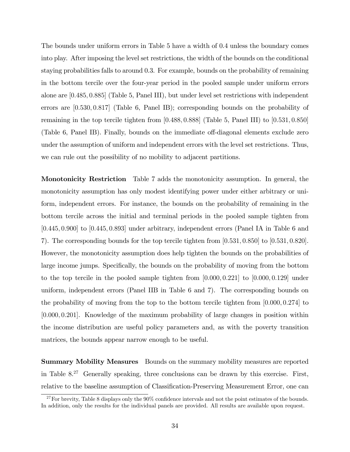The bounds under uniform errors in Table 5 have a width of 0.4 unless the boundary comes into play. After imposing the level set restrictions, the width of the bounds on the conditional staying probabilities falls to around 0.3. For example, bounds on the probability of remaining in the bottom tercile over the four-year period in the pooled sample under uniform errors alone are [0:485; 0:885] (Table 5, Panel III), but under level set restrictions with independent errors are [0:530; 0:817] (Table 6, Panel IB); corresponding bounds on the probability of remaining in the top tercile tighten from  $[0.488, 0.888]$  (Table 5, Panel III) to  $[0.531, 0.850]$ (Table 6, Panel IB). Finally, bounds on the immediate off-diagonal elements exclude zero under the assumption of uniform and independent errors with the level set restrictions. Thus, we can rule out the possibility of no mobility to adjacent partitions.

Monotonicity Restriction Table 7 adds the monotonicity assumption. In general, the monotonicity assumption has only modest identifying power under either arbitrary or uniform, independent errors. For instance, the bounds on the probability of remaining in the bottom tercile across the initial and terminal periods in the pooled sample tighten from [0:445; 0:900] to [0:445; 0:893] under arbitrary, independent errors (Panel IA in Table 6 and 7). The corresponding bounds for the top tercile tighten from [0:531; 0:850] to [0:531; 0:820]. However, the monotonicity assumption does help tighten the bounds on the probabilities of large income jumps. Specifically, the bounds on the probability of moving from the bottom to the top tercile in the pooled sample tighten from  $[0.000, 0.221]$  to  $[0.000, 0.129]$  under uniform, independent errors (Panel IIB in Table 6 and 7). The corresponding bounds on the probability of moving from the top to the bottom tercile tighten from  $[0.000, 0.274]$  to [0:000; 0:201]. Knowledge of the maximum probability of large changes in position within the income distribution are useful policy parameters and, as with the poverty transition matrices, the bounds appear narrow enough to be useful.

Summary Mobility Measures Bounds on the summary mobility measures are reported in Table  $8^{27}$  Generally speaking, three conclusions can be drawn by this exercise. First, relative to the baseline assumption of Classification-Preserving Measurement Error, one can

 $27$  For brevity, Table 8 displays only the 90% confidence intervals and not the point estimates of the bounds. In addition, only the results for the individual panels are provided. All results are available upon request.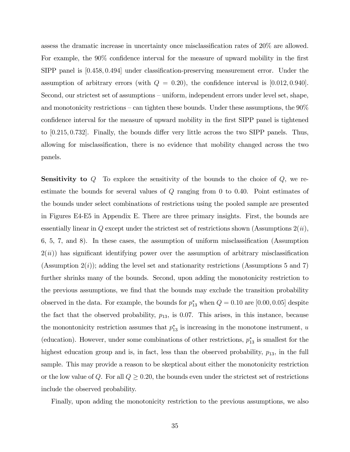assess the dramatic increase in uncertainty once misclassification rates of  $20\%$  are allowed. For example, the  $90\%$  confidence interval for the measure of upward mobility in the first SIPP panel is [0.458, 0.494] under classification-preserving measurement error. Under the assumption of arbitrary errors (with  $Q = 0.20$ ), the confidence interval is [0.012, 0.940]. Second, our strictest set of assumptions – uniform, independent errors under level set, shape, and monotonicity restrictions  $-$  can tighten these bounds. Under these assumptions, the  $90\%$ confidence interval for the measure of upward mobility in the first SIPP panel is tightened to  $[0.215, 0.732]$ . Finally, the bounds differ very little across the two SIPP panels. Thus, allowing for misclassification, there is no evidence that mobility changed across the two panels.

**Sensitivity to**  $Q$  To explore the sensitivity of the bounds to the choice of  $Q$ , we reestimate the bounds for several values of  $Q$  ranging from 0 to 0.40. Point estimates of the bounds under select combinations of restrictions using the pooled sample are presented in Figures E4-E5 in Appendix E. There are three primary insights. First, the bounds are essentially linear in  $Q$  except under the strictest set of restrictions shown (Assumptions  $2(ii)$ ,  $6, 5, 7, \text{ and } 8$ ). In these cases, the assumption of uniform misclassification (Assumption  $2(ii)$ ) has significant identifying power over the assumption of arbitrary misclassification (Assumption  $2(i)$ ); adding the level set and stationarity restrictions (Assumptions 5 and 7) further shrinks many of the bounds. Second, upon adding the monotonicity restriction to the previous assumptions, we find that the bounds may exclude the transition probability observed in the data. For example, the bounds for  $p_{13}^*$  when  $Q = 0.10$  are  $[0.00, 0.05]$  despite the fact that the observed probability,  $p_{13}$ , is 0.07. This arises, in this instance, because the monotonicity restriction assumes that  $p_{13}^*$  is increasing in the monotone instrument, u (education). However, under some combinations of other restrictions,  $p_{13}^*$  is smallest for the highest education group and is, in fact, less than the observed probability,  $p_{13}$ , in the full sample. This may provide a reason to be skeptical about either the monotonicity restriction or the low value of Q. For all  $Q \geq 0.20$ , the bounds even under the strictest set of restrictions include the observed probability.

Finally, upon adding the monotonicity restriction to the previous assumptions, we also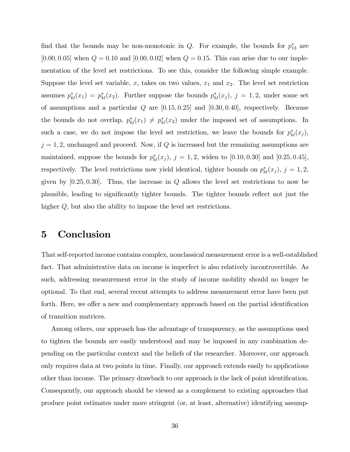find that the bounds may be non-monotonic in  $Q$ . For example, the bounds for  $p_{13}^*$  are [0.00, 0.05] when  $Q = 0.10$  and [0.00, 0.02] when  $Q = 0.15$ . This can arise due to our implementation of the level set restrictions. To see this, consider the following simple example. Suppose the level set variable, x, takes on two values,  $x_1$  and  $x_2$ . The level set restriction assumes  $p_{kl}^*(x_1) = p_{kl}^*(x_2)$ . Further suppose the bounds  $p_{kl}^*(x_j)$ ,  $j = 1, 2$ , under some set of assumptions and a particular  $Q$  are  $[0.15, 0.25]$  and  $[0.30, 0.40]$ , respectively. Because the bounds do not overlap,  $p_{kl}^*(x_1) \neq p_{kl}^*(x_2)$  under the imposed set of assumptions. In such a case, we do not impose the level set restriction, we leave the bounds for  $p_{kl}^*(x_j)$ ,  $j = 1, 2$ , unchanged and proceed. Now, if Q is increased but the remaining assumptions are maintained, suppose the bounds for  $p_{kl}^*(x_j)$ ,  $j = 1, 2$ , widen to [0.10, 0.30] and [0.25, 0.45], respectively. The level restrictions now yield identical, tighter bounds on  $p_{kl}^*(x_j)$ ,  $j = 1, 2$ , given by  $[0.25, 0.30]$ . Thus, the increase in Q allows the level set restrictions to now be plausible, leading to significantly tighter bounds. The tighter bounds reflect not just the higher Q, but also the ability to impose the level set restrictions.

# 5 Conclusion

That self-reported income contains complex, nonclassical measurement error is a well-established fact. That administrative data on income is imperfect is also relatively incontrovertible. As such, addressing measurement error in the study of income mobility should no longer be optional. To that end, several recent attempts to address measurement error have been put forth. Here, we offer a new and complementary approach based on the partial identification of transition matrices.

Among others, our approach has the advantage of transparency, as the assumptions used to tighten the bounds are easily understood and may be imposed in any combination depending on the particular context and the beliefs of the researcher. Moreover, our approach only requires data at two points in time. Finally, our approach extends easily to applications other than income. The primary drawback to our approach is the lack of point identification. Consequently, our approach should be viewed as a complement to existing approaches that produce point estimates under more stringent (or, at least, alternative) identifying assump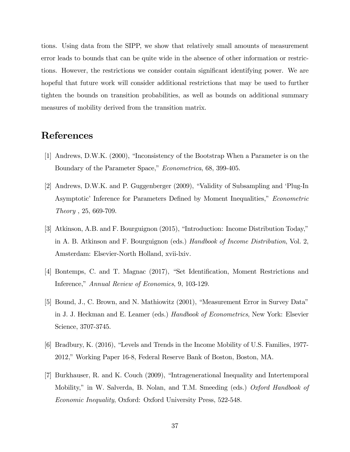tions. Using data from the SIPP, we show that relatively small amounts of measurement error leads to bounds that can be quite wide in the absence of other information or restrictions. However, the restrictions we consider contain significant identifying power. We are hopeful that future work will consider additional restrictions that may be used to further tighten the bounds on transition probabilities, as well as bounds on additional summary measures of mobility derived from the transition matrix.

### References

- [1] Andrews, D.W.K. (2000), "Inconsistency of the Bootstrap When a Parameter is on the Boundary of the Parameter Space," *Econometrica*, 68, 399-405.
- [2] Andrews, D.W.K. and P. Guggenberger  $(2009)$ , "Validity of Subsampling and 'Plug-In Asymptotic' Inference for Parameters Defined by Moment Inequalities," *Econometric* Theory , 25, 669-709.
- [3] Atkinson, A.B. and F. Bourguignon  $(2015)$ , "Introduction: Income Distribution Today," in A. B. Atkinson and F. Bourguignon (eds.) Handbook of Income Distribution, Vol. 2, Amsterdam: Elsevier-North Holland, xvii-lxiv.
- [4] Bontemps, C. and T. Magnac (2017), "Set Identification, Moment Restrictions and Inference," Annual Review of Economics, 9, 103-129.
- [5] Bound, J., C. Brown, and N. Mathiowitz (2001), "Measurement Error in Survey Data" in J. J. Heckman and E. Leamer (eds.) Handbook of Econometrics, New York: Elsevier Science, 3707-3745.
- [6] Bradbury, K. (2016), "Levels and Trends in the Income Mobility of U.S. Families, 1977-2012,î Working Paper 16-8, Federal Reserve Bank of Boston, Boston, MA.
- [7] Burkhauser, R. and K. Couch (2009), "Intragenerational Inequality and Intertemporal Mobility," in W. Salverda, B. Nolan, and T.M. Smeeding (eds.) Oxford Handbook of Economic Inequality, Oxford: Oxford University Press, 522-548.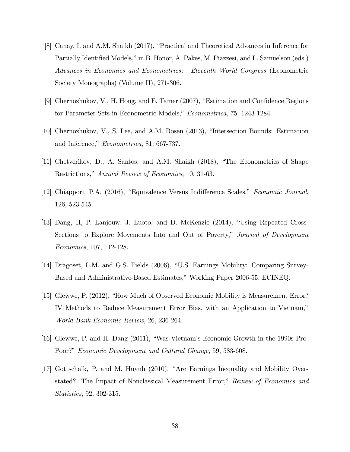- [8] Canay, I. and A.M. Shaikh (2017). "Practical and Theoretical Advances in Inference for Partially Identified Models," in B. Honor, A. Pakes, M. Piazzesi, and L. Samuelson (eds.) Advances in Economics and Econometrics: Eleventh World Congress (Econometric Society Monographs) (Volume II), 271-306.
- [9] Chernozhukov, V., H. Hong, and E. Tamer  $(2007)$ , "Estimation and Confidence Regions for Parameter Sets in Econometric Models," Econometrica, 75, 1243-1284.
- [10] Chernozhukov, V., S. Lee, and A.M. Rosen  $(2013)$ , "Intersection Bounds: Estimation and Inference," Econometrica, 81, 667-737.
- $[11]$  Chetverikov, D., A. Santos, and A.M. Shaikh  $(2018)$ , "The Econometrics of Shape Restrictions," Annual Review of Economics, 10, 31-63.
- [12] Chiappori, P.A. (2016), "Equivalence Versus Indifference Scales," *Economic Journal*, 126, 523-545.
- [13] Dang, H, P. Lanjouw, J. Luoto, and D. McKenzie (2014), "Using Repeated Cross-Sections to Explore Movements Into and Out of Poverty," Journal of Development Economics, 107, 112-128.
- [14] Dragoset, L.M. and G.S. Fields (2006), "U.S. Earnings Mobility: Comparing Survey-Based and Administrative-Based Estimates," Working Paper 2006-55, ECINEQ.
- [15] Glewwe, P. (2012), "How Much of Observed Economic Mobility is Measurement Error? IV Methods to Reduce Measurement Error Bias, with an Application to Vietnam," World Bank Economic Review, 26, 236-264.
- [16] Glewwe, P. and H. Dang  $(2011)$ , "Was Vietnam's Economic Growth in the 1990s Pro-Poor?" Economic Development and Cultural Change, 59, 583-608.
- $[17]$  Gottschalk, P. and M. Huynh  $(2010)$ , "Are Earnings Inequality and Mobility Overstated? The Impact of Nonclassical Measurement Error," Review of Economics and Statistics, 92, 302-315.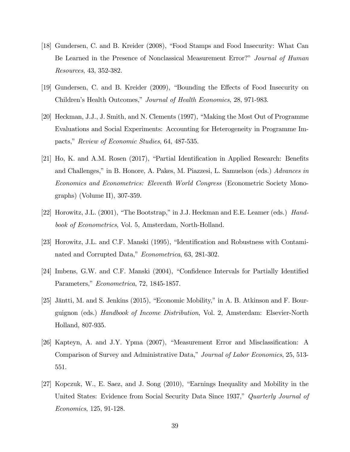- [18] Gundersen, C. and B. Kreider (2008), "Food Stamps and Food Insecurity: What Can Be Learned in the Presence of Nonclassical Measurement Error?" Journal of Human Resources, 43, 352-382.
- [19] Gundersen, C. and B. Kreider (2009), "Bounding the Effects of Food Insecurity on Children's Health Outcomes," Journal of Health Economics, 28, 971-983.
- [20] Heckman, J.J., J. Smith, and N. Clements (1997), "Making the Most Out of Programme Evaluations and Social Experiments: Accounting for Heterogeneity in Programme Impacts," Review of Economic Studies, 64, 487-535.
- $[21]$  Ho, K. and A.M. Rosen  $(2017)$ , "Partial Identification in Applied Research: Benefits and Challenges," in B. Honore, A. Pakes, M. Piazzesi, L. Samuelson (eds.) Advances in Economics and Econometrics: Eleventh World Congress (Econometric Society Monographs) (Volume II), 307-359.
- [22] Horowitz, J.L. (2001), "The Bootstrap," in J.J. Heckman and E.E. Leamer (eds.)  $Hand$ book of Econometrics, Vol. 5, Amsterdam, North-Holland.
- [23] Horowitz, J.L. and C.F. Manski (1995), "Identification and Robustness with Contaminated and Corrupted Data," *Econometrica*, 63, 281-302.
- [24] Imbens, G.W. and C.F. Manski  $(2004)$ , "Confidence Intervals for Partially Identified Parameters," Econometrica, 72, 1845-1857.
- $[25]$  Jäntti, M. and S. Jenkins  $(2015)$ , "Economic Mobility," in A. B. Atkinson and F. Bourguignon (eds.) Handbook of Income Distribution, Vol. 2, Amsterdam: Elsevier-North Holland, 807-935.
- [26] Kapteyn, A. and J.Y. Ypma  $(2007)$ , "Measurement Error and Misclassification: A Comparison of Survey and Administrative Data," Journal of Labor Economics, 25, 513-551.
- $[27]$  Kopczuk, W., E. Saez, and J. Song  $(2010)$ , "Earnings Inequality and Mobility in the United States: Evidence from Social Security Data Since 1937," Quarterly Journal of Economics, 125, 91-128.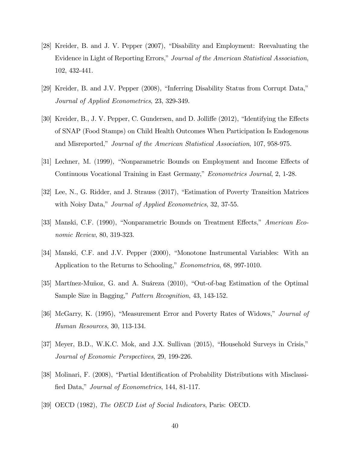- [28] Kreider, B. and J. V. Pepper (2007), "Disability and Employment: Reevaluating the Evidence in Light of Reporting Errors," Journal of the American Statistical Association, 102, 432-441.
- [29] Kreider, B. and J.V. Pepper (2008), "Inferring Disability Status from Corrupt Data," Journal of Applied Econometrics, 23, 329-349.
- [30] Kreider, B., J. V. Pepper, C. Gundersen, and D. Jolliffe (2012), "Identifying the Effects of SNAP (Food Stamps) on Child Health Outcomes When Participation Is Endogenous and Misreported," Journal of the American Statistical Association, 107, 958-975.
- [31] Lechner, M. (1999), "Nonparametric Bounds on Employment and Income Effects of Continuous Vocational Training in East Germany," *Econometrics Journal*, 2, 1-28.
- [32] Lee, N., G. Ridder, and J. Strauss (2017), "Estimation of Poverty Transition Matrices with Noisy Data," *Journal of Applied Econometrics*, 32, 37-55.
- [33] Manski, C.F. (1990), "Nonparametric Bounds on Treatment Effects," American Economic Review, 80, 319-323.
- [34] Manski, C.F. and J.V. Pepper (2000), "Monotone Instrumental Variables: With an Application to the Returns to Schooling," *Econometrica*, 68, 997-1010.
- [35] Martínez-Muñoz, G. and A. Suáreza  $(2010)$ , "Out-of-bag Estimation of the Optimal Sample Size in Bagging," Pattern Recognition, 43, 143-152.
- [36] McGarry, K. (1995), "Measurement Error and Poverty Rates of Widows," *Journal of* Human Resources, 30, 113-134.
- [37] Meyer, B.D., W.K.C. Mok, and J.X. Sullivan (2015), "Household Surveys in Crisis," Journal of Economic Perspectives, 29, 199-226.
- [38] Molinari, F. (2008), "Partial Identification of Probability Distributions with Misclassified Data," Journal of Econometrics, 144, 81-117.
- [39] OECD (1982), The OECD List of Social Indicators, Paris: OECD.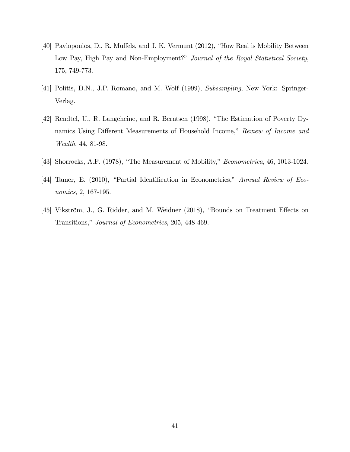- [40] Pavlopoulos, D., R. Muffels, and J. K. Vermunt (2012), "How Real is Mobility Between Low Pay, High Pay and Non-Employment?" Journal of the Royal Statistical Society, 175, 749-773.
- [41] Politis, D.N., J.P. Romano, and M. Wolf (1999), Subsampling, New York: Springer-Verlag.
- [42] Rendtel, U., R. Langeheine, and R. Berntsen (1998), "The Estimation of Poverty Dynamics Using Different Measurements of Household Income," Review of Income and Wealth, 44, 81-98.
- [43] Shorrocks, A.F. (1978), "The Measurement of Mobility,"  $Econometrica$ , 46, 1013-1024.
- [44] Tamer, E. (2010), "Partial Identification in Econometrics," Annual Review of Economics, 2, 167-195.
- [45] Vikström, J., G. Ridder, and M. Weidner (2018), "Bounds on Treatment Effects on Transitions," Journal of Econometrics, 205, 448-469.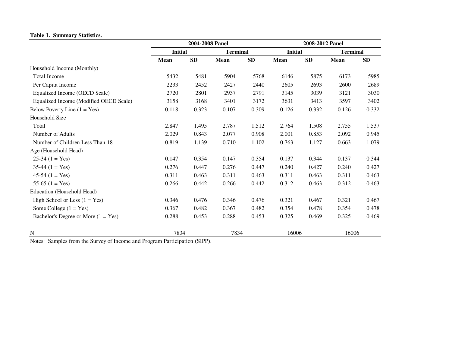#### **Table 1. Summary Statistics.**

|                                        | 2004-2008 Panel |       |                 |            |                | 2008-2012 Panel |                 |            |  |
|----------------------------------------|-----------------|-------|-----------------|------------|----------------|-----------------|-----------------|------------|--|
|                                        | <b>Initial</b>  |       | <b>Terminal</b> |            | <b>Initial</b> |                 | <b>Terminal</b> |            |  |
|                                        | Mean            | SD    | Mean            | ${\bf SD}$ | <b>Mean</b>    | ${\bf SD}$      | Mean            | ${\bf SD}$ |  |
| Household Income (Monthly)             |                 |       |                 |            |                |                 |                 |            |  |
| <b>Total Income</b>                    | 5432            | 5481  | 5904            | 5768       | 6146           | 5875            | 6173            | 5985       |  |
| Per Capita Income                      | 2233            | 2452  | 2427            | 2440       | 2605           | 2693            | 2600            | 2689       |  |
| Equalized Income (OECD Scale)          | 2720            | 2801  | 2937            | 2791       | 3145           | 3039            | 3121            | 3030       |  |
| Equalized Income (Modified OECD Scale) | 3158            | 3168  | 3401            | 3172       | 3631           | 3413            | 3597            | 3402       |  |
| Below Poverty Line $(1 = Yes)$         | 0.118           | 0.323 | 0.107           | 0.309      | 0.126          | 0.332           | 0.126           | 0.332      |  |
| Household Size                         |                 |       |                 |            |                |                 |                 |            |  |
| Total                                  | 2.847           | 1.495 | 2.787           | 1.512      | 2.764          | 1.508           | 2.755           | 1.537      |  |
| Number of Adults                       | 2.029           | 0.843 | 2.077           | 0.908      | 2.001          | 0.853           | 2.092           | 0.945      |  |
| Number of Children Less Than 18        | 0.819           | 1.139 | 0.710           | 1.102      | 0.763          | 1.127           | 0.663           | 1.079      |  |
| Age (Household Head)                   |                 |       |                 |            |                |                 |                 |            |  |
| $25-34(1 = Yes)$                       | 0.147           | 0.354 | 0.147           | 0.354      | 0.137          | 0.344           | 0.137           | 0.344      |  |
| $35-44$ $(1 = Yes)$                    | 0.276           | 0.447 | 0.276           | 0.447      | 0.240          | 0.427           | 0.240           | 0.427      |  |
| $45-54(1) = Yes$                       | 0.311           | 0.463 | 0.311           | 0.463      | 0.311          | 0.463           | 0.311           | 0.463      |  |
| 55-65 $(1 = Yes)$                      | 0.266           | 0.442 | 0.266           | 0.442      | 0.312          | 0.463           | 0.312           | 0.463      |  |
| Education (Household Head)             |                 |       |                 |            |                |                 |                 |            |  |
| High School or Less $(1 = Yes)$        | 0.346           | 0.476 | 0.346           | 0.476      | 0.321          | 0.467           | 0.321           | 0.467      |  |
| Some College $(1 = Yes)$               | 0.367           | 0.482 | 0.367           | 0.482      | 0.354          | 0.478           | 0.354           | 0.478      |  |
| Bachelor's Degree or More $(1 = Yes)$  | 0.288           | 0.453 | 0.288           | 0.453      | 0.325          | 0.469           | 0.325           | 0.469      |  |
| N                                      | 7834            |       | 7834            |            | 16006          |                 | 16006           |            |  |

Notes: Samples from the Survey of Income and Program Participation (SIPP).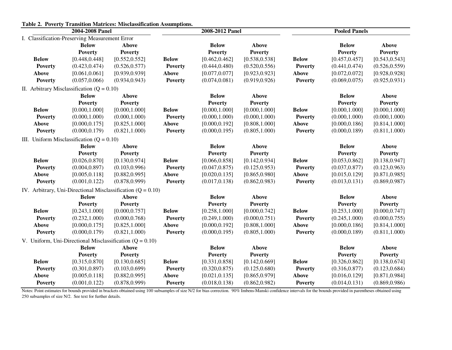| таяк 2. тоустту ттаняной майтеся. міжнаянеаной Азяйприоня.<br>2004-2008 Panel |                                                |                                                               |                | 2008-2012 Panel |                | <b>Pooled Panels</b> |                |                |  |
|-------------------------------------------------------------------------------|------------------------------------------------|---------------------------------------------------------------|----------------|-----------------|----------------|----------------------|----------------|----------------|--|
|                                                                               | I. Classification-Preserving Measurement Error |                                                               |                |                 |                |                      |                |                |  |
|                                                                               | <b>Below</b>                                   | <b>Above</b>                                                  |                | <b>Below</b>    | <b>Above</b>   |                      | <b>Below</b>   | <b>Above</b>   |  |
|                                                                               | <b>Poverty</b>                                 | <b>Poverty</b>                                                |                | <b>Poverty</b>  | <b>Poverty</b> |                      | <b>Poverty</b> | <b>Poverty</b> |  |
| <b>Below</b>                                                                  | [0.448, 0.448]                                 | [0.552, 0.552]                                                | <b>Below</b>   | [0.462, 0.462]  | [0.538, 0.538] | <b>Below</b>         | [0.457, 0.457] | [0.543, 0.543] |  |
| <b>Poverty</b>                                                                | (0.423, 0.474)                                 | (0.526, 0.577)                                                | <b>Poverty</b> | (0.444, 0.480)  | (0.520, 0.556) | <b>Poverty</b>       | (0.441, 0.474) | (0.526, 0.559) |  |
| Above                                                                         | [0.061, 0.061]                                 | [0.939, 0.939]                                                | Above          | [0.077, 0.077]  | [0.923, 0.923] | Above                | [0.072, 0.072] | [0.928, 0.928] |  |
| <b>Poverty</b>                                                                | (0.057, 0.066)                                 | (0.934, 0.943)                                                | <b>Poverty</b> | (0.074, 0.081)  | (0.919, 0.926) | <b>Poverty</b>       | (0.069, 0.075) | (0.925, 0.931) |  |
|                                                                               | II. Arbitrary Misclassification ( $Q = 0.10$ ) |                                                               |                |                 |                |                      |                |                |  |
|                                                                               | <b>Below</b>                                   | <b>Above</b>                                                  |                | <b>Below</b>    | <b>Above</b>   |                      | <b>Below</b>   | <b>Above</b>   |  |
|                                                                               | <b>Poverty</b>                                 | <b>Poverty</b>                                                |                | <b>Poverty</b>  | <b>Poverty</b> |                      | <b>Poverty</b> | <b>Poverty</b> |  |
| <b>Below</b>                                                                  | [0.000, 1.000]                                 | [0.000, 1.000]                                                | <b>Below</b>   | [0.000, 1.000]  | [0.000, 1.000] | <b>Below</b>         | [0.000, 1.000] | [0.000, 1.000] |  |
| <b>Poverty</b>                                                                | (0.000, 1.000)                                 | (0.000, 1.000)                                                | <b>Poverty</b> | (0.000, 1.000)  | (0.000, 1.000) | <b>Poverty</b>       | (0.000, 1.000) | (0.000, 1.000) |  |
| <b>Above</b>                                                                  | [0.000, 0.175]                                 | [0.825, 1.000]                                                | <b>Above</b>   | [0.000, 0.192]  | [0.808, 1.000] | Above                | [0.000, 0.186] | [0.814, 1.000] |  |
| <b>Poverty</b>                                                                | (0.000, 0.179)                                 | (0.821, 1.000)                                                | <b>Poverty</b> | (0.000, 0.195)  | (0.805, 1.000) | <b>Poverty</b>       | (0.000, 0.189) | (0.811, 1.000) |  |
|                                                                               | III. Uniform Misclassification $(Q = 0.10)$    |                                                               |                |                 |                |                      |                |                |  |
|                                                                               | <b>Below</b>                                   | <b>Above</b>                                                  |                | <b>Below</b>    | <b>Above</b>   |                      | <b>Below</b>   | Above          |  |
|                                                                               | <b>Poverty</b>                                 | <b>Poverty</b>                                                |                | <b>Poverty</b>  | <b>Poverty</b> |                      | <b>Poverty</b> | <b>Poverty</b> |  |
| <b>Below</b>                                                                  | [0.026, 0.870]                                 | [0.130, 0.974]                                                | <b>Below</b>   | [0.066, 0.858]  | [0.142, 0.934] | <b>Below</b>         | [0.053, 0.862] | [0.138, 0.947] |  |
| <b>Poverty</b>                                                                | (0.004, 0.897)                                 | (0.103, 0.996)                                                | <b>Poverty</b> | (0.047, 0.875)  | (0.125, 0.953) | <b>Poverty</b>       | (0.037, 0.877) | (0.123, 0.963) |  |
| Above                                                                         | [0.005, 0.118]                                 | [0.882, 0.995]                                                | Above          | [0.020, 0.135]  | [0.865, 0.980] | Above                | [0.015, 0.129] | [0.871, 0.985] |  |
| <b>Poverty</b>                                                                | (0.001, 0.122)                                 | (0.878, 0.999)                                                | <b>Poverty</b> | (0.017, 0.138)  | (0.862, 0.983) | <b>Poverty</b>       | (0.013, 0.131) | (0.869, 0.987) |  |
|                                                                               |                                                | IV. Arbitrary, Uni-Directional Misclassification $(Q = 0.10)$ |                |                 |                |                      |                |                |  |
|                                                                               | <b>Below</b>                                   | <b>Above</b>                                                  |                | <b>Below</b>    | <b>Above</b>   |                      | <b>Below</b>   | <b>Above</b>   |  |
|                                                                               | <b>Poverty</b>                                 | <b>Poverty</b>                                                |                | <b>Poverty</b>  | <b>Poverty</b> |                      | <b>Poverty</b> | <b>Poverty</b> |  |
| <b>Below</b>                                                                  | [0.243, 1.000]                                 | [0.000, 0.757]                                                | <b>Below</b>   | [0.258, 1.000]  | [0.000, 0.742] | <b>Below</b>         | [0.253, 1.000] | [0.000, 0.747] |  |
| <b>Poverty</b>                                                                | (0.232, 1.000)                                 | (0.000, 0.768)                                                | <b>Poverty</b> | (0.249, 1.000)  | (0.000, 0.751) | <b>Poverty</b>       | (0.245, 1.000) | (0.000, 0.755) |  |
| <b>Above</b>                                                                  | [0.000, 0.175]                                 | [0.825, 1.000]                                                | Above          | [0.000, 0.192]  | [0.808, 1.000] | Above                | [0.000, 0.186] | [0.814, 1.000] |  |
| <b>Poverty</b>                                                                | (0.000, 0.179)                                 | (0.821, 1.000)                                                | <b>Poverty</b> | (0.000, 0.195)  | (0.805, 1.000) | <b>Poverty</b>       | (0.000, 0.189) | (0.811, 1.000) |  |
|                                                                               |                                                | V. Uniform, Uni-Directional Misclassification $(Q = 0.10)$    |                |                 |                |                      |                |                |  |
|                                                                               | <b>Below</b>                                   | <b>Above</b>                                                  |                | <b>Below</b>    | <b>Above</b>   |                      | <b>Below</b>   | <b>Above</b>   |  |
|                                                                               | <b>Poverty</b>                                 | <b>Poverty</b>                                                |                | <b>Poverty</b>  | <b>Poverty</b> |                      | <b>Poverty</b> | <b>Poverty</b> |  |
| <b>Below</b>                                                                  | [0.315, 0.870]                                 | [0.130, 0.685]                                                | <b>Below</b>   | [0.331, 0.858]  | [0.142, 0.669] | <b>Below</b>         | [0.326, 0.862] | [0.138, 0.674] |  |
| <b>Poverty</b>                                                                | (0.301, 0.897)                                 | (0.103, 0.699)                                                | <b>Poverty</b> | (0.320, 0.875)  | (0.125, 0.680) | <b>Poverty</b>       | (0.316, 0.877) | (0.123, 0.684) |  |
| <b>Above</b>                                                                  | [0.005, 0.118]                                 | [0.882, 0.995]                                                | <b>Above</b>   | [0.021, 0.135]  | [0.865, 0.979] | Above                | [0.016, 0.129] | [0.871, 0.984] |  |
| <b>Poverty</b>                                                                | (0.001, 0.122)                                 | (0.878, 0.999)                                                | <b>Poverty</b> | (0.018, 0.138)  | (0.862, 0.982) | <b>Poverty</b>       | (0.014, 0.131) | (0.869, 0.986) |  |

**Table 2. Poverty Transition Matrices: Misclassification Assumptions.**

Notes: Point estimates for bounds provided in brackets obtained using 100 subsamples of size N/2 for bias correction. 90% Imbens-Manski confidence intervals for the bounds provided in parentheses obtained using 250 subsamples of size N/2. See text for further details.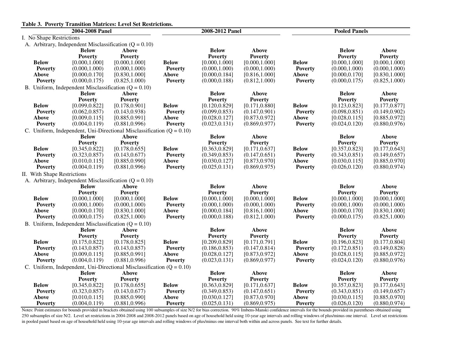|                                                                  |                                                                                                        | Table 3. Poverty Transition Matrices: Level Set Restrictions.                                          |                                                                  |                                                                                                        |                                                                                                        |                                                                  |                                                                                                        |                                                                                                        |  |  |
|------------------------------------------------------------------|--------------------------------------------------------------------------------------------------------|--------------------------------------------------------------------------------------------------------|------------------------------------------------------------------|--------------------------------------------------------------------------------------------------------|--------------------------------------------------------------------------------------------------------|------------------------------------------------------------------|--------------------------------------------------------------------------------------------------------|--------------------------------------------------------------------------------------------------------|--|--|
|                                                                  | 2004-2008 Panel                                                                                        |                                                                                                        |                                                                  | 2008-2012 Panel                                                                                        |                                                                                                        |                                                                  | <b>Pooled Panels</b>                                                                                   |                                                                                                        |  |  |
| I. No Shape Restrictions                                         |                                                                                                        |                                                                                                        |                                                                  |                                                                                                        |                                                                                                        |                                                                  |                                                                                                        |                                                                                                        |  |  |
|                                                                  |                                                                                                        | A. Arbitrary, Independent Misclassification ( $Q = 0.10$ )                                             |                                                                  |                                                                                                        |                                                                                                        |                                                                  |                                                                                                        |                                                                                                        |  |  |
| <b>Below</b><br>Poverty<br><b>Above</b><br>Poverty               | <b>Below</b><br><b>Poverty</b><br>[0.000, 1.000]<br>(0.000, 1.000)<br>[0.000, 0.170]<br>(0.000, 0.175) | <b>Above</b><br><b>Poverty</b><br>[0.000, 1.000]<br>(0.000, 1.000)<br>[0.830, 1.000]<br>(0.825, 1.000) | <b>Below</b><br><b>Poverty</b><br><b>Above</b><br><b>Poverty</b> | <b>Below</b><br><b>Poverty</b><br>[0.000, 1.000]<br>(0.000, 1.000)<br>[0.000, 0.184]<br>(0.000, 0.188) | <b>Above</b><br><b>Poverty</b><br>[0.000, 1.000]<br>(0.000, 1.000)<br>[0.816, 1.000]<br>(0.812, 1.000) | <b>Below</b><br><b>Poverty</b><br><b>Above</b><br><b>Poverty</b> | <b>Below</b><br><b>Poverty</b><br>[0.000, 1.000]<br>(0.000, 1.000)<br>[0.000, 0.170]<br>(0.000, 0.175) | Above<br><b>Poverty</b><br>[0.000, 1.000]<br>(0.000, 1.000)<br>[0.830, 1.000]<br>(0.825, 1.000)        |  |  |
|                                                                  |                                                                                                        | B. Uniform, Independent Misclassification $(Q = 0.10)$                                                 |                                                                  |                                                                                                        |                                                                                                        |                                                                  |                                                                                                        |                                                                                                        |  |  |
|                                                                  | <b>Below</b>                                                                                           | <b>Above</b>                                                                                           |                                                                  | <b>Below</b>                                                                                           | Above                                                                                                  |                                                                  | <b>Below</b>                                                                                           | <b>Above</b>                                                                                           |  |  |
|                                                                  | <b>Poverty</b>                                                                                         | <b>Poverty</b>                                                                                         |                                                                  | <b>Poverty</b>                                                                                         | <b>Poverty</b>                                                                                         |                                                                  | <b>Poverty</b>                                                                                         | <b>Poverty</b>                                                                                         |  |  |
| <b>Below</b><br><b>Poverty</b><br><b>Above</b><br><b>Poverty</b> | [0.099, 0.822]<br>(0.062, 0.857)<br>[0.009, 0.115]<br>(0.004, 0.119)                                   | [0.178, 0.901]<br>(0.143, 0.938)<br>[0.885, 0.991]<br>(0.881, 0.996)                                   | <b>Below</b><br><b>Poverty</b><br><b>Above</b><br><b>Poverty</b> | [0.120, 0.829]<br>(0.099, 0.853)<br>[0.028, 0.127]<br>(0.023, 0.131)                                   | [0.171, 0.880]<br>(0.147, 0.901)<br>[0.873, 0.972]<br>(0.869, 0.977)                                   | <b>Below</b><br><b>Poverty</b><br>Above<br><b>Poverty</b>        | [0.123, 0.823]<br>(0.098, 0.851)<br>[0.028, 0.115]<br>(0.024, 0.120)                                   | [0.177, 0.877]<br>(0.149, 0.902)<br>[0.885, 0.972]<br>(0.880, 0.976)                                   |  |  |
|                                                                  |                                                                                                        | C. Uniform, Independent, Uni-Directional Misclassification $(Q = 0.10)$                                |                                                                  |                                                                                                        |                                                                                                        |                                                                  |                                                                                                        |                                                                                                        |  |  |
|                                                                  | <b>Below</b>                                                                                           | <b>Above</b>                                                                                           |                                                                  | <b>Below</b>                                                                                           | <b>Above</b>                                                                                           |                                                                  | <b>Below</b>                                                                                           | <b>Above</b>                                                                                           |  |  |
| <b>Below</b><br><b>Poverty</b><br>Above<br><b>Poverty</b>        | <b>Poverty</b><br>[0.345, 0.822]<br>(0.323, 0.857)<br>[0.010, 0.115]<br>(0.004, 0.119)                 | <b>Poverty</b><br>[0.178, 0.655]<br>(0.143, 0.677)<br>[0.885, 0.990]<br>(0.881, 0.996)                 | <b>Below</b><br><b>Poverty</b><br><b>Above</b><br><b>Poverty</b> | <b>Poverty</b><br>[0.363, 0.829]<br>(0.349, 0.853)<br>[0.030, 0.127]<br>(0.025, 0.131)                 | <b>Poverty</b><br>[0.171, 0.637]<br>(0.147, 0.651)<br>[0.873, 0.970]<br>(0.869, 0.975)                 | <b>Below</b><br><b>Poverty</b><br>Above<br><b>Poverty</b>        | <b>Poverty</b><br>[0.357, 0.823]<br>(0.343, 0.851)<br>[0.030, 0.115]<br>(0.026, 0.120)                 | <b>Poverty</b><br>[0.177, 0.643]<br>(0.149, 0.657)<br>[0.885, 0.970]<br>(0.880, 0.974)                 |  |  |
| II. With Shape Restrictions                                      |                                                                                                        |                                                                                                        |                                                                  |                                                                                                        |                                                                                                        |                                                                  |                                                                                                        |                                                                                                        |  |  |
|                                                                  |                                                                                                        | A. Arbitrary, Independent Misclassification $(Q = 0.10)$                                               |                                                                  |                                                                                                        |                                                                                                        |                                                                  |                                                                                                        |                                                                                                        |  |  |
| <b>Below</b><br><b>Poverty</b><br>Above<br><b>Poverty</b>        | <b>Below</b><br><b>Poverty</b><br>[0.000, 1.000]<br>(0.000, 1.000)<br>[0.000, 0.170]<br>(0.000, 0.175) | Above<br><b>Poverty</b><br>[0.000, 1.000]<br>(0.000, 1.000)<br>[0.830, 1.000]<br>(0.825, 1.000)        | <b>Below</b><br><b>Poverty</b><br>Above<br><b>Poverty</b>        | <b>Below</b><br><b>Poverty</b><br>[0.000, 1.000]<br>(0.000, 1.000)<br>[0.000, 0.184]<br>(0.000, 0.188) | <b>Above</b><br><b>Poverty</b><br>[0.000, 1.000]<br>(0.000, 1.000)<br>[0.816, 1.000]<br>(0.812, 1.000) | <b>Below</b><br><b>Poverty</b><br><b>Above</b><br><b>Poverty</b> | <b>Below</b><br><b>Poverty</b><br>[0.000, 1.000]<br>(0.000, 1.000)<br>[0.000, 0.170]<br>(0.000, 0.175) | <b>Above</b><br><b>Poverty</b><br>[0.000, 1.000]<br>(0.000, 1.000)<br>[0.830, 1.000]<br>(0.825, 1.000) |  |  |
|                                                                  |                                                                                                        | B. Uniform, Independent Misclassification $(Q = 0.10)$                                                 |                                                                  |                                                                                                        |                                                                                                        |                                                                  |                                                                                                        |                                                                                                        |  |  |
|                                                                  | <b>Below</b><br><b>Poverty</b>                                                                         | <b>Above</b><br><b>Poverty</b>                                                                         |                                                                  | <b>Below</b><br><b>Poverty</b>                                                                         | <b>Above</b><br><b>Poverty</b>                                                                         |                                                                  | <b>Below</b><br><b>Poverty</b>                                                                         | <b>Above</b><br><b>Poverty</b>                                                                         |  |  |
| <b>Below</b><br><b>Poverty</b><br>Above<br>Poverty               | [0.175, 0.822]<br>(0.143, 0.857)<br>[0.009, 0.115]<br>(0.004, 0.119)                                   | [0.178, 0.825]<br>(0.143, 0.857)<br>[0.885, 0.991]<br>(0.881, 0.996)                                   | <b>Below</b><br><b>Poverty</b><br><b>Above</b><br><b>Poverty</b> | [0.209, 0.829]<br>(0.186, 0.853)<br>[0.028, 0.127]<br>(0.023, 0.131)                                   | [0.171, 0.791]<br>(0.147, 0.814)<br>[0.873, 0.972]<br>(0.869, 0.977)                                   | <b>Below</b><br><b>Poverty</b><br><b>Above</b><br><b>Poverty</b> | [0.196, 0.823]<br>(0.172, 0.851)<br>[0.028, 0.115]<br>(0.024, 0.120)                                   | [0.177, 0.804]<br>(0.149, 0.828)<br>[0.885, 0.972]<br>(0.880, 0.976)                                   |  |  |
|                                                                  |                                                                                                        | C. Uniform, Independent, Uni-Directional Misclassification $(Q = 0.10)$                                |                                                                  |                                                                                                        |                                                                                                        |                                                                  |                                                                                                        |                                                                                                        |  |  |
|                                                                  | <b>Below</b><br><b>Poverty</b>                                                                         | <b>Above</b><br><b>Poverty</b>                                                                         |                                                                  | <b>Below</b><br><b>Poverty</b>                                                                         | <b>Above</b><br><b>Poverty</b>                                                                         |                                                                  | <b>Below</b><br><b>Poverty</b>                                                                         | <b>Above</b><br><b>Poverty</b>                                                                         |  |  |
| <b>Below</b>                                                     | [0.345, 0.822]                                                                                         | [0.178, 0.655]                                                                                         | <b>Below</b>                                                     | [0.363, 0.829]                                                                                         | [0.171, 0.637]                                                                                         | <b>Below</b>                                                     | [0.357, 0.823]                                                                                         | [0.177, 0.643]                                                                                         |  |  |
| Poverty<br><b>Above</b><br>Poverty                               | (0.323, 0.857)<br>[0.010, 0.115]<br>(0.004, 0.119)                                                     | (0.143, 0.677)<br>[0.885, 0.990]<br>(0.881, 0.996)                                                     | <b>Poverty</b><br>Above<br><b>Poverty</b>                        | (0.349, 0.853)<br>[0.030, 0.127]<br>(0.025, 0.131)                                                     | (0.147, 0.651)<br>[0.873, 0.970]<br>(0.869, 0.975)                                                     | <b>Poverty</b><br><b>Above</b><br>Poverty                        | (0.343, 0.851)<br>[0.030, 0.115]<br>(0.026, 0.120)                                                     | (0.149, 0.657)<br>[0.885, 0.970]<br>(0.880, 0.974)                                                     |  |  |

Notes: Point estimates for bounds provided in brackets obtained using 100 subsamples of size N/2 for bias correction. 90% Imbens-Manski confidence intervals for the bounds provided in parentheses obtained using 250 subsamples of size N/2. Level set restrictions in 2004-2008 and 2008-2012 panels based on age of household held using 10-year age intervals and rolling windows of plus/minus one interval. Level set restrictions in pooled panel based on age of household held using 10-year age intervals and rolling windows of plus/minus one interval both within and across panels. See text for further details.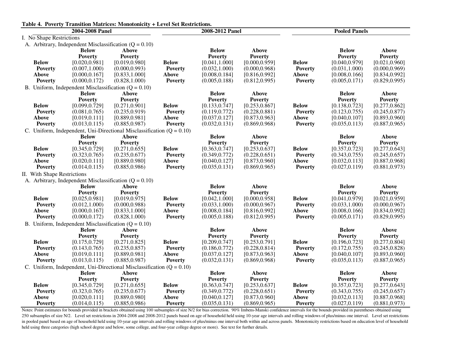|                                                                  |                                                                                                        | Table 4. Poverty Transition Matrices: Monotonicity + Level Set Restrictions.                           |                                                           |                                                                                                        |                                                                                                        |                                                                  |                                                                                                        |                                                                                                 |  |
|------------------------------------------------------------------|--------------------------------------------------------------------------------------------------------|--------------------------------------------------------------------------------------------------------|-----------------------------------------------------------|--------------------------------------------------------------------------------------------------------|--------------------------------------------------------------------------------------------------------|------------------------------------------------------------------|--------------------------------------------------------------------------------------------------------|-------------------------------------------------------------------------------------------------|--|
|                                                                  | 2004-2008 Panel                                                                                        |                                                                                                        |                                                           | 2008-2012 Panel                                                                                        |                                                                                                        |                                                                  | <b>Pooled Panels</b>                                                                                   |                                                                                                 |  |
| I. No Shape Restrictions                                         |                                                                                                        |                                                                                                        |                                                           |                                                                                                        |                                                                                                        |                                                                  |                                                                                                        |                                                                                                 |  |
|                                                                  |                                                                                                        | A. Arbitrary, Independent Misclassification $(Q = 0.10)$                                               |                                                           |                                                                                                        |                                                                                                        |                                                                  |                                                                                                        |                                                                                                 |  |
| <b>Below</b><br><b>Poverty</b><br><b>Above</b><br><b>Poverty</b> | <b>Below</b><br><b>Poverty</b><br>[0.020, 0.981]<br>(0.007, 1.000)<br>[0.000, 0.167]<br>(0.000, 0.172) | <b>Above</b><br><b>Poverty</b><br>[0.019, 0.980]<br>(0.000, 0.993)<br>[0.833, 1.000]<br>(0.828, 1.000) | <b>Below</b><br>Poverty<br><b>Above</b><br>Poverty        | <b>Below</b><br><b>Poverty</b><br>[0.041, 1.000]<br>(0.032, 1.000)<br>[0.008, 0.184]<br>(0.005, 0.188) | <b>Above</b><br>Poverty<br>[0.000, 0.959]<br>(0.000, 0.968)<br>[0.816, 0.992]<br>(0.812, 0.995)        | <b>Below</b><br><b>Poverty</b><br><b>Above</b><br><b>Poverty</b> | <b>Below</b><br><b>Poverty</b><br>[0.040, 0.979]<br>(0.031, 1.000)<br>[0.008, 0.166]<br>(0.005, 0.171) | Above<br><b>Poverty</b><br>[0.021, 0.960]<br>(0.000, 0.969)<br>[0.834, 0.992]<br>(0.829, 0.995) |  |
|                                                                  | B. Uniform, Independent Misclassification $(Q = 0.10)$                                                 |                                                                                                        |                                                           |                                                                                                        |                                                                                                        |                                                                  |                                                                                                        |                                                                                                 |  |
|                                                                  | <b>Below</b>                                                                                           | <b>Above</b>                                                                                           |                                                           | <b>Below</b>                                                                                           | <b>Above</b>                                                                                           |                                                                  | <b>Below</b>                                                                                           | Above                                                                                           |  |
|                                                                  | <b>Poverty</b>                                                                                         | <b>Poverty</b>                                                                                         |                                                           | <b>Poverty</b>                                                                                         | Poverty                                                                                                |                                                                  | <b>Poverty</b>                                                                                         | <b>Poverty</b>                                                                                  |  |
| <b>Below</b><br><b>Poverty</b><br><b>Above</b><br><b>Poverty</b> | [0.099, 0.729]<br>(0.081, 0.765)<br>[0.019, 0.111]<br>(0.013, 0.115)                                   | [0.271, 0.901]<br>(0.235, 0.919)<br>[0.889, 0.981]<br>(0.885, 0.987)                                   | <b>Below</b><br><b>Poverty</b><br>Above<br><b>Poverty</b> | [0.133, 0.747]<br>(0.119, 0.772)<br>[0.037, 0.127]<br>(0.032, 0.131)                                   | [0.253, 0.867]<br>(0.228, 0.881)<br>[0.873, 0.963]<br>(0.869, 0.968)                                   | <b>Below</b><br><b>Poverty</b><br><b>Above</b><br><b>Poverty</b> | [0.138, 0.723]<br>(0.123, 0.755)<br>[0.040, 0.107]<br>(0.035, 0.113)                                   | [0.277, 0.862]<br>(0.245, 0.877)<br>[0.893, 0.960]<br>(0.887, 0.965)                            |  |
|                                                                  |                                                                                                        | C. Uniform, Independent, Uni-Directional Misclassification $(Q = 0.10)$                                |                                                           |                                                                                                        |                                                                                                        |                                                                  |                                                                                                        |                                                                                                 |  |
|                                                                  | <b>Below</b>                                                                                           | <b>Above</b>                                                                                           |                                                           | <b>Below</b>                                                                                           | <b>Above</b>                                                                                           |                                                                  | <b>Below</b>                                                                                           | <b>Above</b>                                                                                    |  |
| <b>Below</b><br><b>Poverty</b><br><b>Above</b><br><b>Poverty</b> | <b>Poverty</b><br>[0.345, 0.729]<br>(0.323, 0.765)<br>[0.020, 0.111]<br>(0.014, 0.115)                 | <b>Poverty</b><br>[0.271, 0.655]<br>(0.235, 0.677)<br>[0.889, 0.980]<br>(0.885, 0.986)                 | <b>Below</b><br><b>Poverty</b><br>Above<br><b>Poverty</b> | <b>Poverty</b><br>[0.363, 0.747]<br>(0.349, 0.772)<br>[0.040, 0.127]<br>(0.035, 0.131)                 | Poverty<br>[0.253, 0.637]<br>(0.228, 0.651)<br>[0.873, 0.960]<br>(0.869, 0.965)                        | <b>Below</b><br><b>Poverty</b><br><b>Above</b><br><b>Poverty</b> | <b>Poverty</b><br>[0.357, 0.723]<br>(0.343, 0.755)<br>[0.032, 0.113]<br>(0.027, 0.119)                 | <b>Poverty</b><br>[0.277, 0.643]<br>(0.245, 0.657)<br>[0.887, 0.968]<br>(0.881, 0.973)          |  |
| II. With Shape Restrictions                                      |                                                                                                        |                                                                                                        |                                                           |                                                                                                        |                                                                                                        |                                                                  |                                                                                                        |                                                                                                 |  |
|                                                                  |                                                                                                        | A. Arbitrary, Independent Misclassification $(Q = 0.10)$                                               |                                                           |                                                                                                        |                                                                                                        |                                                                  |                                                                                                        |                                                                                                 |  |
| <b>Below</b><br><b>Poverty</b><br><b>Above</b><br><b>Poverty</b> | <b>Below</b><br><b>Poverty</b><br>[0.025, 0.981]<br>(0.012, 1.000)<br>[0.000, 0.167]<br>(0.000, 0.172) | Above<br><b>Poverty</b><br>[0.019, 0.975]<br>(0.000, 0.988)<br>[0.833, 1.000]<br>(0.828, 1.000)        | <b>Below</b><br><b>Poverty</b><br>Above<br><b>Poverty</b> | <b>Below</b><br><b>Poverty</b><br>[0.042, 1.000]<br>(0.033, 1.000)<br>[0.008, 0.184]<br>(0.005, 0.188) | <b>Above</b><br>Poverty<br>[0.000, 0.958]<br>(0.000, 0.967)<br>[0.816, 0.992]<br>(0.812, 0.995)        | <b>Below</b><br><b>Poverty</b><br>Above<br><b>Poverty</b>        | <b>Below</b><br><b>Poverty</b><br>[0.041, 0.979]<br>(0.033, 1.000)<br>[0.008, 0.166]<br>(0.005, 0.171) | Above<br><b>Poverty</b><br>[0.021, 0.959]<br>(0.000, 0.967)<br>[0.834, 0.992]<br>(0.829, 0.995) |  |
|                                                                  | B. Uniform, Independent Misclassification $(Q = 0.10)$                                                 |                                                                                                        |                                                           |                                                                                                        |                                                                                                        |                                                                  |                                                                                                        |                                                                                                 |  |
| <b>Below</b><br><b>Poverty</b><br><b>Above</b><br><b>Poverty</b> | <b>Below</b><br><b>Poverty</b><br>[0.175, 0.729]<br>(0.143, 0.765)<br>[0.019, 0.111]<br>(0.013, 0.115) | <b>Above</b><br><b>Poverty</b><br>[0.271, 0.825]<br>(0.235, 0.857)<br>[0.889, 0.981]<br>(0.885, 0.987) | <b>Below</b><br><b>Poverty</b><br>Above<br>Poverty        | <b>Below</b><br><b>Poverty</b><br>[0.209, 0.747]<br>(0.186, 0.772)<br>[0.037, 0.127]<br>(0.032, 0.131) | <b>Above</b><br><b>Poverty</b><br>[0.253, 0.791]<br>(0.228, 0.814)<br>[0.873, 0.963]<br>(0.869, 0.968) | <b>Below</b><br><b>Poverty</b><br><b>Above</b><br><b>Poverty</b> | <b>Below</b><br><b>Poverty</b><br>[0.196, 0.723]<br>(0.172, 0.755)<br>[0.040, 0.107]<br>(0.035, 0.113) | Above<br><b>Poverty</b><br>[0.277, 0.804]<br>(0.245, 0.828)<br>[0.893, 0.960]<br>(0.887, 0.965) |  |
|                                                                  |                                                                                                        | C. Uniform, Independent, Uni-Directional Misclassification $(Q = 0.10)$                                |                                                           |                                                                                                        |                                                                                                        |                                                                  |                                                                                                        |                                                                                                 |  |
| <b>Below</b><br><b>Poverty</b><br><b>Above</b>                   | <b>Below</b><br><b>Poverty</b><br>[0.345, 0.729]<br>(0.323, 0.765)<br>[0.020, 0.111]                   | <b>Above</b><br><b>Poverty</b><br>[0.271, 0.655]<br>(0.235, 0.677)<br>[0.889, 0.980]                   | <b>Below</b><br>Poverty<br>Above                          | <b>Below</b><br><b>Poverty</b><br>[0.363, 0.747]<br>(0.349, 0.772)<br>[0.040, 0.127]                   | <b>Above</b><br>Poverty<br>[0.253, 0.637]<br>(0.228, 0.651)<br>[0.873, 0.960]                          | <b>Below</b><br><b>Poverty</b><br>Above                          | <b>Below</b><br><b>Poverty</b><br>[0.357, 0.723]<br>(0.343, 0.755)<br>[0.032, 0.113]                   | <b>Above</b><br><b>Poverty</b><br>[0.277, 0.643]<br>(0.245, 0.657)<br>[0.887, 0.968]            |  |
| <b>Poverty</b>                                                   | (0.014, 0.115)                                                                                         | (0.885, 0.986)                                                                                         | <b>Poverty</b>                                            | (0.035, 0.131)                                                                                         | (0.869, 0.965)                                                                                         | <b>Poverty</b>                                                   | (0.027, 0.119)                                                                                         | (0.881, 0.973)                                                                                  |  |

Notes: Point estimates for bounds provided in brackets obtained using 100 subsamples of size N/2 for bias correction. 90% Imbens-Manski confidence intervals for the bounds provided in parentheses obtained using 250 subsamples of size N/2. Level set restrictions in 2004-2008 and 2008-2012 panels based on age of household held using 10-year age intervals and rolling windows of plus/minus one interval. Level set restrictions in pooled panel based on age of household held using 10-year age intervals and rolling windows of plus/minus one interval both within and across panels. Monotonicity restrictions based on education level of household held using three categories (high school degree and below, some college, and four-year college degree or more). See text for further details.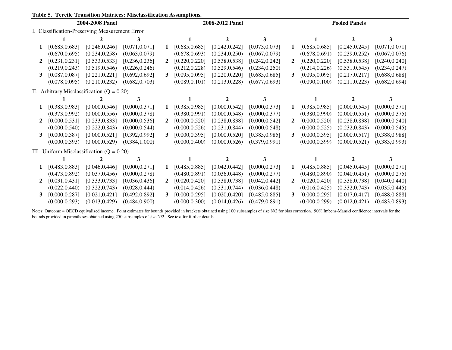|  |  | <b>Table 5. Tercile Transition Matrices: Misclassification Assumptions.</b> |  |
|--|--|-----------------------------------------------------------------------------|--|
|  |  |                                                                             |  |

| 2004-2008 Panel                              |                                 |                |                                                                                               | 2008-2012 Panel |                |                |             | <b>Pooled Panels</b> |                             |                |
|----------------------------------------------|---------------------------------|----------------|-----------------------------------------------------------------------------------------------|-----------------|----------------|----------------|-------------|----------------------|-----------------------------|----------------|
|                                              |                                 |                |                                                                                               |                 |                |                |             |                      |                             |                |
|                                              |                                 | 3              |                                                                                               |                 |                | 3              |             |                      | $\mathcal{D}_{\mathcal{L}}$ |                |
| [0.683, 0.683]                               | [0.246, 0.246]                  | [0.071, 0.071] | 1                                                                                             | [0.685, 0.685]  | [0.242, 0.242] | [0.073, 0.073] | 1           | [0.685, 0.685]       | [0.245, 0.245]              | [0.071, 0.071] |
| (0.670, 0.695)                               | (0.234, 0.258)                  | (0.063, 0.079) |                                                                                               | (0.678, 0.693)  | (0.234, 0.250) | (0.067, 0.079) |             | (0.678, 0.691)       | (0.239, 0.252)              | (0.067, 0.076) |
| [0.231, 0.231]                               | [0.533, 0.533]                  | [0.236, 0.236] | $\overline{2}$                                                                                | [0.220, 0.220]  | [0.538, 0.538] | [0.242, 0.242] |             | [0.220, 0.220]       | [0.538, 0.538]              | [0.240, 0.240] |
| (0.219, 0.243)                               | (0.519, 0.546)                  | (0.226, 0.246) |                                                                                               | (0.212, 0.228)  | (0.529, 0.546) | (0.234, 0.250) |             | (0.214, 0.226)       | (0.531, 0.545)              | (0.234, 0.247) |
| [0.087, 0.087]                               | [0.221, 0.221]                  | [0.692, 0.692] | 3                                                                                             | [0.095, 0.095]  | [0.220, 0.220] | [0.685, 0.685] | 3           | [0.095, 0.095]       | [0.217, 0.217]              | [0.688, 0.688] |
| (0.078, 0.095)                               | (0.210, 0.232)                  | (0.682, 0.703) |                                                                                               | (0.089, 0.101)  | (0.213, 0.228) | (0.677, 0.693) |             | (0.090, 0.100)       | (0.211, 0.223)              | (0.682, 0.694) |
| II. Arbitrary Misclassification $(Q = 0.20)$ |                                 |                |                                                                                               |                 |                |                |             |                      |                             |                |
|                                              |                                 |                |                                                                                               |                 |                | 3              |             |                      | 2                           |                |
| [0.383, 0.983]                               | [0.000, 0.546]                  | [0.000, 0.371] |                                                                                               | [0.385, 0.985]  | [0.000, 0.542] | [0.000, 0.373] | 1           | [0.385, 0.985]       | [0.000, 0.545]              | [0.000, 0.371] |
| (0.373, 0.992)                               | (0.000, 0.556)                  | (0.000, 0.378) |                                                                                               | (0.380, 0.991)  | (0.000, 0.548) | (0.000, 0.377) |             | (0.380, 0.990)       | (0.000, 0.551)              | (0.000, 0.375) |
| [0.000, 0.531]                               | [0.233, 0.833]                  | [0.000, 0.536] | $\mathbf{2}$                                                                                  | [0.000, 0.520]  | [0.238, 0.838] | [0.000, 0.542] | $\mathbf 2$ | [0.000, 0.520]       | [0.238, 0.838]              | [0.000, 0.540] |
| (0.000, 0.540)                               | (0.222, 0.843)                  | (0.000, 0.544) |                                                                                               | (0.000, 0.526)  | (0.231, 0.844) | (0.000, 0.548) |             | (0.000, 0.525)       | (0.232, 0.843)              | (0.000, 0.545) |
| [0.000, 0.387]                               | [0.000, 0.521]                  | [0.392, 0.992] | 3                                                                                             | [0.000, 0.395]  | [0.000, 0.520] | [0.385, 0.985] | 3           | [0.000, 0.395]       | [0.000, 0.517]              | [0.388, 0.988] |
| (0.000, 0.393)                               | (0.000, 0.529)                  | (0.384, 1.000) |                                                                                               | (0.000, 0.400)  | (0.000, 0.526) | (0.379, 0.991) |             | (0.000, 0.399)       | (0.000, 0.521)              | (0.383, 0.993) |
|                                              |                                 |                |                                                                                               |                 |                |                |             |                      |                             |                |
|                                              |                                 | 3              |                                                                                               |                 |                | 3              |             |                      |                             |                |
| [0.483, 0.883]                               | [0.046, 0.446]                  | [0.000, 0.271] |                                                                                               | [0.485, 0.885]  | [0.042, 0.442] | [0.000, 0.273] | 1           | [0.485, 0.885]       | [0.045, 0.445]              | [0.000, 0.271] |
| (0.473, 0.892)                               | (0.037, 0.456)                  | (0.000, 0.278) |                                                                                               | (0.480, 0.891)  | (0.036, 0.448) | (0.000, 0.277) |             | (0.480, 0.890)       | (0.040, 0.451)              | (0.000, 0.275) |
| [0.031, 0.431]                               | [0.333, 0.733]                  | [0.036, 0.436] | $\mathbf{2}$                                                                                  | [0.020, 0.420]  | [0.338, 0.738] | [0.042, 0.442] | $\mathbf 2$ | [0.020, 0.420]       | [0.338, 0.738]              | [0.040, 0.440] |
| (0.022, 0.440)                               | (0.322, 0.743)                  | (0.028, 0.444) |                                                                                               | (0.014, 0.426)  | (0.331, 0.744) | (0.036, 0.448) |             | (0.016, 0.425)       | (0.332, 0.743)              | (0.035, 0.445) |
| [0.000, 0.287]                               | [0.021, 0.421]                  | [0.492, 0.892] | 3                                                                                             | [0.000, 0.295]  | [0.020, 0.420] | [0.485, 0.885] | 3           | [0.000, 0.295]       | [0.017, 0.417]              | [0.488, 0.888] |
| (0.000, 0.293)                               | (0.013, 0.429)                  | (0.484, 0.900) |                                                                                               | (0.000, 0.300)  | (0.014, 0.426) | (0.479, 0.891) |             | (0.000, 0.299)       | (0.012, 0.421)              | (0.483, 0.893) |
|                                              | 2<br>3<br>1<br>2<br>3<br>2<br>3 |                | I. Classification-Preserving Measurement Error<br>III. Uniform Misclassification $(Q = 0.20)$ |                 |                |                |             |                      |                             |                |

Notes: Outcome = OECD equivalized income. Point estimates for bounds provided in brackets obtained using 100 subsamples of size N/2 for bias correction. 90% Imbens-Manski confidence intervals for the bounds provided in parentheses obtained using 250 subsamples of size N/2. See text for further details.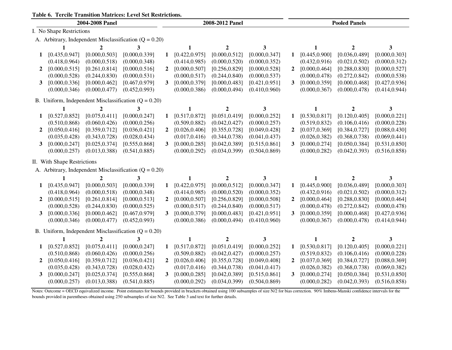**Table 6. Tercile Transition Matrices: Level Set Restrictions.**

| 1 avic v.<br>Terche Transition matrices. Level Set Restrictions.<br>2004-2008 Panel |                             |                |                                                            | 2008-2012 Panel |                |                  |                | <b>Pooled Panels</b> |                |                  |                |
|-------------------------------------------------------------------------------------|-----------------------------|----------------|------------------------------------------------------------|-----------------|----------------|------------------|----------------|----------------------|----------------|------------------|----------------|
|                                                                                     | I. No Shape Restrictions    |                |                                                            |                 |                |                  |                |                      |                |                  |                |
|                                                                                     |                             |                | A. Arbitrary, Independent Misclassification ( $Q = 0.20$ ) |                 |                |                  |                |                      |                |                  |                |
|                                                                                     | 1                           | $\overline{2}$ | 3                                                          |                 | 1              | $\overline{2}$   | 3              |                      | $\mathbf{1}$   | $\mathbf{2}$     | 3              |
| 1                                                                                   | [0.435, 0.947]              | [0.000, 0.503] | [0.000, 0.339]                                             | 1               | [0.422, 0.975] | [0.000, 0.512]   | [0.000, 0.347] | 1                    | [0.445, 0.900] | [0.036, 0.489]   | [0.000, 0.303] |
|                                                                                     | (0.418, 0.964)              | (0.000, 0.518) | (0.000, 0.348)                                             |                 | (0.414, 0.985) | (0.000, 0.520)   | (0.000, 0.352) |                      | (0.432, 0.916) | (0.021, 0.502)   | (0.000, 0.312) |
| $\mathbf{2}$                                                                        | [0.000, 0.515]              | [0.261, 0.814] | [0.000, 0.516]                                             | $\overline{2}$  | [0.000, 0.507] | [0.256, 0.829]   | [0.000, 0.528] | $\mathbf{2}$         | [0.000, 0.464] | [0.288, 0.830]   | [0.000, 0.527] |
|                                                                                     | (0.000, 0.528)              | (0.244, 0.830) | (0.000, 0.531)                                             |                 | (0.000, 0.517) | (0.244, 0.840)   | (0.000, 0.537) |                      | (0.000, 0.478) | (0.272, 0.842)   | (0.000, 0.538) |
| 3                                                                                   | [0.000, 0.336]              | [0.000, 0.462] | [0.467, 0.979]                                             | $\mathbf{3}$    | [0.000, 0.379] | [0.000, 0.483]   | [0.421, 0.951] | 3                    | [0.000, 0.359] | [0.000, 0.468]   | [0.427, 0.936] |
|                                                                                     | (0.000, 0.346)              | (0.000, 0.477) | (0.452, 0.993)                                             |                 | (0.000, 0.386) | (0.000, 0.494)   | (0.410, 0.960) |                      | (0.000, 0.367) | (0.000, 0.478)   | (0.414, 0.944) |
|                                                                                     |                             |                | B. Uniform, Independent Misclassification $(Q = 0.20)$     |                 |                |                  |                |                      |                |                  |                |
|                                                                                     | 1                           | $\overline{2}$ | 3                                                          |                 | $\mathbf{1}$   | $\boldsymbol{2}$ | 3              |                      | 1              | $\boldsymbol{2}$ | 3              |
| 1                                                                                   | [0.527, 0.852]              | [0.075, 0.411] | [0.000, 0.247]                                             | 1               | [0.517, 0.872] | [0.051, 0.419]   | [0.000, 0.252] | 1                    | [0.530, 0.817] | [0.120, 0.405]   | [0.000, 0.221] |
|                                                                                     | (0.510, 0.868)              | (0.060, 0.426) | (0.000, 0.256)                                             |                 | (0.509, 0.882) | (0.042, 0.427)   | (0.000, 0.257) |                      | (0.519, 0.832) | (0.106, 0.416)   | (0.000, 0.228) |
| $\overline{2}$                                                                      | [0.050, 0.416]              | [0.359, 0.712] | [0.036, 0.421]                                             | $\overline{2}$  | [0.026, 0.406] | [0.355, 0.728]   | [0.049, 0.428] | $\overline{2}$       | [0.037, 0.369] | [0.384, 0.727]   | [0.088, 0.430] |
|                                                                                     | (0.035, 0.428)              | (0.343, 0.728) | (0.028, 0.434)                                             |                 | (0.017, 0.416) | (0.344, 0.738)   | (0.041, 0.437) |                      | (0.026, 0.382) | (0.368, 0.738)   | (0.069, 0.441) |
| $3^{\circ}$                                                                         | [0.000, 0.247]              | [0.025, 0.374] | [0.555, 0.868]                                             | 3               | [0.000, 0.285] | [0.042, 0.389]   | [0.515, 0.861] | 3                    | [0.000, 0.274] | [0.050, 0.384]   | [0.531, 0.850] |
|                                                                                     | (0.000, 0.257)              | (0.013, 0.388) | (0.541, 0.885)                                             |                 | (0.000, 0.292) | (0.034, 0.399)   | (0.504, 0.869) |                      | (0.000, 0.282) | (0.042, 0.393)   | (0.516, 0.858) |
|                                                                                     | II. With Shape Restrictions |                |                                                            |                 |                |                  |                |                      |                |                  |                |
|                                                                                     |                             |                | A. Arbitrary, Independent Misclassification $(Q = 0.20)$   |                 |                |                  |                |                      |                |                  |                |
|                                                                                     |                             | $\mathbf{2}$   | 3                                                          |                 | 1              | $\mathbf{2}$     | 3              |                      | 1              | $\mathbf{2}$     | 3              |
| 1                                                                                   | [0.435, 0.947]              | [0.000, 0.503] | [0.000, 0.339]                                             | 1               | [0.422, 0.975] | [0.000, 0.512]   | [0.000, 0.347] | 1                    | [0.445, 0.900] | [0.036, 0.489]   | [0.000, 0.303] |
|                                                                                     | (0.418, 0.964)              | (0.000, 0.518) | (0.000, 0.348)                                             |                 | (0.414, 0.985) | (0.000, 0.520)   | (0.000, 0.352) |                      | (0.432, 0.916) | (0.021, 0.502)   | (0.000, 0.312) |
| $\mathbf{2}$                                                                        | [0.000, 0.515]              | [0.261, 0.814] | [0.000, 0.513]                                             | $\overline{2}$  | [0.000, 0.507] | [0.256, 0.829]   | [0.000, 0.508] | $\mathbf{2}$         | [0.000, 0.464] | [0.288, 0.830]   | [0.000, 0.464] |
|                                                                                     | (0.000, 0.528)              | (0.244, 0.830) | (0.000, 0.525)                                             |                 | (0.000, 0.517) | (0.244, 0.840)   | (0.000, 0.517) |                      | (0.000, 0.478) | (0.272, 0.842)   | (0.000, 0.478) |
| 3                                                                                   | [0.000, 0.336]              | [0.000, 0.462] | [0.467, 0.979]                                             | 3               | [0.000, 0.379] | [0.000, 0.483]   | [0.421, 0.951] | 3                    | [0.000, 0.359] | [0.000, 0.468]   | [0.427, 0.936] |
|                                                                                     | (0.000, 0.346)              | (0.000, 0.477) | (0.452, 0.993)                                             |                 | (0.000, 0.386) | (0.000, 0.494)   | (0.410, 0.960) |                      | (0.000, 0.367) | (0.000, 0.478)   | (0.414, 0.944) |
|                                                                                     |                             |                | B. Uniform, Independent Misclassification $(Q = 0.20)$     |                 |                |                  |                |                      |                |                  |                |
|                                                                                     | 1                           | $\mathbf{2}$   | 3                                                          |                 | 1              | $\boldsymbol{2}$ | 3              |                      | 1              | $\overline{2}$   | 3              |
| 1                                                                                   | [0.527, 0.852]              | [0.075, 0.411] | [0.000, 0.247]                                             | 1               | [0.517, 0.872] | [0.051, 0.419]   | [0.000, 0.252] | 1                    | [0.530, 0.817] | [0.120, 0.405]   | [0.000, 0.221] |
|                                                                                     | (0.510, 0.868)              | (0.060, 0.426) | (0.000, 0.256)                                             |                 | (0.509, 0.882) | (0.042, 0.427)   | (0.000, 0.257) |                      | (0.519, 0.832) | (0.106, 0.416)   | (0.000, 0.228) |
| $\mathbf{2}$                                                                        | [0.050, 0.416]              | [0.359, 0.712] | [0.036, 0.421]                                             | $\overline{2}$  | [0.026, 0.406] | [0.355, 0.728]   | [0.049, 0.408] | 2                    | [0.037, 0.369] | [0.384, 0.727]   | [0.088, 0.369] |
|                                                                                     | (0.035, 0.428)              | (0.343, 0.728) | (0.028, 0.432)                                             |                 | (0.017, 0.416) | (0.344, 0.738)   | (0.041, 0.417) |                      | (0.026, 0.382) | (0.368, 0.738)   | (0.069, 0.382) |
| 3                                                                                   | [0.000, 0.247]              | [0.025, 0.374] | [0.555, 0.868]                                             | 3               | [0.000, 0.285] | [0.042, 0.389]   | [0.515, 0.861] | 3                    | [0.000, 0.274] | [0.050, 0.384]   | [0.531, 0.850] |
|                                                                                     | (0.000, 0.257)              | (0.013, 0.388) | (0.541, 0.885)                                             |                 | (0.000, 0.292) | (0.034, 0.399)   | (0.504, 0.869) |                      | (0.000, 0.282) | (0.042, 0.393)   | (0.516, 0.858) |

Notes: Outcome = OECD equivalized income. Point estimates for bounds provided in brackets obtained using 100 subsamples of size N/2 for bias correction. 90% Imbens-Manski confidence intervals for the bounds provided in parentheses obtained using 250 subsamples of size N/2. See Table 3 and text for further details.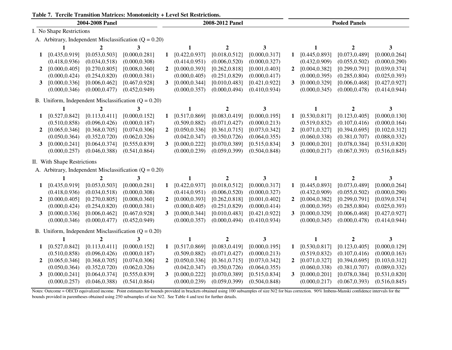| Table 7. Tercile Transition Matrices: Monotonicity + Level Set Restrictions. |                             |                 |                                                            |                |                |                  |                         |              |                |                      |                |  |
|------------------------------------------------------------------------------|-----------------------------|-----------------|------------------------------------------------------------|----------------|----------------|------------------|-------------------------|--------------|----------------|----------------------|----------------|--|
|                                                                              |                             | 2004-2008 Panel |                                                            |                |                | 2008-2012 Panel  |                         |              |                | <b>Pooled Panels</b> |                |  |
|                                                                              | I. No Shape Restrictions    |                 |                                                            |                |                |                  |                         |              |                |                      |                |  |
|                                                                              |                             |                 | A. Arbitrary, Independent Misclassification ( $Q = 0.20$ ) |                |                |                  |                         |              |                |                      |                |  |
|                                                                              |                             |                 | 3                                                          |                |                |                  | 3                       |              |                | $\mathbf 2$          | 3              |  |
| $\mathbf 1$                                                                  | [0.435, 0.919]              | [0.053, 0.503]  | [0.000, 0.281]                                             | 1              | [0.422, 0.937] | [0.018, 0.512]   | [0.000, 0.317]          | 1            | [0.445, 0.893] | [0.073, 0.489]       | [0.000, 0.264] |  |
|                                                                              | (0.418, 0.936)              | (0.034, 0.518)  | (0.000, 0.308)                                             |                | (0.414, 0.951) | (0.006, 0.520)   | (0.000, 0.327)          |              | (0.432, 0.909) | (0.055, 0.502)       | (0.000, 0.290) |  |
| $\mathbf{2}$                                                                 | [0.000, 0.405]              | [0.270, 0.805]  | [0.008, 0.360]                                             | $\overline{2}$ | [0.000, 0.393] | [0.262, 0.818]   | [0.001, 0.403]          | $\mathbf{2}$ | [0.004, 0.382] | [0.299, 0.791]       | [0.039, 0.374] |  |
|                                                                              | (0.000, 0.424)              | (0.254, 0.820)  | (0.000, 0.381)                                             |                | (0.000, 0.405) | (0.251, 0.829)   | (0.000, 0.417)          |              | (0.000, 0.395) | (0.285, 0.804)       | (0.025, 0.393) |  |
| 3                                                                            | [0.000, 0.336]              | [0.006, 0.462]  | [0.467, 0.928]                                             | $3^{\circ}$    | [0.000, 0.344] | [0.010, 0.483]   | [0.421, 0.922]          | 3            | [0.000, 0.329] | [0.006, 0.468]       | [0.427, 0.927] |  |
|                                                                              | (0.000, 0.346)              | (0.000, 0.477)  | (0.452, 0.949)                                             |                | (0.000, 0.357) | (0.000, 0.494)   | (0.410, 0.934)          |              | (0.000, 0.345) | (0.000, 0.478)       | (0.414, 0.944) |  |
|                                                                              |                             |                 | B. Uniform, Independent Misclassification $(Q = 0.20)$     |                |                |                  |                         |              |                |                      |                |  |
|                                                                              | $\mathbf{1}$                | $\mathbf{2}$    | 3                                                          |                | 1              | $\mathbf{2}$     | $\overline{\mathbf{3}}$ |              | 1              | $\mathbf{2}$         | 3              |  |
| 1                                                                            | [0.527, 0.842]              | [0.113, 0.411]  | [0.000, 0.152]                                             | $\mathbf{1}$   | [0.517, 0.869] | [0.083, 0.419]   | [0.000, 0.195]          | 1            | [0.530, 0.817] | [0.123, 0.405]       | [0.000, 0.130] |  |
|                                                                              | (0.510, 0.858)              | (0.096, 0.426)  | (0.000, 0.187)                                             |                | (0.509, 0.882) | (0.071, 0.427)   | (0.000, 0.213)          |              | (0.519, 0.832) | (0.107, 0.416)       | (0.000, 0.164) |  |
| $\mathbf{2}$                                                                 | [0.065, 0.346]              | [0.368, 0.705]  | [0.074, 0.306]                                             | $\overline{2}$ | [0.050, 0.336] | [0.361, 0.715]   | [0.073, 0.342]          | $\mathbf{2}$ | [0.071, 0.327] | [0.394, 0.695]       | [0.102, 0.312] |  |
|                                                                              | (0.050, 0.364)              | (0.352, 0.720)  | (0.062, 0.326)                                             |                | (0.042, 0.347) | (0.350, 0.726)   | (0.064, 0.355)          |              | (0.060, 0.338) | (0.381, 0.707)       | (0.088, 0.332) |  |
| 3                                                                            | [0.000, 0.241]              | [0.064, 0.374]  | [0.555, 0.839]                                             | $\mathbf{3}$   | [0.000, 0.222] | [0.070, 0.389]   | [0.515, 0.834]          | 3            | [0.000, 0.201] | [0.078, 0.384]       | [0.531, 0.820] |  |
|                                                                              | (0.000, 0.257)              | (0.046, 0.388)  | (0.541, 0.864)                                             |                | (0.000, 0.239) | (0.059, 0.399)   | (0.504, 0.848)          |              | (0.000, 0.217) | (0.067, 0.393)       | (0.516, 0.845) |  |
|                                                                              | II. With Shape Restrictions |                 |                                                            |                |                |                  |                         |              |                |                      |                |  |
|                                                                              |                             |                 | A. Arbitrary, Independent Misclassification $(Q = 0.20)$   |                |                |                  |                         |              |                |                      |                |  |
|                                                                              |                             | 2               | 3                                                          |                |                |                  | 3                       |              |                | 2                    | 3              |  |
| 1                                                                            | [0.435, 0.919]              | [0.053, 0.503]  | [0.000, 0.281]                                             | $\mathbf{1}$   | [0.422, 0.937] | [0.018, 0.512]   | [0.000, 0.317]          | 1            | [0.445, 0.893] | [0.073, 0.489]       | [0.000, 0.264] |  |
|                                                                              | (0.418, 0.936)              | (0.034, 0.518)  | (0.000, 0.308)                                             |                | (0.414, 0.951) | (0.006, 0.520)   | (0.000, 0.327)          |              | (0.432, 0.909) | (0.055, 0.502)       | (0.000, 0.290) |  |
| $\mathbf{2}$                                                                 | [0.000, 0.405]              | [0.270, 0.805]  | [0.008, 0.360]                                             | $\overline{2}$ | [0.000, 0.393] | [0.262, 0.818]   | [0.001, 0.402]          | $\mathbf{2}$ | [0.004, 0.382] | [0.299, 0.791]       | [0.039, 0.374] |  |
|                                                                              | (0.000, 0.424)              | (0.254, 0.820)  | (0.000, 0.381)                                             |                | (0.000, 0.405) | (0.251, 0.829)   | (0.000, 0.414)          |              | (0.000, 0.395) | (0.285, 0.804)       | (0.025, 0.393) |  |
| 3                                                                            | [0.000, 0.336]              | [0.006, 0.462]  | [0.467, 0.928]                                             | 3              | [0.000, 0.344] | [0.010, 0.483]   | [0.421, 0.922]          | 3            | [0.000, 0.329] | [0.006, 0.468]       | [0.427, 0.927] |  |
|                                                                              | (0.000, 0.346)              | (0.000, 0.477)  | (0.452, 0.949)                                             |                | (0.000, 0.357) | (0.000, 0.494)   | (0.410, 0.934)          |              | (0.000, 0.345) | (0.000, 0.478)       | (0.414, 0.944) |  |
|                                                                              |                             |                 | B. Uniform, Independent Misclassification $(Q = 0.20)$     |                |                |                  |                         |              |                |                      |                |  |
|                                                                              | $\mathbf{1}$                | $\overline{2}$  | 3                                                          |                | 1              | $\boldsymbol{2}$ | 3                       |              | $\mathbf{1}$   | $\mathbf{2}$         | 3              |  |
| 1                                                                            | [0.527, 0.842]              | [0.113, 0.411]  | [0.000, 0.152]                                             | 1              | [0.517, 0.869] | [0.083, 0.419]   | [0.000, 0.195]          | 1            | [0.530, 0.817] | [0.123, 0.405]       | [0.000, 0.129] |  |
|                                                                              | (0.510, 0.858)              | (0.096, 0.426)  | (0.000, 0.187)                                             |                | (0.509, 0.882) | (0.071, 0.427)   | (0.000, 0.213)          |              | (0.519, 0.832) | (0.107, 0.416)       | (0.000, 0.163) |  |
| $\mathbf{2}$                                                                 | [0.065, 0.346]              | [0.368, 0.705]  | [0.074, 0.306]                                             | $\mathbf{2}$   | [0.050, 0.336] | [0.361, 0.715]   | [0.073, 0.342]          | 2            | [0.071, 0.327] | [0.394, 0.695]       | [0.103, 0.312] |  |
|                                                                              | (0.050, 0.364)              | (0.352, 0.720)  | (0.062, 0.326)                                             |                | (0.042, 0.347) | (0.350, 0.726)   | (0.064, 0.355)          |              | (0.060, 0.338) | (0.381, 0.707)       | (0.089, 0.332) |  |
| 3                                                                            | [0.000, 0.241]              | [0.064, 0.374]  | [0.555, 0.839]                                             | 3              | [0.000, 0.222] | [0.070, 0.389]   | [0.515, 0.834]          | 3            | [0.000, 0.201] | [0.078, 0.384]       | [0.531, 0.820] |  |

**Table 7. Tercile Transition Matrices: Monotonicity + Level Set Restrictions.**

Notes: Outcome = OECD equivalized income. Point estimates for bounds provided in brackets obtained using 100 subsamples of size N/2 for bias correction. 90% Imbens-Manski confidence intervals for the bounds provided in parentheses obtained using 250 subsamples of size N/2. See Table 4 and text for further details.

 $(0.000, 0.257)$   $(0.046, 0.388)$   $(0.541, 0.864)$   $(0.000, 0.239)$   $(0.059, 0.399)$   $(0.504, 0.848)$   $(0.000, 0.217)$   $(0.067, 0.393)$   $(0.516, 0.845)$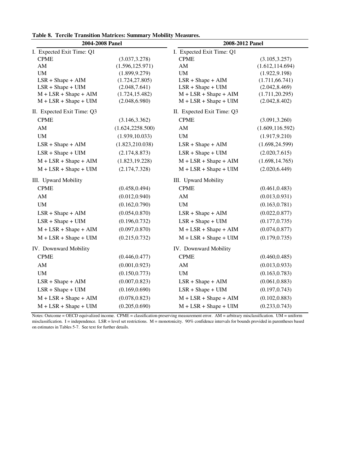| 2004-2008 Panel            |                   | 2008-2012 Panel            |                  |  |  |  |
|----------------------------|-------------------|----------------------------|------------------|--|--|--|
| I. Expected Exit Time: Q1  |                   | I. Expected Exit Time: Q1  |                  |  |  |  |
| <b>CPME</b>                | (3.037, 3.278)    | <b>CPME</b>                | (3.105, 3.257)   |  |  |  |
| AM                         | (1.596, 125.971)  | AM                         | (1.612, 114.694) |  |  |  |
| UM                         | (1.899, 9.279)    | $\text{UM}{}$              | (1.922, 9.198)   |  |  |  |
| $LSR + Shape + AIM$        | (1.724, 27.805)   | $LSR + Shape + AIM$        | (1.711, 66.741)  |  |  |  |
| $LSR + Shape + UIM$        | (2.048, 7.641)    | $LSR + Shape + UIM$        | (2.042, 8.469)   |  |  |  |
| $M + LSR + Shape + AIM$    | (1.724, 15.482)   | $M + LSR + Shape + AIM$    | (1.711, 20.295)  |  |  |  |
| $M + LSR + Shape + UIM$    | (2.048, 6.980)    | $M + LSR + Shape + UIM$    | (2.042, 8.402)   |  |  |  |
| II. Expected Exit Time: Q3 |                   | II. Expected Exit Time: Q3 |                  |  |  |  |
| <b>CPME</b>                | (3.146, 3.362)    | <b>CPME</b>                | (3.091, 3.260)   |  |  |  |
| $\mathbf{A}\mathbf{M}$     | (1.624, 2258.500) | $\mathbf{A}\mathbf{M}$     | (1.609, 116.592) |  |  |  |
| $\mathbf{U}\mathbf{M}$     | (1.939, 10.033)   | $\text{UM}{}$              | (1.917, 9.210)   |  |  |  |
| $LSR + Shape + AIM$        | (1.823, 210.038)  | $LSR + Shape + AIM$        | (1.698, 24.599)  |  |  |  |
| $LSR + Shape + UIM$        | (2.174, 8.873)    | $LSR + Shape + UIM$        | (2.020, 7.615)   |  |  |  |
| $M + LSR + Shape + AIM$    | (1.823, 19.228)   | $M + LSR + Shape + AIM$    | (1.698, 14.765)  |  |  |  |
| $M + LSR + Shape + UIM$    | (2.174, 7.328)    | $M + LSR + Shape + UIM$    | (2.020, 6.449)   |  |  |  |
| III. Upward Mobility       |                   | III. Upward Mobility       |                  |  |  |  |
| <b>CPME</b>                | (0.458, 0.494)    | <b>CPME</b>                | (0.461, 0.483)   |  |  |  |
| ${\rm AM}$                 | (0.012, 0.940)    | ${\rm AM}$                 | (0.013, 0.931)   |  |  |  |
| $\mathbf{U}\mathbf{M}$     | (0.162, 0.790)    | $\mathbf{U}\mathbf{M}$     | (0.163, 0.781)   |  |  |  |
| $LSR + Shape + AIM$        | (0.054, 0.870)    | $LSR + Shape + AIM$        | (0.022, 0.877)   |  |  |  |
| $LSR + Shape + UIM$        | (0.196, 0.732)    | $LSR + Shape + UIM$        | (0.177, 0.735)   |  |  |  |
| $M + LSR + Shape + AIM$    | (0.097, 0.870)    | $M + LSR + Shape + AIM$    | (0.074, 0.877)   |  |  |  |
| $M + LSR + Shape + UIM$    | (0.215, 0.732)    | $M + LSR + Shape + UIM$    | (0.179, 0.735)   |  |  |  |
| IV. Downward Mobility      |                   | IV. Downward Mobility      |                  |  |  |  |
| <b>CPME</b>                | (0.446, 0.477)    | <b>CPME</b>                | (0.460, 0.485)   |  |  |  |
| $\mathbf{A}\mathbf{M}$     | (0.001, 0.923)    | ${\rm AM}$                 | (0.013, 0.933)   |  |  |  |
| $\mathbf{U}\mathbf{M}$     | (0.150, 0.773)    | $\text{UM}{}$              | (0.163, 0.783)   |  |  |  |
| $LSR + Shape + AIM$        | (0.007, 0.823)    | $LSR + Shape + AIM$        | (0.061, 0.883)   |  |  |  |
| $LSR + Shape + UIM$        | (0.169, 0.690)    | $LSR + Shape + UIM$        | (0.197, 0.743)   |  |  |  |
| $M + LSR + Shape + AIM$    | (0.078, 0.823)    | $M + LSR + Shape + AIM$    | (0.102, 0.883)   |  |  |  |
| $M + LSR + Shape + UIM$    | (0.205, 0.690)    | $M + LSR + Shape + UIM$    | (0.233, 0.743)   |  |  |  |

**Table 8. Tercile Transition Matrices: Summary Mobility Measures.**

Notes: Outcome = OECD equivalized income. CPME = classification-preserving measurement error. AM = arbitrary misclassification. UM = uniform misclassification. I = independence. LSR = level set restrictions. M = monotonicity. 90% confidence intervals for bounds provided in parentheses based on estimates in Tables 5-7. See text for further details.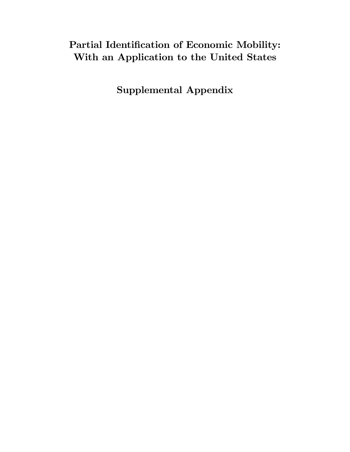# Partial Identification of Economic Mobility: With an Application to the United States

Supplemental Appendix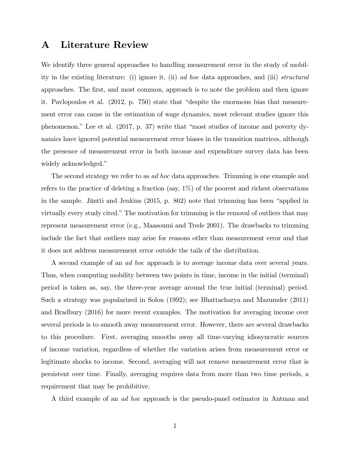# A Literature Review

We identify three general approaches to handling measurement error in the study of mobility in the existing literature: (i) ignore it, (ii) ad hoc data approaches, and (iii) structural approaches. The Örst, and most common, approach is to note the problem and then ignore it. Pavlopoulos et al.  $(2012, p. 750)$  state that "despite the enormous bias that measurement error can cause in the estimation of wage dynamics, most relevant studies ignore this phenomenon." Lee et al.  $(2017, p. 37)$  write that "most studies of income and poverty dynamics have ignored potential measurement error biases in the transition matrices, although the presence of measurement error in both income and expenditure survey data has been widely acknowledged."

The second strategy we refer to as ad hoc data approaches. Trimming is one example and refers to the practice of deleting a fraction (say,  $1\%$ ) of the poorest and richest observations in the sample. Jäntti and Jenkins  $(2015, p. 862)$  note that trimming has been "applied in virtually every study cited." The motivation for trimming is the removal of outliers that may represent measurement error (e.g., Maasoumi and Trede 2001). The drawbacks to trimming include the fact that outliers may arise for reasons other than measurement error and that it does not address measurement error outside the tails of the distribution.

A second example of an ad hoc approach is to average income data over several years. Thus, when computing mobility between two points in time, income in the initial (terminal) period is taken as, say, the three-year average around the true initial (terminal) period. Such a strategy was popularized in Solon (1992); see Bhattacharya and Mazumder (2011) and Bradbury (2016) for more recent examples. The motivation for averaging income over several periods is to smooth away measurement error. However, there are several drawbacks to this procedure. First, averaging smooths away all time-varying idiosyncratic sources of income variation, regardless of whether the variation arises from measurement error or legitimate shocks to income. Second, averaging will not remove measurement error that is persistent over time. Finally, averaging requires data from more than two time periods, a requirement that may be prohibitive.

A third example of an ad hoc approach is the pseudo-panel estimator in Antman and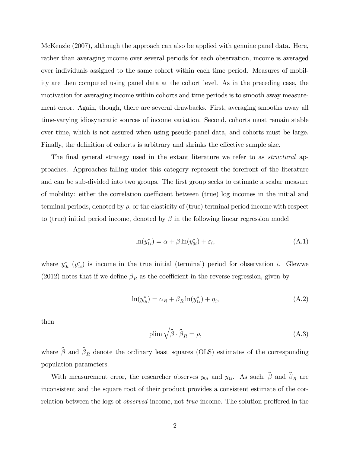McKenzie (2007), although the approach can also be applied with genuine panel data. Here, rather than averaging income over several periods for each observation, income is averaged over individuals assigned to the same cohort within each time period. Measures of mobility are then computed using panel data at the cohort level. As in the preceding case, the motivation for averaging income within cohorts and time periods is to smooth away measurement error. Again, though, there are several drawbacks. First, averaging smooths away all time-varying idiosyncratic sources of income variation. Second, cohorts must remain stable over time, which is not assured when using pseudo-panel data, and cohorts must be large. Finally, the definition of cohorts is arbitrary and shrinks the effective sample size.

The final general strategy used in the extant literature we refer to as *structural* approaches. Approaches falling under this category represent the forefront of the literature and can be sub-divided into two groups. The first group seeks to estimate a scalar measure of mobility: either the correlation coefficient between (true) log incomes in the initial and terminal periods, denoted by  $\rho$ , or the elasticity of (true) terminal period income with respect to (true) initial period income, denoted by  $\beta$  in the following linear regression model

$$
\ln(y_{1i}^*) = \alpha + \beta \ln(y_{0i}^*) + \varepsilon_i,
$$
\n(A.1)

where  $y_{0i}^*$   $(y_{1i}^*)$  is income in the true initial (terminal) period for observation i. Glewwe (2012) notes that if we define  $\beta_R$  as the coefficient in the reverse regression, given by

$$
\ln(y_{0i}^*) = \alpha_R + \beta_R \ln(y_{1i}^*) + \eta_i,\tag{A.2}
$$

then

$$
\text{plim}\,\sqrt{\hat{\beta}\cdot\hat{\beta}_R} = \rho,\tag{A.3}
$$

where  $\beta$  and  $\beta_R$  denote the ordinary least squares (OLS) estimates of the corresponding population parameters.

With measurement error, the researcher observes  $y_{0i}$  and  $y_{1i}$ . As such,  $\beta$  and  $\beta_R$  are inconsistent and the square root of their product provides a consistent estimate of the correlation between the logs of *observed* income, not *true* income. The solution proffered in the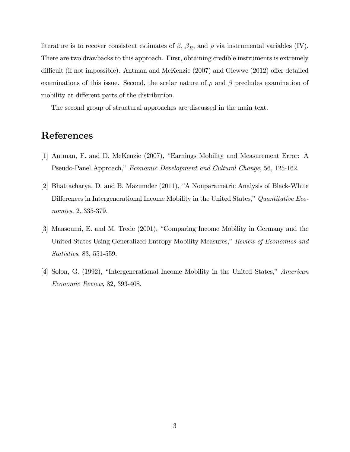literature is to recover consistent estimates of  $\beta$ ,  $\beta_R$ , and  $\rho$  via instrumental variables (IV). There are two drawbacks to this approach. First, obtaining credible instruments is extremely difficult (if not impossible). Antman and McKenzie  $(2007)$  and Glewwe  $(2012)$  offer detailed examinations of this issue. Second, the scalar nature of  $\rho$  and  $\beta$  precludes examination of mobility at different parts of the distribution.

The second group of structural approaches are discussed in the main text.

#### References

- [1] Antman, F. and D. McKenzie (2007), "Earnings Mobility and Measurement Error: A Pseudo-Panel Approach," Economic Development and Cultural Change, 56, 125-162.
- [2] Bhattacharya, D. and B. Mazumder (2011), "A Nonparametric Analysis of Black-White Differences in Intergenerational Income Mobility in the United States," Quantitative Economics, 2, 335-379.
- [3] Maasoumi, E. and M. Trede (2001), "Comparing Income Mobility in Germany and the United States Using Generalized Entropy Mobility Measures," Review of Economics and Statistics, 83, 551-559.
- [4] Solon, G. (1992), "Intergenerational Income Mobility in the United States," American Economic Review, 82, 393-408.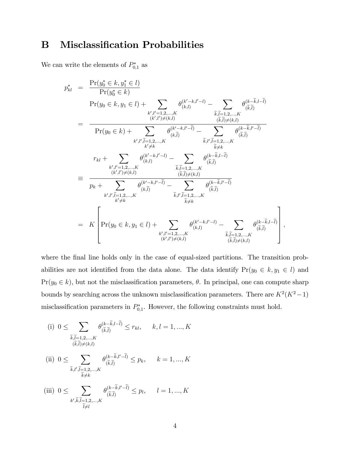# **B** Misclassification Probabilities

We can write the elements of  $P_{0,1}^*$  as

$$
p_{kl}^{*} = \frac{\Pr(y_0^* \in k, y_1^* \in l)}{\Pr(y_0 \in k, y_1 \in l) + \sum_{\substack{k', l' = 1, 2, ..., K \\ (k', l') \neq (k, l)}} \theta_{(k, l)}^{(k' - k, l' - l)} - \sum_{\substack{\tilde{k}, \tilde{l} = 1, 2, ..., K \\ (\tilde{k}, \tilde{l}) \neq (k, l)}} \theta_{(\tilde{k}, \tilde{l})}^{(k - \tilde{k}, l - \tilde{l})} \n= \frac{\Pr(y_0 \in k) + \sum_{\substack{k', l' = 1, 2, ..., K \\ k' \neq k}} \theta_{(k, \tilde{l})}^{(k' - k, l' - \tilde{l})} - \sum_{\substack{\tilde{k}, l' = 1, 2, ..., K \\ (\tilde{k}, \tilde{l}) \neq (k, l)}} \theta_{(\tilde{k}, \tilde{l})}^{(k - \tilde{k}, l' - \tilde{l})} \n= \frac{\sum_{\substack{k', l' = 1, 2, ..., K \\ (k', l') \neq (k, l)}} \theta_{(k, l)}^{(k' - k, l' - l)} - \sum_{\substack{\tilde{k}, \tilde{l} = 1, 2, ..., K \\ (\tilde{k}, \tilde{l}) \neq (k, l)}} \theta_{(\tilde{k}, \tilde{l})}^{(k - \tilde{k}, l - \tilde{l})} \n= \frac{\sum_{\substack{k', l' = 1, 2, ..., K \\ (k', l') \neq (k, l)}} \theta_{(\tilde{k}, \tilde{l})}^{(k' - k, l' - \tilde{l})} - \sum_{\substack{\tilde{k}, l', \tilde{l} = 1, 2, ..., K \\ (\tilde{k}, \tilde{l}) \neq (k, l)}} \theta_{(\tilde{k}, \tilde{l})}^{(k - \tilde{k}, l - \tilde{l})}}{(\tilde{k}, \tilde{l})} \n= K \left[ \Pr(y_0 \in k, y_1 \in l) + \sum_{\substack{k', l' = 1, 2, ..., K \\ (\tilde{k}', l') \neq (k, l)}} \theta_{(\tilde{k}, l)}^{(k' - k, l' - l)} - \sum_{\substack{\tilde{k}, \tilde{l} = 1, 2, ..., K \\ (\tilde{k}, \tilde{l}) \neq (k, l)}} \theta_{(\tilde{k}, \tilde{l
$$

where the final line holds only in the case of equal-sized partitions. The transition probabilities are not identified from the data alone. The data identify  $Pr(y_0 \in k, y_1 \in l)$  and  $Pr(y_0 \in k)$ , but not the misclassification parameters,  $\theta$ . In principal, one can compute sharp bounds by searching across the unknown misclassification parameters. There are  $K^2(K^2-1)$ misclassification parameters in  $P_{0,1}^*$ . However, the following constraints must hold.

;

(i) 
$$
0 \le \sum_{\substack{\widetilde{k}, \widetilde{l}=1,2,\ldots,K \\ (\widetilde{k},\widetilde{l}) \neq (k,l)}} \theta_{(\widetilde{k},\widetilde{l})}^{(k-\widetilde{k},l-\widetilde{l})} \le r_{kl}, \quad k, l = 1, ..., K
$$
  
\n(ii)  $0 \le \sum_{\substack{\widetilde{k},l',\widetilde{l}=1,2,\ldots,K \\ \widetilde{k} \neq k}} \theta_{(\widetilde{k},\widetilde{l})}^{(k-\widetilde{k},l'-\widetilde{l})} \le p_k, \quad k = 1, ..., K$   
\n(iii)  $0 \le \sum_{\substack{k',\widetilde{k},\widetilde{l}=1,2,\ldots,K \\ \widetilde{l} \neq l}} \theta_{(\widetilde{k},\widetilde{l})}^{(k-\widetilde{k},l'-\widetilde{l})} \le p_l, \quad l = 1, ..., K$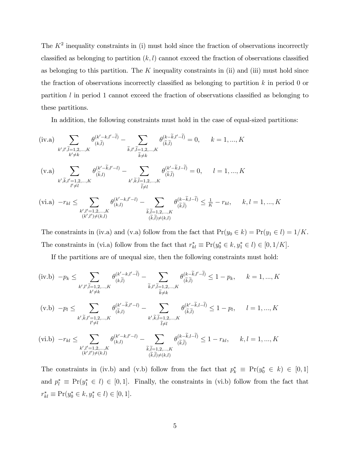The  $K^2$  inequality constraints in (i) must hold since the fraction of observations incorrectly classified as belonging to partition  $(k, l)$  cannot exceed the fraction of observations classified as belonging to this partition. The  $K$  inequality constraints in (ii) and (iii) must hold since the fraction of observations incorrectly classified as belonging to partition  $k$  in period 0 or partition  $l$  in period 1 cannot exceed the fraction of observations classified as belonging to these partitions.

In addition, the following constraints must hold in the case of equal-sized partitions:

$$
\begin{aligned}\n\text{(iv.a)} \quad & \sum_{k',l',\widetilde{l}=1,2,\ldots,K} \theta^{(k'-k,l'-\widetilde{l})}_{(k,\widetilde{l})} - \sum_{\widetilde{k},l',\widetilde{l}=1,2,\ldots,K} \theta^{(k-\widetilde{k},l'-\widetilde{l})}_{(\widetilde{k},\widetilde{l})} &= 0, \qquad k = 1,\ldots,K \\
\text{(v.a)} \quad & \sum_{k',\widetilde{k},l'=1,2,\ldots,K} \theta^{(k'-\widetilde{k},l'-l)}_{(\widetilde{k},l)} - \sum_{k',\widetilde{k},\widetilde{l}=1,2,\ldots,K} \theta^{(k'-\widetilde{k},l-\widetilde{l})}_{(\widetilde{k},\widetilde{l})} &= 0, \qquad l = 1,\ldots,K \\
\text{(vi.a)} \quad & -r_{kl} \leq \sum_{\substack{k',l'=1,2,\ldots,K\\(k',l')\neq(k,l)}} \theta^{(k'-k,l'-l)}_{(k,l)} - \sum_{\widetilde{k},\widetilde{l}=1,2,\ldots,K} \theta^{(k-\widetilde{k},l-\widetilde{l})}_{(\widetilde{k},\widetilde{l})} &\leq \frac{1}{K} - r_{kl}, \qquad k,l = 1,\ldots,K \\
\text{(vi.a)} \quad & \sum_{k',l'=1,2,\ldots,K} \theta^{(k'-k,l'-l)}_{(\widetilde{k},l)} - \sum_{\widetilde{k},\widetilde{l}=1,2,\ldots,K} \theta^{(k-\widetilde{k},l-\widetilde{l})}_{(\widetilde{k},\widetilde{l})} &\leq \frac{1}{K} - r_{kl}, \qquad k,l = 1,\ldots,K \\
\end{aligned}
$$

The constraints in (iv.a) and (v.a) follow from the fact that  $Pr(y_0 \in k) = Pr(y_1 \in l) = 1/K$ . The constraints in (vi.a) follow from the fact that  $r_{kl}^* \equiv Pr(y_0^* \in k, y_1^* \in l) \in [0, 1/K]$ .

If the partitions are of unequal size, then the following constraints must hold:

$$
\begin{split}\n(\text{iv.b}) \ -p_{k} &\leq \sum_{k',l',\tilde{l}=1,2,\ldots,K} \theta_{(k,\tilde{l})}^{(k'-k,l'-\tilde{l})} - \sum_{\tilde{k},l',\tilde{l}=1,2,\ldots,K} \theta_{(\tilde{k},\tilde{l})}^{(k-\tilde{k},l'-\tilde{l})} \leq 1-p_{k}, \quad k=1,\ldots,K \\
(\text{v.b}) \ -p_{l} &\leq \sum_{k',\tilde{k},l'=1,2,\ldots,K} \theta_{(\tilde{k},l)}^{(k'-\tilde{k},l'-l)} - \sum_{k',\tilde{k},\tilde{l}=1,2,\ldots,K} \theta_{(\tilde{k},\tilde{l})}^{(k'-\tilde{k},l-\tilde{l})} \leq 1-p_{l}, \quad l=1,\ldots,K \\
(\text{vi.b}) \ -r_{kl} &\leq \sum_{k',l'=1,2,\ldots,K} \theta_{(k,l)}^{(k'-k,l'-l)} - \sum_{\tilde{k},\tilde{l}=1,2,\ldots,K} \theta_{(\tilde{k},\tilde{l})}^{(k-\tilde{k},l-\tilde{l})} \leq 1-r_{kl}, \quad k,l=1,\ldots,K\n\end{split}
$$

 $(\widetilde{k},\widetilde{l})\neq(k,l)$ 

 $(k',l')\neq (k,l)$ 

The constraints in (iv.b) and (v.b) follow from the fact that  $p_k^* \equiv Pr(y_0^* \in k) \in [0,1]$ and  $p_l^* \equiv Pr(y_1^* \in l) \in [0, 1]$ . Finally, the constraints in (vi.b) follow from the fact that  $r_{kl}^* \equiv \Pr(y_0^* \in k, y_1^* \in l) \in [0, 1].$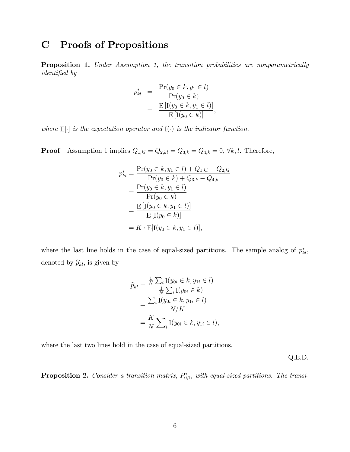### C Proofs of Propositions

**Proposition 1.** Under Assumption 1, the transition probabilities are nonparametrically identified by

$$
p_{kl}^* = \frac{\Pr(y_0 \in k, y_1 \in l)}{\Pr(y_0 \in k)} = \frac{\operatorname{E}[\text{I}(y_0 \in k, y_1 \in l)]}{\operatorname{E}[\text{I}(y_0 \in k)]},
$$

where  $E[\cdot]$  is the expectation operator and  $I(\cdot)$  is the indicator function.

**Proof** Assumption 1 implies  $Q_{1,kl} = Q_{2,kl} = Q_{3,k} = Q_{4,k} = 0, \forall k, l$ . Therefore,

$$
p_{kl}^{*} = \frac{\Pr(y_0 \in k, y_1 \in l) + Q_{1,kl} - Q_{2,kl}}{\Pr(y_0 \in k) + Q_{3,k} - Q_{4,k}}
$$
  
= 
$$
\frac{\Pr(y_0 \in k, y_1 \in l)}{\Pr(y_0 \in k)}
$$
  
= 
$$
\frac{\mathbb{E} [\mathbb{I}(y_0 \in k, y_1 \in l)]}{\mathbb{E} [\mathbb{I}(y_0 \in k)]}
$$
  
= 
$$
K \cdot \mathbb{E} [\mathbb{I}(y_0 \in k, y_1 \in l)],
$$

where the last line holds in the case of equal-sized partitions. The sample analog of  $p_{kl}^*$ , denoted by  $\widehat{p}_{kl}$ , is given by

$$
\widehat{p}_{kl} = \frac{\frac{1}{N} \sum_{i} \text{I}(y_{0i} \in k, y_{1i} \in l)}{\frac{1}{N} \sum_{i} \text{I}(y_{0i} \in k)} \n= \frac{\sum_{i} \text{I}(y_{0i} \in k, y_{1i} \in l)}{N/K} \n= \frac{K}{N} \sum_{i} \text{I}(y_{0i} \in k, y_{1i} \in l),
$$

where the last two lines hold in the case of equal-sized partitions.

Q.E.D.

**Proposition 2.** Consider a transition matrix,  $P_{0,1}^*$ , with equal-sized partitions. The transi-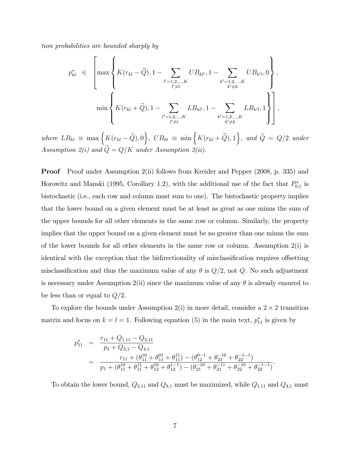tion probabilities are bounded sharply by

$$
p_{kl}^{*} \in \left[\max\left\{K(r_{kl} - \widetilde{Q}), 1 - \sum_{\substack{l'=1,2,\ldots,K \\ l'\neq l}}UB_{kl'}, 1 - \sum_{\substack{k'=1,2,\ldots,K \\ k'\neq k}}UB_{k'l}, 0\right\},\newline \min\left\{K(r_{kl} + \widetilde{Q}), 1 - \sum_{\substack{l'=1,2,\ldots,K \\ l'\neq l}}LB_{kl'}, 1 - \sum_{\substack{k'=1,2,\ldots,K \\ k'\neq k}}LB_{k'l}, 1\right\}\right],
$$

where  $LB_{kl} \equiv \max \Big\{ K(r_{kl} - \widetilde{Q}), 0 \Big\}, \ UB_{kl} \equiv \min \Big\{ K(r_{kl} + \widetilde{Q}), 1 \Big\}, \ and \ \widetilde{Q} = Q/2 \ under$ Assumption 2(i) and  $\widetilde{Q}=Q/K$  under Assumption 2(ii).

Proof Proof under Assumption 2(ii) follows from Kreider and Pepper (2008, p. 335) and Horowitz and Manski (1995, Corollary 1.2), with the additional use of the fact that  $P_{0,1}^*$  is bistochastic (i.e., each row and column must sum to one). The bistochastic property implies that the lower bound on a given element must be at least as great as one minus the sum of the upper bounds for all other elements in the same row or column. Similarly, the property implies that the upper bound on a given element must be no greater than one minus the sum of the lower bounds for all other elements in the same row or column. Assumption 2(i) is identical with the exception that the bidirectionality of misclassification requires offsetting misclassification and thus the maximum value of any  $\theta$  is  $Q/2$ , not Q. No such adjustment is necessary under Assumption 2(ii) since the maximum value of any  $\theta$  is already ensured to be less than or equal to  $Q/2$ .

To explore the bounds under Assumption 2(i) in more detail, consider a  $2 \times 2$  transition matrix and focus on  $k = l = 1$ . Following equation (5) in the main text,  $p_{11}^*$  is given by

$$
p_{11}^{*} = \frac{r_{11} + Q_{1,11} - Q_{2,11}}{p_1 + Q_{3,1} - Q_{4,1}}
$$
  
= 
$$
\frac{r_{11} + (\theta_{11}^{10} + \theta_{11}^{01} + \theta_{11}^{11}) - (\theta_{12}^{0-1} + \theta_{21}^{-10} + \theta_{22}^{-1})}{p_1 + (\theta_{11}^{10} + \theta_{11}^{11} + \theta_{12}^{10} + \theta_{12}^{1-1}) - (\theta_{21}^{-10} + \theta_{21}^{-11} + \theta_{22}^{-10} + \theta_{22}^{-1-1})}.
$$

To obtain the lower bound,  $Q_{2,11}$  and  $Q_{3,1}$  must be maximized, while  $Q_{1,11}$  and  $Q_{4,1}$  must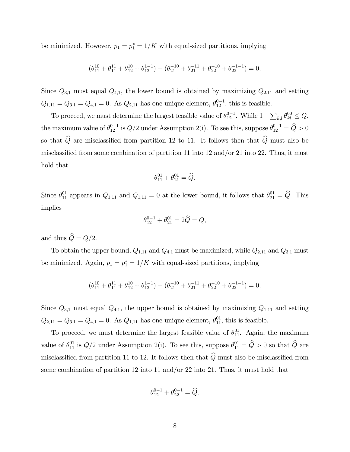be minimized. However,  $p_1 = p_1^* = 1/K$  with equal-sized partitions, implying

$$
(\theta_{11}^{10} + \theta_{11}^{11} + \theta_{12}^{10} + \theta_{12}^{1-1}) - (\theta_{21}^{-10} + \theta_{21}^{-11} + \theta_{22}^{-10} + \theta_{22}^{-1-1}) = 0.
$$

Since  $Q_{3,1}$  must equal  $Q_{4,1}$ , the lower bound is obtained by maximizing  $Q_{2,11}$  and setting  $Q_{1,11} = Q_{3,1} = Q_{4,1} = 0$ . As  $Q_{2,11}$  has one unique element,  $\theta_{12}^{0-1}$ , this is feasible.

To proceed, we must determine the largest feasible value of  $\theta_{12}^{0-1}$ . While  $1 - \sum_{k,l} \theta_{kl}^{00} \leq Q$ , the maximum value of  $\theta_{12}^{0-1}$  is  $Q/2$  under Assumption 2(i). To see this, suppose  $\theta_{12}^{0-1} = \widehat{Q} > 0$ so that  $\widehat{Q}$  are misclassified from partition 12 to 11. It follows then that  $\widehat{Q}$  must also be misclassified from some combination of partition 11 into 12 and/or 21 into 22. Thus, it must hold that

$$
\theta_{11}^{01} + \theta_{21}^{01} = \widehat{Q}.
$$

Since  $\theta_{11}^{01}$  appears in  $Q_{1,11}$  and  $Q_{1,11} = 0$  at the lower bound, it follows that  $\theta_{21}^{01} = \widehat{Q}$ . This implies

$$
\theta_{12}^{0-1} + \theta_{21}^{01} = 2\widehat{Q} = Q,
$$

and thus  $\widehat{Q}=Q/2$ .

To obtain the upper bound,  $Q_{1,11}$  and  $Q_{4,1}$  must be maximized, while  $Q_{2,11}$  and  $Q_{3,1}$  must be minimized. Again,  $p_1 = p_1^* = 1/K$  with equal-sized partitions, implying

$$
(\theta_{11}^{10} + \theta_{11}^{11} + \theta_{12}^{10} + \theta_{12}^{1-1}) - (\theta_{21}^{-10} + \theta_{21}^{-11} + \theta_{22}^{-10} + \theta_{22}^{-1-1}) = 0.
$$

Since  $Q_{3,1}$  must equal  $Q_{4,1}$ , the upper bound is obtained by maximizing  $Q_{1,11}$  and setting  $Q_{2,11} = Q_{3,1} = Q_{4,1} = 0$ . As  $Q_{1,11}$  has one unique element,  $\theta_{11}^{01}$ , this is feasible.

To proceed, we must determine the largest feasible value of  $\theta_{11}^{01}$ . Again, the maximum value of  $\theta_{11}^{01}$  is  $Q/2$  under Assumption 2(i). To see this, suppose  $\theta_{11}^{01} = \widehat{Q} > 0$  so that  $\widehat{Q}$  are misclassified from partition 11 to 12. It follows then that  $\widehat{Q}$  must also be misclassified from some combination of partition 12 into 11 and/or 22 into 21. Thus, it must hold that

$$
\theta_{12}^{0-1} + \theta_{22}^{0-1} = \hat{Q}.
$$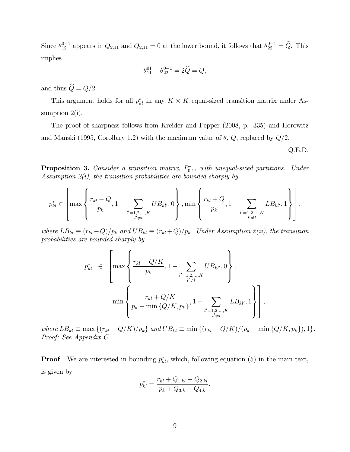Since  $\theta_{12}^{0-1}$  appears in  $Q_{2,11}$  and  $Q_{2,11} = 0$  at the lower bound, it follows that  $\theta_{22}^{0-1} = \widehat{Q}$ . This implies

$$
\theta_{11}^{01} + \theta_{22}^{0-1} = 2\widehat{Q} = Q,
$$

and thus  $\widehat{Q}=Q/2$ .

This argument holds for all  $p_{kl}^*$  in any  $K \times K$  equal-sized transition matrix under Assumption 2(i).

The proof of sharpness follows from Kreider and Pepper (2008, p. 335) and Horowitz and Manski (1995, Corollary 1.2) with the maximum value of  $\theta$ , Q, replaced by  $Q/2$ .

Q.E.D.

**Proposition 3.** Consider a transition matrix,  $P_{0,1}^*$ , with unequal-sized partitions. Under Assumption  $2(i)$ , the transition probabilities are bounded sharply by

$$
p_{kl}^* \in \left[\max\left\{\frac{r_{kl}-Q}{p_k},1-\sum_{\substack{l'=1,2,\ldots,K \\ l'\neq l}}UB_{kl'},0\right\},\min\left\{\frac{r_{kl}+Q}{p_k},1-\sum_{\substack{l'=1,2,\ldots,K \\ l'\neq l}}LB_{kl'},1\right\}\right],
$$

where  $LB_{kl} \equiv (r_{kl} - Q)/p_k$  and  $UB_{kl} \equiv (r_{kl} + Q)/p_k$ . Under Assumption 2(ii), the transition probabilities are bounded sharply by

$$
p_{kl}^{*} \in \left[\max\left\{\frac{r_{kl} - Q/K}{p_k}, 1 - \sum_{\substack{l'=1,2,\ldots,K \\ l'\neq l}} UB_{kl'}, 0\right\},\newline \min\left\{\frac{r_{kl} + Q/K}{p_k - \min\{Q/K, p_k\}}, 1 - \sum_{\substack{l'=1,2,\ldots,K \\ l'\neq l}} LB_{kl'}, 1\right\}\right],
$$

where  $LB_{kl} \equiv \max \{(r_{kl} - Q/K)/p_k\}$  and  $UB_{kl} \equiv \min \{(r_{kl} + Q/K)/(p_k - \min \{Q/K, p_k\}), 1\}.$ Proof: See Appendix C.

**Proof** We are interested in bounding  $p_{kl}^*$ , which, following equation (5) in the main text, is given by

$$
p_{kl}^* = \frac{r_{kl} + Q_{1,kl} - Q_{2,kl}}{p_k + Q_{3,k} - Q_{4,k}}.
$$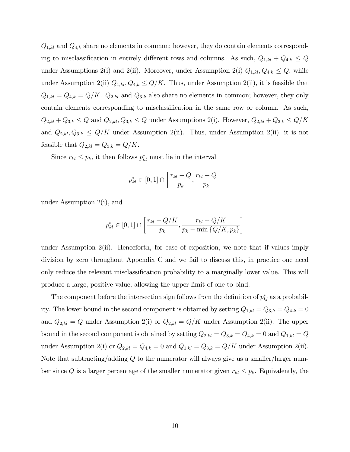$Q_{1,kl}$  and  $Q_{4,k}$  share no elements in common; however, they do contain elements corresponding to misclassification in entirely different rows and columns. As such,  $Q_{1,kl} + Q_{4,k} \leq Q$ under Assumptions 2(i) and 2(ii). Moreover, under Assumption 2(i)  $Q_{1,kl}, Q_{4,k} \leq Q$ , while under Assumption 2(ii)  $Q_{1,kl}, Q_{4,k} \leq Q/K$ . Thus, under Assumption 2(ii), it is feasible that  $Q_{1,kl} = Q_{4,k} = Q/K$ .  $Q_{2,kl}$  and  $Q_{3,k}$  also share no elements in common; however, they only contain elements corresponding to misclassification in the same row or column. As such,  $Q_{2,kl} + Q_{3,k} \leq Q$  and  $Q_{2,kl}, Q_{3,k} \leq Q$  under Assumptions 2(i). However,  $Q_{2,kl} + Q_{3,k} \leq Q/K$ and  $Q_{2,kl}, Q_{3,k} \leq Q/K$  under Assumption 2(ii). Thus, under Assumption 2(ii), it is not feasible that  $Q_{2,kl} = Q_{3,k} = Q/K$ .

Since  $r_{kl} \leq p_k$ , it then follows  $p_{kl}^*$  must lie in the interval

$$
p_{kl}^* \in [0,1] \cap \left[ \frac{r_{kl} - Q}{p_k}, \frac{r_{kl} + Q}{p_k} \right]
$$

under Assumption 2(i), and

$$
p_{kl}^* \in [0,1] \cap \left[ \frac{r_{kl} - Q/K}{p_k}, \frac{r_{kl} + Q/K}{p_k - \min\{Q/K, p_k\}} \right]
$$

under Assumption 2(ii). Henceforth, for ease of exposition, we note that if values imply division by zero throughout Appendix C and we fail to discuss this, in practice one need only reduce the relevant misclassification probability to a marginally lower value. This will produce a large, positive value, allowing the upper limit of one to bind.

The component before the intersection sign follows from the definition of  $p_{kl}^*$  as a probability. The lower bound in the second component is obtained by setting  $Q_{1,kl} = Q_{3,k} = Q_{4,k} = 0$ and  $Q_{2,kl} = Q$  under Assumption 2(i) or  $Q_{2,kl} = Q/K$  under Assumption 2(ii). The upper bound in the second component is obtained by setting  $Q_{2,kl} = Q_{3,k} = Q_{4,k} = 0$  and  $Q_{1,kl} = Q_{4,kl}$ under Assumption 2(i) or  $Q_{2,kl} = Q_{4,k} = 0$  and  $Q_{1,kl} = Q_{3,k} = Q/K$  under Assumption 2(ii). Note that subtracting/adding Q to the numerator will always give us a smaller/larger number since Q is a larger percentage of the smaller numerator given  $r_{kl} \leq p_k$ . Equivalently, the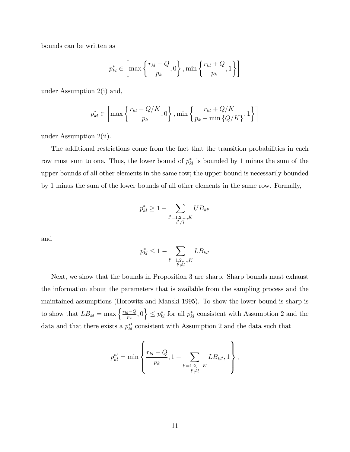bounds can be written as

$$
p_{kl}^* \in \left[\max\left\{\frac{r_{kl}-Q}{p_k}, 0\right\}, \min\left\{\frac{r_{kl}+Q}{p_k}, 1\right\}\right]
$$

under Assumption 2(i) and,

$$
p_{kl}^* \in \left[ \max\left\{ \frac{r_{kl} - Q/K}{p_k}, 0 \right\}, \min\left\{ \frac{r_{kl} + Q/K}{p_k - \min\left\{Q/K\right\}}, 1 \right\} \right]
$$

under Assumption 2(ii).

The additional restrictions come from the fact that the transition probabilities in each row must sum to one. Thus, the lower bound of  $p_{kl}^*$  is bounded by 1 minus the sum of the upper bounds of all other elements in the same row; the upper bound is necessarily bounded by 1 minus the sum of the lower bounds of all other elements in the same row. Formally,

$$
p_{kl}^* \ge 1 - \sum_{\substack{l'=1,2,\dots,K \\ l'\ne l}} U B_{kl'}
$$

and

$$
p_{kl}^* \le 1 - \sum_{\substack{l'=1,2,\dots,K \\ l'\ne l}} LB_{kl'}
$$

Next, we show that the bounds in Proposition 3 are sharp. Sharp bounds must exhaust the information about the parameters that is available from the sampling process and the maintained assumptions (Horowitz and Manski 1995). To show the lower bound is sharp is to show that  $LB_{kl} = \max\left\{\frac{r_{kl}-Q}{n_k}\right\}$  $\left\{\frac{n-Q}{p_k},0\right\} \leq p_{kl}^*$  for all  $p_{kl}^*$  consistent with Assumption 2 and the data and that there exists a  $p_{kl}^{*}$  consistent with Assumption 2 and the data such that

$$
p_{kl}^{\ast\prime}=\min\left\{\frac{r_{kl}+Q}{p_k},1-\sum_{\substack{l'=1,2,\ldots,K\\l'\neq l}}LB_{kl'},1\right\},
$$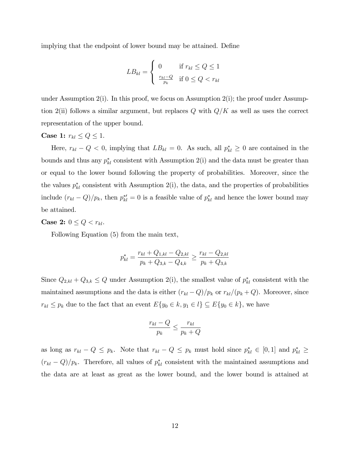implying that the endpoint of lower bound may be attained. Define

$$
LB_{kl} = \begin{cases} 0 & \text{if } r_{kl} \le Q \le 1\\ \frac{r_{kl} - Q}{p_k} & \text{if } 0 \le Q < r_{kl} \end{cases}
$$

under Assumption 2(i). In this proof, we focus on Assumption 2(i); the proof under Assumption 2(ii) follows a similar argument, but replaces Q with  $Q/K$  as well as uses the correct representation of the upper bound.

#### Case 1:  $r_{kl} \leq Q \leq 1$ .

Here,  $r_{kl} - Q < 0$ , implying that  $LB_{kl} = 0$ . As such, all  $p_{kl}^* \geq 0$  are contained in the bounds and thus any  $p_{kl}^*$  consistent with Assumption 2(i) and the data must be greater than or equal to the lower bound following the property of probabilities. Moreover, since the the values  $p_{kl}^*$  consistent with Assumption 2(i), the data, and the properties of probabilities include  $(r_{kl} - Q)/p_k$ , then  $p_{kl}^{*'} = 0$  is a feasible value of  $p_{kl}^{*}$  and hence the lower bound may be attained.

**Case 2:**  $0 \leq Q < r_{kl}$ .

Following Equation (5) from the main text,

$$
p_{kl}^* = \frac{r_{kl} + Q_{1,kl} - Q_{2,kl}}{p_k + Q_{3,k} - Q_{4,k}} \ge \frac{r_{kl} - Q_{2,kl}}{p_k + Q_{3,k}}
$$

Since  $Q_{2,kl} + Q_{3,k} \leq Q$  under Assumption 2(i), the smallest value of  $p_{kl}^*$  consistent with the maintained assumptions and the data is either  $(r_{kl}-Q)/p_k$  or  $r_{kl}/(p_k + Q)$ . Moreover, since  $r_{kl} \leq p_k$  due to the fact that an event  $E\{y_0 \in k, y_1 \in l\} \subseteq E\{y_0 \in k\}$ , we have

$$
\frac{r_{kl} - Q}{p_k} \le \frac{r_{kl}}{p_k + Q}
$$

as long as  $r_{kl} - Q \leq p_k$ . Note that  $r_{kl} - Q \leq p_k$  must hold since  $p_{kl}^* \in [0,1]$  and  $p_{kl}^* \geq$  $(r_{kl} - Q)/p_k$ . Therefore, all values of  $p_{kl}^*$  consistent with the maintained assumptions and the data are at least as great as the lower bound, and the lower bound is attained at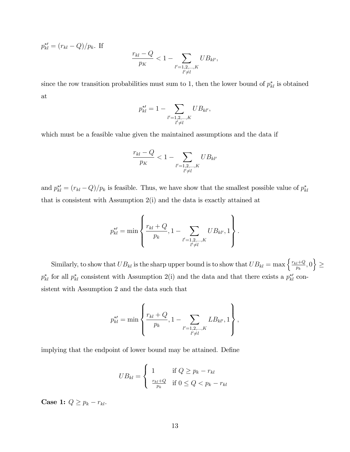$p_{kl}^{*} = (r_{kl} - Q)/p_k$ . If

$$
\frac{r_{kl} - Q}{p_K} < 1 - \sum_{\substack{l'=1,2,\dots,K\\l'\neq l}} U B_{kl'},
$$

since the row transition probabilities must sum to 1, then the lower bound of  $p_{kl}^*$  is obtained at

$$
p_{kl}^{*'} = 1 - \sum_{\substack{l'=1,2,\ldots,K\\l'\neq l}} U B_{kl'},
$$

which must be a feasible value given the maintained assumptions and the data if

$$
\frac{r_{kl} - Q}{p_K} < 1 - \sum_{\substack{l'=1,2,\dots,K \\ l'\neq l}} U B_{kl'}
$$

and  $p_{kl}^{*} = (r_{kl} - Q)/p_k$  is feasible. Thus, we have show that the smallest possible value of  $p_{kl}^{*}$ that is consistent with Assumption 2(i) and the data is exactly attained at

$$
p_{kl}^{*'} = \min \left\{ \frac{r_{kl} + Q}{p_k}, 1 - \sum_{\substack{l'=1,2,\ldots,K \\ l'\neq l}} UB_{kl'}, 1 \right\}.
$$

Similarly, to show that  $UB_{kl}$  is the sharp upper bound is to show that  $UB_{kl} = \max\left\{\frac{r_{kl}+Q}{r_{kl}}\right\}$  $\left\{\frac{v+Q}{p_k},0\right\} \geq$  $p_{kl}^*$  for all  $p_{kl}^*$  consistent with Assumption 2(i) and the data and that there exists a  $p_{kl}^{*}$  consistent with Assumption 2 and the data such that

$$
p_{kl}^{*\prime} = \min \left\{ \frac{r_{kl} + Q}{p_k}, 1 - \sum_{\substack{l'=1,2,\ldots,K \\ l'\neq l}} LB_{kl'}, 1 \right\},\,
$$

implying that the endpoint of lower bound may be attained. Define

$$
UB_{kl} = \begin{cases} 1 & \text{if } Q \ge p_k - r_{kl} \\ \frac{r_{kl} + Q}{p_k} & \text{if } 0 \le Q < p_k - r_{kl} \end{cases}
$$

Case 1:  $Q \geq p_k - r_{kl}$ .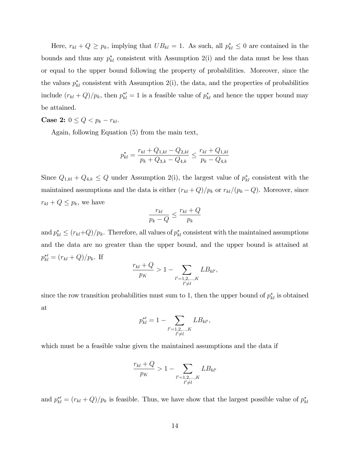Here,  $r_{kl} + Q \geq p_k$ , implying that  $UB_{kl} = 1$ . As such, all  $p_{kl}^* \leq 0$  are contained in the bounds and thus any  $p_{kl}^*$  consistent with Assumption 2(i) and the data must be less than or equal to the upper bound following the property of probabilities. Moreover, since the the values  $p_{kl}^*$  consistent with Assumption 2(i), the data, and the properties of probabilities include  $(r_{kl} + Q)/p_k$ , then  $p_{kl}^{*'} = 1$  is a feasible value of  $p_{kl}^{*}$  and hence the upper bound may be attained.

#### **Case 2:**  $0 \leq Q < p_k - r_{kl}$ .

Again, following Equation (5) from the main text,

$$
p_{kl}^* = \frac{r_{kl} + Q_{1,kl} - Q_{2,kl}}{p_k + Q_{3,k} - Q_{4,k}} \le \frac{r_{kl} + Q_{1,kl}}{p_k - Q_{4,k}}
$$

Since  $Q_{1,kl} + Q_{4,k} \leq Q$  under Assumption 2(i), the largest value of  $p_{kl}^*$  consistent with the maintained assumptions and the data is either  $(r_{kl}+Q)/p_k$  or  $r_{kl}/(p_k-Q)$ . Moreover, since  $r_{kl} + Q \leq p_k$ , we have

$$
\frac{r_{kl}}{p_k - Q} \le \frac{r_{kl} + Q}{p_k}
$$

and  $p_{kl}^* \le (r_{kl}+Q)/p_k$ . Therefore, all values of  $p_{kl}^*$  consistent with the maintained assumptions and the data are no greater than the upper bound, and the upper bound is attained at  $p_{kl}^{*} = (r_{kl} + Q)/p_k$ . If

$$
\frac{r_{kl} + Q}{p_K} > 1 - \sum_{\substack{l'=1,2,\dots,K\\l'\neq l}} LB_{kl'},
$$

since the row transition probabilities must sum to 1, then the upper bound of  $p_{kl}^*$  is obtained at

$$
p_{kl}^{*'} = 1 - \sum_{\substack{l'=1,2,\ldots,K \\ l'\neq l}} L B_{kl'},
$$

which must be a feasible value given the maintained assumptions and the data if

$$
\frac{r_{kl} + Q}{p_K} > 1 - \sum_{\substack{l'=1,2,\dots,K \\ l'\neq l}} L B_{kl'}
$$

and  $p_{kl}^{*} = (r_{kl} + Q)/p_k$  is feasible. Thus, we have show that the largest possible value of  $p_{kl}^{*}$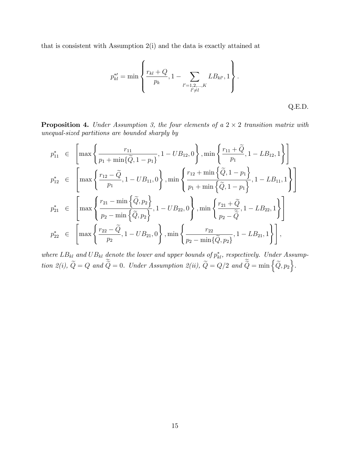that is consistent with Assumption 2(i) and the data is exactly attained at

$$
p_{kl}^{*'} = \min \left\{ \frac{r_{kl} + Q}{p_k}, 1 - \sum_{\substack{l'=1,2,\dots,K \\ l'\neq l}} LB_{kl'}, 1 \right\}.
$$
 Q.E.D.

**Proposition 4.** Under Assumption 3, the four elements of a  $2 \times 2$  transition matrix with unequal-sized partitions are bounded sharply by

$$
p_{11}^{*} \in \left[\max\left\{\frac{r_{11}}{p_1 + \min\{\tilde{Q}, 1 - p_1\}}, 1 - UB_{12}, 0\right\}, \min\left\{\frac{r_{11} + \tilde{Q}}{p_1}, 1 - LB_{12}, 1\right\}\right]
$$
  
\n
$$
p_{12}^{*} \in \left[\max\left\{\frac{r_{12} - \tilde{Q}}{p_1}, 1 - UB_{11}, 0\right\}, \min\left\{\frac{r_{12} + \min\{\tilde{Q}, 1 - p_1\}}{p_1 + \min\{\tilde{Q}, 1 - p_1\}}, 1 - LB_{11}, 1\right\}\right]
$$
  
\n
$$
p_{21}^{*} \in \left[\max\left\{\frac{r_{21} - \min\{\tilde{Q}, p_2\}}{p_2 - \min\{\tilde{Q}, p_2\}}, 1 - UB_{22}, 0\right\}, \min\left\{\frac{r_{21} + \tilde{Q}}{p_2 - \tilde{Q}}, 1 - LB_{22}, 1\right\}\right]
$$
  
\n
$$
p_{22}^{*} \in \left[\max\left\{\frac{r_{22} - \tilde{Q}}{p_2}, 1 - UB_{21}, 0\right\}, \min\left\{\frac{r_{22}}{p_2 - \min\{\tilde{Q}, p_2\}}, 1 - LB_{11}, 1\right\}\right],
$$

where  $LB_{kl}$  and  $UB_{kl}$  denote the lower and upper bounds of  $p_{kl}^*$ , respectively. Under Assumption 2(i),  $\widetilde{Q} = Q$  and  $\widetilde{\widetilde{Q}} = 0$ . Under Assumption 2(ii),  $\widetilde{Q} = Q/2$  and  $\widetilde{\widetilde{Q}} = \min \{ \widetilde{Q}, p_2 \}.$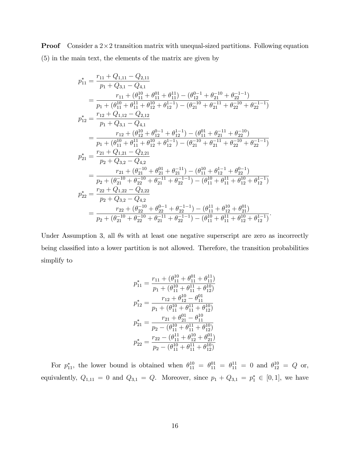**Proof** Consider a  $2 \times 2$  transition matrix with unequal-sized partitions. Following equation (5) in the main text, the elements of the matrix are given by

$$
p_{11}^{*} = \frac{r_{11} + Q_{1,11} - Q_{2,11}}{p_1 + Q_{3,1} - Q_{4,1}} \\
= \frac{r_{11} + (\theta_{11}^{10} + \theta_{11}^{01} + \theta_{11}^{11}) - (\theta_{12}^{0-1} + \theta_{21}^{-10} + \theta_{22}^{-1-1})}{p_1 + (\theta_{11}^{10} + \theta_{11}^{11} + \theta_{12}^{10} + \theta_{12}^{1-1}) - (\theta_{21}^{-10} + \theta_{21}^{-11} + \theta_{22}^{-10} + \theta_{22}^{-1-1})} \\
p_{12}^{*} = \frac{r_{12} + Q_{1,12} - Q_{2,12}}{p_1 + Q_{3,1} - Q_{4,1}} \\
= \frac{r_{12} + (\theta_{12}^{10} + \theta_{12}^{0-1} + \theta_{12}^{1-1}) - (\theta_{11}^{01} + \theta_{21}^{-11} + \theta_{22}^{-10})}{p_1 + (\theta_{11}^{10} + \theta_{11}^{11} + \theta_{12}^{10} + \theta_{12}^{1-1}) - (\theta_{21}^{-10} + \theta_{21}^{-11} + \theta_{22}^{-10} + \theta_{22}^{-1-1})} \\
p_{21}^{*} = \frac{r_{21} + Q_{1,21} - Q_{2,21}}{p_2 + Q_{3,2} - Q_{4,2}} \\
= \frac{r_{21} + (\theta_{21}^{-10} + \theta_{21}^{01} + \theta_{21}^{-11}) - (\theta_{11}^{10} + \theta_{12}^{1-1} + \theta_{22}^{0-1})}{p_2 + (\theta_{21}^{-10} + \theta_{22}^{-10} + \theta_{21}^{-11} + \theta_{22}^{-1}) - (\theta_{11}^{10} + \theta_{11}^{1-1} + \theta_{12}^{1-1} + \theta_{12}^{1-1})} \\
p_{22}^{*} = \frac{r_{22} + Q_{1,22} - Q_{2,22}}{p_2 + Q_{3,2} - Q_{4,2}} \\
= \frac{r_{22} + (Q_{21}^{-10} + \theta_{21}^{-10} +
$$

Under Assumption 3, all  $\theta$ s with at least one negative superscript are zero as incorrectly being classified into a lower partition is not allowed. Therefore, the transition probabilities simplify to

$$
p_{11}^{*} = \frac{r_{11} + (\theta_{11}^{10} + \theta_{11}^{01} + \theta_{11}^{11})}{p_1 + (\theta_{11}^{10} + \theta_{11}^{11} + \theta_{12}^{10})}
$$

$$
p_{12}^{*} = \frac{r_{12} + \theta_{12}^{10} - \theta_{11}^{01}}{p_1 + (\theta_{11}^{10} + \theta_{11}^{11} + \theta_{12}^{10})}
$$

$$
p_{21}^{*} = \frac{r_{21} + \theta_{21}^{01} - \theta_{11}^{10}}{p_2 - (\theta_{11}^{10} + \theta_{11}^{11} + \theta_{12}^{10})}
$$

$$
p_{22}^{*} = \frac{r_{22} - (\theta_{11}^{10} + \theta_{11}^{10} + \theta_{21}^{01})}{p_2 - (\theta_{11}^{10} + \theta_{11}^{10} + \theta_{12}^{10})}
$$

For  $p_{11}^*$ , the lower bound is obtained when  $\theta_{11}^{10} = \theta_{11}^{01} = \theta_{11}^{11} = 0$  and  $\theta_{12}^{10} = Q$  or, equivalently,  $Q_{1,11} = 0$  and  $Q_{3,1} = Q$ . Moreover, since  $p_1 + Q_{3,1} = p_1^* \in [0,1]$ , we have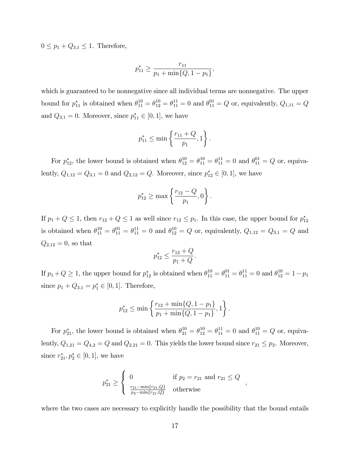$0 \leq p_1 + Q_{3,1} \leq 1$ . Therefore,

$$
p_{11}^* \ge \frac{r_{11}}{p_1 + \min\{Q, 1 - p_1\}},
$$

which is guaranteed to be nonnegative since all individual terms are nonnegative. The upper bound for  $p_{11}^*$  is obtained when  $\theta_{11}^{10} = \theta_{12}^{10} = \theta_{11}^{11} = 0$  and  $\theta_{11}^{01} = Q$  or, equivalently,  $Q_{1,11} = Q$ and  $Q_{3,1} = 0$ . Moreover, since  $p_{11}^* \in [0,1]$ , we have

$$
p_{11}^* \le \min\left\{\frac{r_{11} + Q}{p_1}, 1\right\}.
$$

For  $p_{12}^*$ , the lower bound is obtained when  $\theta_{12}^{10} = \theta_{11}^{10} = \theta_{11}^{11} = 0$  and  $\theta_{11}^{01} = Q$  or, equivalently,  $Q_{1,12} = Q_{3,1} = 0$  and  $Q_{2,12} = Q$ . Moreover, since  $p_{12}^* \in [0,1]$ , we have

$$
p_{12}^* \ge \max\left\{\frac{r_{12} - Q}{p_1}, 0\right\}.
$$

If  $p_1 + Q \le 1$ , then  $r_{12} + Q \le 1$  as well since  $r_{12} \le p_1$ . In this case, the upper bound for  $p_{12}^*$ is obtained when  $\theta_{11}^{10} = \theta_{11}^{01} = \theta_{11}^{11} = 0$  and  $\theta_{12}^{10} = Q$  or, equivalently,  $Q_{1,12} = Q_{3,1} = Q$  and  $Q_{2,12} = 0$ , so that

$$
p_{12}^* \le \frac{r_{12} + Q}{p_1 + Q}.
$$

If  $p_1 + Q \ge 1$ , the upper bound for  $p_{12}^*$  is obtained when  $\theta_{11}^{10} = \theta_{11}^{01} = \theta_{11}^{11} = 0$  and  $\theta_{12}^{10} = 1 - p_1$ since  $p_1 + Q_{3,1} = p_1^* \in [0,1]$ . Therefore,

$$
p_{12}^* \le \min\left\{\frac{r_{12} + \min\{Q, 1 - p_1\}}{p_1 + \min\{Q, 1 - p_1\}}, 1\right\}.
$$

For  $p_{21}^*$ , the lower bound is obtained when  $\theta_{21}^{10} = \theta_{12}^{10} = \theta_{11}^{11} = 0$  and  $\theta_{11}^{10} = Q$  or, equivalently,  $Q_{1,21} = Q_{4,2} = Q$  and  $Q_{2,21} = 0$ . This yields the lower bound since  $r_{21} \leq p_2$ . Moreover, since  $r_{21}^*, p_2^* \in [0, 1]$ , we have

$$
p_{21}^{*} \geq \begin{cases} 0 & \text{if } p_2 = r_{21} \text{ and } r_{21} \leq Q \\ \frac{r_{21} - \min\{r_{21}, Q\}}{p_2 - \min\{r_{21}, Q\}} & \text{otherwise} \end{cases}
$$

;

where the two cases are necessary to explicitly handle the possibility that the bound entails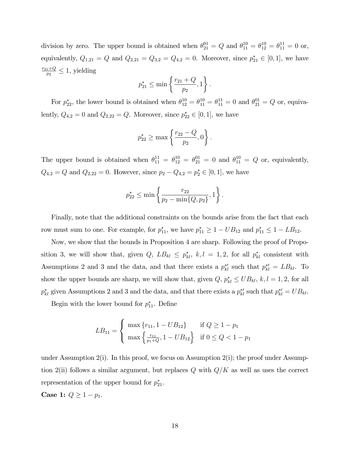division by zero. The upper bound is obtained when  $\theta_{21}^{01} = Q$  and  $\theta_{11}^{10} = \theta_{12}^{10} = \theta_{11}^{11} = 0$  or, equivalently,  $Q_{1,21} = Q$  and  $Q_{2,21} = Q_{3,2} = Q_{4,2} = 0$ . Moreover, since  $p_{21}^* \in [0,1]$ , we have  $r_{21}+Q$  $\frac{1+Q}{p_2} \leq 1$ , yielding

$$
p_{21}^* \le \min\left\{\frac{r_{21} + Q}{p_2}, 1\right\}.
$$

For  $p_{22}^*$ , the lower bound is obtained when  $\theta_{12}^{10} = \theta_{11}^{10} = \theta_{11}^{11} = 0$  and  $\theta_{21}^{01} = Q$  or, equivalently,  $Q_{4,2} = 0$  and  $Q_{2,22} = Q$ . Moreover, since  $p_{22}^* \in [0,1]$ , we have

$$
p_{22}^* \ge \max\left\{\frac{r_{22} - Q}{p_2}, 0\right\}.
$$

The upper bound is obtained when  $\theta_{11}^{11} = \theta_{12}^{10} = \theta_{21}^{01} = 0$  and  $\theta_{11}^{10} = Q$  or, equivalently,  $Q_{4,2} = Q$  and  $Q_{2,22} = 0$ . However, since  $p_2 - Q_{4,2} = p_2^* \in [0,1]$ , we have

$$
p_{22}^* \le \min\left\{\frac{r_{22}}{p_2 - \min\{Q, p_2\}}, 1\right\}.
$$

Finally, note that the additional constraints on the bounds arise from the fact that each row must sum to one. For example, for  $p_{11}^*$ , we have  $p_{11}^* \geq 1 - UB_{12}$  and  $p_{11}^* \leq 1 - LB_{12}$ .

Now, we show that the bounds in Proposition 4 are sharp. Following the proof of Proposition 3, we will show that, given  $Q$ ,  $LB_{kl} \leq p_{kl}^*$ ,  $k, l = 1, 2$ , for all  $p_{kl}^*$  consistent with Assumptions 2 and 3 and the data, and that there exists a  $p_{kl}^{*}$  such that  $p_{kl}^{*} = LB_{kl}$ . To show the upper bounds are sharp, we will show that, given  $Q, p_{kl}^* \leq UB_{kl}, k, l = 1, 2$ , for all  $p_{kl}^*$  given Assumptions 2 and 3 and the data, and that there exists a  $p_{kl}^{*'}$  such that  $p_{kl}^{*'} = UB_{kl}$ .

Begin with the lower bound for  $p_{11}^*$ . Define

$$
LB_{11} = \begin{cases} \max\left\{r_{11}, 1 - UB_{12}\right\} & \text{if } Q \ge 1 - p_1\\ \max\left\{\frac{r_{11}}{p_1 + Q}, 1 - UB_{12}\right\} & \text{if } 0 \le Q < 1 - p_1 \end{cases}
$$

under Assumption 2(i). In this proof, we focus on Assumption 2(i); the proof under Assumption 2(ii) follows a similar argument, but replaces Q with  $Q/K$  as well as uses the correct representation of the upper bound for  $p_{21}^*$ .

**Case 1:**  $Q \ge 1 - p_1$ .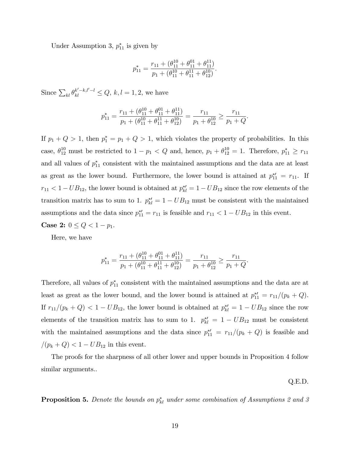Under Assumption 3,  $p_{11}^*$  is given by

$$
p_{11}^* = \frac{r_{11} + (\theta_{11}^{10} + \theta_{11}^{01} + \theta_{11}^{11})}{p_1 + (\theta_{11}^{10} + \theta_{11}^{11} + \theta_{12}^{10})}
$$

:

Since  $\sum_{kl} \theta_{kl}^{k'-k,l'-l} \leq Q, k, l = 1, 2$ , we have

$$
p_{11}^* = \frac{r_{11} + (\theta_{11}^{10} + \theta_{11}^{01} + \theta_{11}^{11})}{p_1 + (\theta_{11}^{10} + \theta_{11}^{11} + \theta_{12}^{10})} = \frac{r_{11}}{p_1 + \theta_{12}^{10}} \ge \frac{r_{11}}{p_1 + Q}.
$$

If  $p_1 + Q > 1$ , then  $p_1^* = p_1 + Q > 1$ , which violates the property of probabilities. In this case,  $\theta_{12}^{10}$  must be restricted to  $1 - p_1 < Q$  and, hence,  $p_1 + \theta_{12}^{10} = 1$ . Therefore,  $p_{11}^* \ge r_{11}$ and all values of  $p_{11}^*$  consistent with the maintained assumptions and the data are at least as great as the lower bound. Furthermore, the lower bound is attained at  $p_{11}^{*} = r_{11}$ . If  $r_{11}$  <  $1-UB_{12}$ , the lower bound is obtained at  $p_{kl}^{*'} = 1-UB_{12}$  since the row elements of the transition matrix has to sum to 1.  $p_{kl}^{*'} = 1 - UB_{12}$  must be consistent with the maintained assumptions and the data since  $p_{11}^{*} = r_{11}$  is feasible and  $r_{11} < 1 - UB_{12}$  in this event.

**Case 2:**  $0 \leq Q < 1 - p_1$ .

Here, we have

$$
p_{11}^* = \frac{r_{11} + (\theta_{11}^{10} + \theta_{11}^{01} + \theta_{11}^{11})}{p_1 + (\theta_{11}^{10} + \theta_{11}^{11} + \theta_{12}^{10})} = \frac{r_{11}}{p_1 + \theta_{12}^{10}} \ge \frac{r_{11}}{p_1 + Q}.
$$

Therefore, all values of  $p_{11}^*$  consistent with the maintained assumptions and the data are at least as great as the lower bound, and the lower bound is attained at  $p_{11}^{*} = r_{11}/(p_k + Q)$ . If  $r_{11}/(p_k + Q) < 1 - UB_{12}$ , the lower bound is obtained at  $p_{kl}^{*'} = 1 - UB_{12}$  since the row elements of the transition matrix has to sum to 1.  $p_{kl}^{*'} = 1 - UB_{12}$  must be consistent with the maintained assumptions and the data since  $p_{11}^{*} = r_{11}/(p_k + Q)$  is feasible and  $/(p_k + Q) < 1 - UB_{12}$  in this event.

The proofs for the sharpness of all other lower and upper bounds in Proposition 4 follow similar arguments..

Q.E.D.

**Proposition 5.** Denote the bounds on  $p_{kl}^*$  under some combination of Assumptions 2 and 3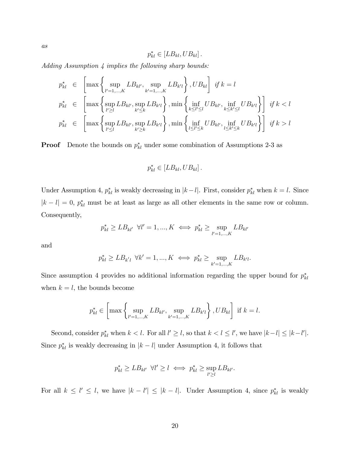$$
p_{kl}^* \in [LB_{kl}, UB_{kl}].
$$

Adding Assumption 4 implies the following sharp bounds:

$$
p_{kl}^{*} \in \left[\max\left\{\sup_{l'=1,\ldots,K}LB_{kl'},\sup_{k'=1,\ldots,K}LB_{k'l}\right\},UB_{kl}\right] \text{ if } k=l
$$
  

$$
p_{kl}^{*} \in \left[\max\left\{\sup_{l'\geq l}LB_{kl'},\sup_{k'\leq k}LB_{k'l}\right\},\min\left\{\inf_{k\leq l'\leq l}UB_{kl'},\inf_{k\leq k'\leq l}UB_{k'l}\right\}\right] \text{ if } k  

$$
p_{kl}^{*} \in \left[\max\left\{\sup_{l'\leq l}LB_{kl'},\sup_{k'\geq k}LB_{k'l}\right\},\min\left\{\inf_{l\leq l'\leq k}UB_{kl'},\inf_{l\leq k'\leq k}UB_{k'l}\right\}\right] \text{ if } k>l
$$
$$

**Proof** Denote the bounds on  $p_{kl}^*$  under some combination of Assumptions 2-3 as

$$
p_{kl}^* \in [LB_{kl}, UB_{kl}].
$$

Under Assumption 4,  $p_{kl}^*$  is weakly decreasing in  $|k-l|$ . First, consider  $p_{kl}^*$  when  $k=l$ . Since  $|k - l| = 0$ ,  $p_{kl}^*$  must be at least as large as all other elements in the same row or column. Consequently,

$$
p_{kl}^* \geq LB_{kl'} \;\; \forall l'=1,...,K \iff p_{kl}^* \geq \sup_{l'=1,\ldots,K} LB_{kl'}
$$

and

$$
p_{kl}^* \geq LB_{k'l} \ \forall k'=1,...,K \iff p_{kl}^* \geq \sup_{k'=1,\ldots,K} LB_{k'l}.
$$

Since assumption 4 provides no additional information regarding the upper bound for  $p_{kl}^*$ when  $k = l$ , the bounds become

$$
p_{kl}^* \in \left[\max\left\{\sup_{l'=1,\dots,K} LB_{kl'}, \sup_{k'=1,\dots,K} LB_{k'l}\right\}, UB_{kl}\right] \text{ if } k=l.
$$

Second, consider  $p_{kl}^*$  when  $k < l$ . For all  $l' \geq l$ , so that  $k < l \leq l'$ , we have  $|k - l| \leq |k - l'|$ . Since  $p_{kl}^*$  is weakly decreasing in  $|k - l|$  under Assumption 4, it follows that

$$
p_{kl}^* \geq LB_{kl'} \ \forall l' \geq l \iff p_{kl}^* \geq \sup_{l' \geq l} LB_{kl'}.
$$

For all  $k \leq l' \leq l$ , we have  $|k - l'| \leq |k - l|$ . Under Assumption 4, since  $p_{kl}^*$  is weakly

 $\mathfrak{a}s$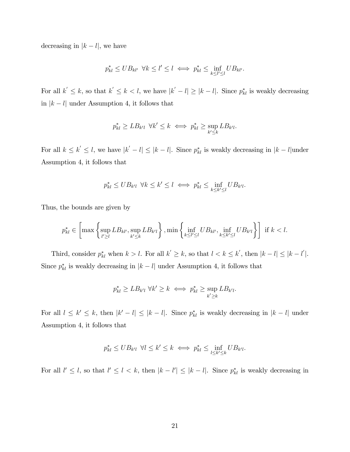decreasing in  $|k - l|$ , we have

$$
p_{kl}^* \leq UB_{kl'} \ \forall k \leq l' \leq l \iff p_{kl}^* \leq \inf_{k \leq l' \leq l} UB_{kl'}.
$$

For all  $k' \leq k$ , so that  $k' \leq k < l$ , we have  $|k'-l| \geq |k-l|$ . Since  $p_{kl}^*$  is weakly decreasing in  $|k - l|$  under Assumption 4, it follows that

$$
p_{kl}^* \geq LB_{k'l} \ \forall k' \leq k \iff p_{kl}^* \geq \sup_{k' \leq k} LB_{k'l}.
$$

For all  $k \leq k' \leq l$ , we have  $|k'-l| \leq |k-l|$ . Since  $p_{kl}^*$  is weakly decreasing in  $|k-l|$ under Assumption 4, it follows that

$$
p_{kl}^* \leq UB_{k'l} \ \forall k \leq k' \leq l \iff p_{kl}^* \leq \inf_{k \leq k' \leq l} UB_{k'l}.
$$

Thus, the bounds are given by

$$
p_{kl}^* \in \left[\max\left\{\sup_{l'\geq l} LB_{kl'}, \sup_{k'\leq k} LB_{k'l}\right\}, \min\left\{\inf_{k\leq l'\leq l} UB_{kl'}, \inf_{k\leq k'\leq l} UB_{k'l}\right\}\right] \text{ if } k
$$

Third, consider  $p_{kl}^*$  when  $k > l$ . For all  $k' \geq k$ , so that  $l < k \leq k'$ , then  $|k - l| \leq |k - l'|$ . Since  $p_{kl}^*$  is weakly decreasing in  $|k - l|$  under Assumption 4, it follows that

$$
p_{kl}^* \geq LB_{k'l} \ \forall k' \geq k \iff p_{kl}^* \geq \sup_{k' \geq k} LB_{k'l}.
$$

For all  $l \leq k' \leq k$ , then  $|k'-l| \leq |k-l|$ . Since  $p_{kl}^*$  is weakly decreasing in  $|k-l|$  under Assumption 4, it follows that

$$
p_{kl}^* \leq UB_{k'l} \ \forall l \leq k' \leq k \iff p_{kl}^* \leq \inf_{l \leq k' \leq k} UB_{k'l}.
$$

For all  $l' \leq l$ , so that  $l' \leq l < k$ , then  $|k - l'| \leq |k - l|$ . Since  $p_{kl}^*$  is weakly decreasing in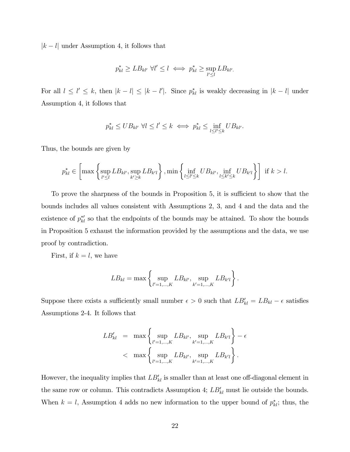$|k - l|$  under Assumption 4, it follows that

$$
p_{kl}^* \geq LB_{kl'} \ \forall l' \leq l \iff p_{kl}^* \geq \sup_{l' \leq l} LB_{kl'}.
$$

For all  $l \leq l' \leq k$ , then  $|k - l| \leq |k - l'|$ . Since  $p_{kl}^*$  is weakly decreasing in  $|k - l|$  under Assumption 4, it follows that

$$
p_{kl}^* \leq UB_{kl'} \ \forall l \leq l' \leq k \iff p_{kl}^* \leq \inf_{l \leq l' \leq k} UB_{kl'}.
$$

Thus, the bounds are given by

$$
p_{kl}^* \in \left[\max\left\{\sup_{l'\leq l} LB_{kl'}, \sup_{k'\geq k} LB_{k'l}\right\}, \min\left\{\inf_{l\leq l'\leq k} UB_{kl'}, \inf_{l\leq k'\leq k} UB_{k'l}\right\}\right] \text{ if } k>l.
$$

To prove the sharpness of the bounds in Proposition 5, it is sufficient to show that the bounds includes all values consistent with Assumptions 2, 3, and 4 and the data and the existence of  $p_{kl}^{*}$  so that the endpoints of the bounds may be attained. To show the bounds in Proposition 5 exhaust the information provided by the assumptions and the data, we use proof by contradiction.

First, if  $k = l$ , we have

$$
LB_{kl} = \max \left\{ \sup_{l'=1,\dots,K} LB_{kl'}, \sup_{k'=1,\dots,K} LB_{k'l} \right\}.
$$

Suppose there exists a sufficiently small number  $\epsilon > 0$  such that  $LB'_{kl} = LB_{kl} - \epsilon$  satisfies Assumptions 2-4. It follows that

$$
LB'_{kl} = \max \left\{ \sup_{l'=1,\dots,K} LB_{kl'}, \sup_{k'=1,\dots,K} LB_{k'l} \right\} - \epsilon
$$
  

$$
< \max \left\{ \sup_{l'=1,\dots,K} LB_{kl'}, \sup_{k'=1,\dots,K} LB_{k'l} \right\}.
$$

However, the inequality implies that  $LB'_{kl}$  is smaller than at least one off-diagonal element in the same row or column. This contradicts Assumption 4;  $LB'_{kl}$  must lie outside the bounds. When  $k = l$ , Assumption 4 adds no new information to the upper bound of  $p_{kl}^*$ ; thus, the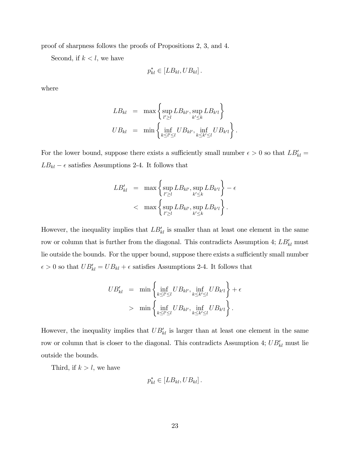proof of sharpness follows the proofs of Propositions 2, 3, and 4.

Second, if  $k < l$ , we have

$$
p_{kl}^* \in [LB_{kl}, UB_{kl}].
$$

where

$$
LB_{kl} = \max \left\{ \sup_{l'\geq l} LB_{kl'}, \sup_{k'\leq k} LB_{k'l} \right\}
$$
  

$$
UB_{kl} = \min \left\{ \inf_{k\leq l'\leq l} UB_{kl'}, \inf_{k\leq k'\leq l} UB_{k'l} \right\}.
$$

For the lower bound, suppose there exists a sufficiently small number  $\epsilon > 0$  so that  $LB'_{kl} =$  $LB_{kl} - \epsilon$  satisfies Assumptions 2-4. It follows that

$$
LB'_{kl} = \max \left\{ \sup_{l'\geq l} LB_{kl'}, \sup_{k'\leq k} LB_{k'l} \right\} - \epsilon
$$
  

$$
< \max \left\{ \sup_{l'\geq l} LB_{kl'}, \sup_{k'\leq k} LB_{k'l} \right\}.
$$

However, the inequality implies that  $LB'_{kl}$  is smaller than at least one element in the same row or column that is further from the diagonal. This contradicts Assumption 4;  $LB'_{kl}$  must lie outside the bounds. For the upper bound, suppose there exists a sufficiently small number  $\epsilon > 0$  so that  $UB'_{kl} = UB_{kl} + \epsilon$  satisfies Assumptions 2-4. It follows that

$$
UB'_{kl} = \min \left\{ \inf_{k \le l' \le l} UB_{kl'}, \inf_{k \le k' \le l} UB_{k'l} \right\} + \epsilon
$$
  
> 
$$
\min \left\{ \inf_{k \le l' \le l} UB_{kl'}, \inf_{k \le k' \le l} UB_{k'l} \right\}.
$$

However, the inequality implies that  $UB'_{kl}$  is larger than at least one element in the same row or column that is closer to the diagonal. This contradicts Assumption 4;  $UB'_{kl}$  must lie outside the bounds.

Third, if  $k > l$ , we have

$$
p_{kl}^* \in [LB_{kl}, UB_{kl}].
$$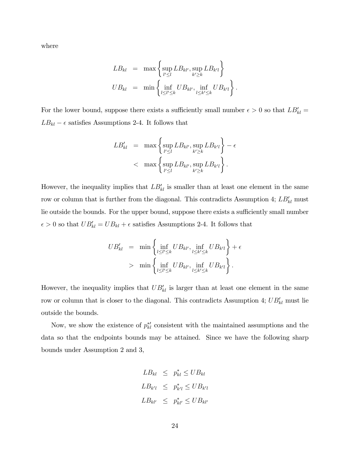where

$$
LB_{kl} = \max \left\{ \sup_{l'\leq l} LB_{kl'}, \sup_{k'\geq k} LB_{k'l} \right\}
$$
  

$$
UB_{kl} = \min \left\{ \inf_{l\leq l'\leq k} UB_{kl'}, \inf_{l\leq k'\leq k} UB_{k'l} \right\}.
$$

For the lower bound, suppose there exists a sufficiently small number  $\epsilon > 0$  so that  $LB'_{kl} =$  $LB_{kl} - \epsilon$  satisfies Assumptions 2-4. It follows that

$$
LB'_{kl} = \max \left\{ \sup_{l'\leq l} LB_{kl'}, \sup_{k'\geq k} LB_{k'l} \right\} - \epsilon
$$
  

$$
< \max \left\{ \sup_{l'\leq l} LB_{kl'}, \sup_{k'\geq k} LB_{k'l} \right\}.
$$

However, the inequality implies that  $LB'_{kl}$  is smaller than at least one element in the same row or column that is further from the diagonal. This contradicts Assumption 4;  $LB'_{kl}$  must lie outside the bounds. For the upper bound, suppose there exists a sufficiently small number  $\epsilon > 0$  so that  $UB'_{kl} = UB_{kl} + \epsilon$  satisfies Assumptions 2-4. It follows that

$$
UB'_{kl} = \min \left\{ \inf_{l \le l' \le k} UB_{kl'}, \inf_{l \le k' \le k} UB_{k'l} \right\} + \epsilon
$$
  
> 
$$
\min \left\{ \inf_{l \le l' \le k} UB_{kl'}, \inf_{l \le k' \le k} UB_{k'l} \right\}.
$$

However, the inequality implies that  $UB'_{kl}$  is larger than at least one element in the same row or column that is closer to the diagonal. This contradicts Assumption 4;  $UB'_{kl}$  must lie outside the bounds.

Now, we show the existence of  $p_{kl}^{*}$  consistent with the maintained assumptions and the data so that the endpoints bounds may be attained. Since we have the following sharp bounds under Assumption 2 and 3,

$$
LB_{kl} \leq p_{kl}^* \leq UB_{kl}
$$
  

$$
LB_{k'l} \leq p_{k'l}^* \leq UB_{k'l}
$$
  

$$
LB_{kl'} \leq p_{kl'}^* \leq UB_{kl'}
$$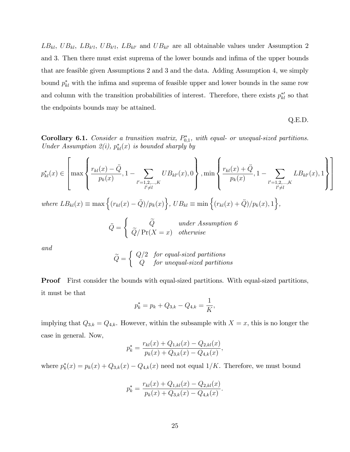$LB_{kl}$ ,  $UB_{kl}$ ,  $LB_{k'l}$ ,  $UB_{kl'}$ ,  $LB_{kl'}$  and  $UB_{kl'}$  are all obtainable values under Assumption 2 and 3. Then there must exist suprema of the lower bounds and infima of the upper bounds that are feasible given Assumptions 2 and 3 and the data. Adding Assumption 4, we simply bound  $p_{kl}^*$  with the infima and suprema of feasible upper and lower bounds in the same row and column with the transition probabilities of interest. Therefore, there exists  $p_{kl}^{*}$  so that the endpoints bounds may be attained.

$$
Q.E.D.
$$

**Corollary 6.1.** Consider a transition matrix,  $P_{0,1}^*$ , with equal- or unequal-sized partitions. Under Assumption 2(i),  $p_{kl}^*(x)$  is bounded sharply by

$$
p_{kl}^{*}(x) \in \left[\max\left\{\frac{r_{kl}(x) - \ddot{Q}}{p_k(x)}, 1 - \sum_{\substack{l'=1,2,\dots,K \\ l'\neq l}} UB_{kl'}(x), 0\right\}, \min\left\{\frac{r_{kl}(x) + \ddot{Q}}{p_k(x)}, 1 - \sum_{\substack{l'=1,2,\dots,K \\ l'\neq l}} LB_{kl'}(x), 1\right\}\right]
$$
  
where  $LB_{kl}(x) \equiv \max\left\{(r_{kl}(x) - \ddot{Q})/p_k(x)\right\}$ ,  $UB_{kl} \equiv \min\left\{(r_{kl}(x) + \ddot{Q})/p_k(x), 1\right\}$ .

where  $LB_{kl}(x) \equiv \max \left\{ (r_{kl}(x) - \ddot{Q})/p_k(x) \right\}$ ,  $UB_{kl} \equiv \min \left\{ (r_{kl}(x) + \ddot{Q})/p_k(x), 1 \right\}$ ,

$$
\ddot{Q} = \begin{cases} \ddot{Q} & under Assumption 6 \\ \ddot{Q}/\Pr(X = x) & otherwise \end{cases}
$$

and

$$
\widetilde{Q} = \left\{ \begin{array}{cl} Q/2 & \textit{for equal-sized partitions} \\ Q & \textit{for unequal-sized partitions} \end{array} \right.
$$

Proof First consider the bounds with equal-sized partitions. With equal-sized partitions, it must be that

$$
p_k^* = p_k + Q_{3,k} - Q_{4,k} = \frac{1}{K},
$$

implying that  $Q_{3,k} = Q_{4,k}$ . However, within the subsample with  $X = x$ , this is no longer the case in general. Now,  $\kappa$ 

$$
p_k^* = \frac{r_{kl}(x) + Q_{1,kl}(x) - Q_{2,kl}(x)}{p_k(x) + Q_{3,k}(x) - Q_{4,k}(x)},
$$

where  $p_k^*(x) = p_k(x) + Q_{3,k}(x) - Q_{4,k}(x)$  need not equal  $1/K$ . Therefore, we must bound

$$
p_k^* = \frac{r_{kl}(x) + Q_{1,kl}(x) - Q_{2,kl}(x)}{p_k(x) + Q_{3,k}(x) - Q_{4,k}(x)}.
$$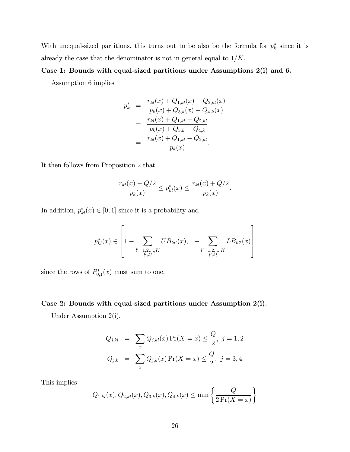With unequal-sized partitions, this turns out to be also be the formula for  $p_k^*$  since it is already the case that the denominator is not in general equal to  $1/K$ .

# Case 1: Bounds with equal-sized partitions under Assumptions 2(i) and 6.

Assumption 6 implies

$$
p_k^* = \frac{r_{kl}(x) + Q_{1,kl}(x) - Q_{2,kl}(x)}{p_k(x) + Q_{3,k}(x) - Q_{4,k}(x)}
$$
  
= 
$$
\frac{r_{kl}(x) + Q_{1,kl} - Q_{2,kl}}{p_k(x) + Q_{3,k} - Q_{4,k}}
$$
  
= 
$$
\frac{r_{kl}(x) + Q_{1,kl} - Q_{2,kl}}{p_k(x)}.
$$

It then follows from Proposition 2 that

$$
\frac{r_{kl}(x) - Q/2}{p_k(x)} \le p_{kl}^*(x) \le \frac{r_{kl}(x) + Q/2}{p_k(x)}.
$$

In addition,  $p_{kl}^*(x) \in [0,1]$  since it is a probability and

$$
p_{kl}^*(x) \in \left[1 - \sum_{\substack{l'=1,2,\ldots,K \\ l'\neq l}} UB_{kl'}(x), 1 - \sum_{\substack{l'=1,2,\ldots,K \\ l'\neq l}} LB_{kl'}(x) \right]
$$

since the rows of  $P_{0,1}^*(x)$  must sum to one.

# Case 2: Bounds with equal-sized partitions under Assumption 2(i).

Under Assumption 2(i),

$$
Q_{j,kl} = \sum_{x} Q_{j,kl}(x) \Pr(X = x) \le \frac{Q}{2}, \ j = 1, 2
$$
  

$$
Q_{j,k} = \sum_{x} Q_{j,k}(x) \Pr(X = x) \le \frac{Q}{2}, \ j = 3, 4.
$$

This implies

$$
Q_{1,kl}(x), Q_{2,kl}(x), Q_{3,k}(x), Q_{4,k}(x) \le \min\left\{\frac{Q}{2\Pr(X=x)}\right\}
$$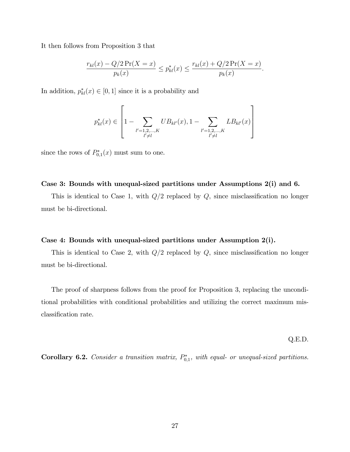It then follows from Proposition 3 that

$$
\frac{r_{kl}(x) - Q/2 \Pr(X = x)}{p_k(x)} \le p_{kl}^*(x) \le \frac{r_{kl}(x) + Q/2 \Pr(X = x)}{p_k(x)}.
$$

In addition,  $p_{kl}^*(x) \in [0,1]$  since it is a probability and

$$
p_{kl}^*(x) \in \left[1 - \sum_{\substack{l'=1,2,\ldots,K \\ l'\neq l}} UB_{kl'}(x), 1 - \sum_{\substack{l'=1,2,\ldots,K \\ l'\neq l}} LB_{kl'}(x) \right]
$$

since the rows of  $P_{0,1}^*(x)$  must sum to one.

# Case 3: Bounds with unequal-sized partitions under Assumptions 2(i) and 6.

This is identical to Case 1, with  $Q/2$  replaced by  $Q$ , since misclassification no longer must be bi-directional.

# Case 4: Bounds with unequal-sized partitions under Assumption 2(i).

This is identical to Case 2, with  $Q/2$  replaced by  $Q$ , since misclassification no longer must be bi-directional.

The proof of sharpness follows from the proof for Proposition 3, replacing the unconditional probabilities with conditional probabilities and utilizing the correct maximum misclassification rate.

Q.E.D.

**Corollary 6.2.** Consider a transition matrix,  $P_{0,1}^*$ , with equal- or unequal-sized partitions.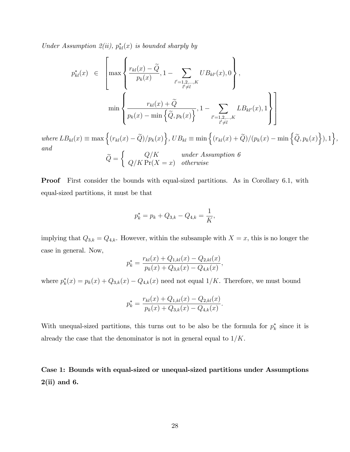Under Assumption 2(ii),  $p_{kl}^*(x)$  is bounded sharply by

$$
p_{kl}^{*}(x) \in \left[\max\left\{\frac{r_{kl}(x) - \widetilde{Q}}{p_k(x)}, 1 - \sum_{\substack{l'=1,2,\ldots,K \\ l'\neq l}} UB_{kl'}(x), 0\right\},\right]
$$

$$
\min\left\{\frac{r_{kl}(x) + \widetilde{Q}}{p_k(x) - \min\left\{\widetilde{Q}, p_k(x)\right\}}, 1 - \sum_{\substack{l'=1,2,\ldots,K \\ l'\neq l}} LB_{kl'}(x), 1\right\}\right]
$$

where  $LB_{kl}(x) \equiv \max \Big\{ (r_{kl}(x) - \widetilde{Q})/p_k(x) \Big\}, UB_{kl} \equiv \min \Big\{ (r_{kl}(x) + \widetilde{Q})/(p_k(x) - \min \Big\{ \widetilde{Q}, p_k(x) \Big\}), 1 \Big\},$ and  $\sqrt{ }$ 

$$
\widetilde{Q} = \begin{cases} Q/K & under Assumption 6 \\ Q/K \Pr(X = x) & otherwise \end{cases}
$$

**Proof** First consider the bounds with equal-sized partitions. As in Corollary 6.1, with equal-sized partitions, it must be that

$$
p_k^* = p_k + Q_{3,k} - Q_{4,k} = \frac{1}{K},
$$

implying that  $Q_{3,k} = Q_{4,k}$ . However, within the subsample with  $X = x$ , this is no longer the case in general. Now,

$$
p_k^* = \frac{r_{kl}(x) + Q_{1,kl}(x) - Q_{2,kl}(x)}{p_k(x) + Q_{3,k}(x) - Q_{4,k}(x)},
$$

where  $p_k^*(x) = p_k(x) + Q_{3,k}(x) - Q_{4,k}(x)$  need not equal  $1/K$ . Therefore, we must bound

$$
p_k^* = \frac{r_{kl}(x) + Q_{1,kl}(x) - Q_{2,kl}(x)}{p_k(x) + Q_{3,k}(x) - Q_{4,k}(x)}.
$$

With unequal-sized partitions, this turns out to be also be the formula for  $p_k^*$  since it is already the case that the denominator is not in general equal to  $1/K$ .

Case 1: Bounds with equal-sized or unequal-sized partitions under Assumptions  $2(ii)$  and 6.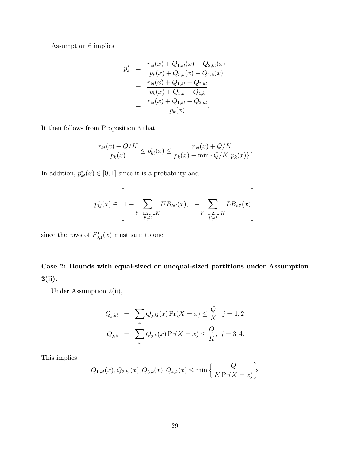Assumption 6 implies

$$
p_k^* = \frac{r_{kl}(x) + Q_{1,kl}(x) - Q_{2,kl}(x)}{p_k(x) + Q_{3,k}(x) - Q_{4,k}(x)}
$$
  
= 
$$
\frac{r_{kl}(x) + Q_{1,kl} - Q_{2,kl}}{p_k(x) + Q_{3,k} - Q_{4,k}}
$$
  
= 
$$
\frac{r_{kl}(x) + Q_{1,kl} - Q_{2,kl}}{p_k(x)}.
$$

It then follows from Proposition 3 that

$$
\frac{r_{kl}(x) - Q/K}{p_k(x)} \le p_{kl}^*(x) \le \frac{r_{kl}(x) + Q/K}{p_k(x) - \min\{Q/K, p_k(x)\}}.
$$

In addition,  $p_{kl}^*(x) \in [0,1]$  since it is a probability and

$$
p_{kl}^*(x) \in \left[1 - \sum_{\substack{l'=1,2,\ldots,K \\ l'\neq l}} UB_{kl'}(x), 1 - \sum_{\substack{l'=1,2,\ldots,K \\ l'\neq l}} LB_{kl'}(x) \right]
$$

since the rows of  $P_{0,1}^*(x)$  must sum to one.

# Case 2: Bounds with equal-sized or unequal-sized partitions under Assumption 2(ii).

Under Assumption 2(ii),

$$
Q_{j,kl} = \sum_{x} Q_{j,kl}(x) \Pr(X = x) \le \frac{Q}{K}, \ j = 1, 2
$$
  

$$
Q_{j,k} = \sum_{x} Q_{j,k}(x) \Pr(X = x) \le \frac{Q}{K}, \ j = 3, 4.
$$

This implies

$$
Q_{1,kl}(x), Q_{2,kl}(x), Q_{3,k}(x), Q_{4,k}(x) \le \min\left\{\frac{Q}{K\Pr(X=x)}\right\}
$$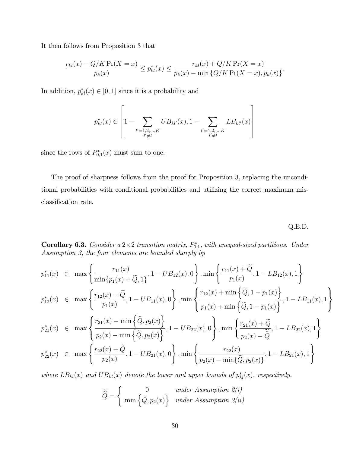It then follows from Proposition 3 that

$$
\frac{r_{kl}(x) - Q/K \Pr(X = x)}{p_k(x)} \le p_{kl}^*(x) \le \frac{r_{kl}(x) + Q/K \Pr(X = x)}{p_k(x) - \min\{Q/K \Pr(X = x), p_k(x)\}}
$$

In addition,  $p_{kl}^*(x) \in [0,1]$  since it is a probability and

$$
p_{kl}^*(x) \in \left[1 - \sum_{\substack{l'=1,2,\ldots,K \\ l'\neq l}} UB_{kl'}(x), 1 - \sum_{\substack{l'=1,2,\ldots,K \\ l'\neq l}} LB_{kl'}(x) \right]
$$

since the rows of  $P_{0,1}^*(x)$  must sum to one.

The proof of sharpness follows from the proof for Proposition 3, replacing the unconditional probabilities with conditional probabilities and utilizing the correct maximum misclassification rate.

Q.E.D.

:

**Corollary 6.3.** Consider a  $2 \times 2$  transition matrix,  $P_{0,1}^*$ , with unequal-sized partitions. Under Assumption 3, the four elements are bounded sharply by

$$
p_{11}^{*}(x) \in \max\left\{\frac{r_{11}(x)}{\min\{p_{1}(x) + \tilde{Q}, 1\}}, 1 - UB_{12}(x), 0\right\}, \min\left\{\frac{r_{11}(x) + \tilde{Q}}{p_{1}(x)}, 1 - LB_{12}(x), 1\right\}
$$
  
\n
$$
p_{12}^{*}(x) \in \max\left\{\frac{r_{12}(x) - \tilde{Q}}{p_{1}(x)}, 1 - UB_{11}(x), 0\right\}, \min\left\{\frac{r_{12}(x) + \min\left\{\tilde{Q}, 1 - p_{1}(x)\right\}}{p_{1}(x) + \min\left\{\tilde{Q}, 1 - p_{1}(x)\right\}}, 1 - LB_{11}(x), 1\right\}
$$
  
\n
$$
p_{21}^{*}(x) \in \max\left\{\frac{r_{21}(x) - \min\left\{\tilde{Q}, p_{2}(x)\right\}}{p_{2}(x) - \min\left\{\tilde{Q}, p_{2}(x)\right\}}, 1 - UB_{22}(x), 0\right\}, \min\left\{\frac{r_{21}(x) + \tilde{Q}}{p_{2}(x) - \tilde{\tilde{Q}}}, 1 - LB_{22}(x), 1\right\}
$$
  
\n
$$
p_{22}^{*}(x) \in \max\left\{\frac{r_{22}(x) - \tilde{Q}}{p_{2}(x)}, 1 - UB_{21}(x), 0\right\}, \min\left\{\frac{r_{22}(x)}{p_{2}(x) - \min\{\tilde{Q}, p_{2}(x)\}}, 1 - LB_{21}(x), 1\right\}
$$

where  $LB_{kl}(x)$  and  $UB_{kl}(x)$  denote the lower and upper bounds of  $p_{kl}^*(x)$ , respectively,

$$
\widetilde{\widetilde{Q}} = \begin{cases}\n0 & under Assumption 2(i) \\
\min \left\{ \widetilde{Q}, p_2(x) \right\} & under Assumption 2(ii)\n\end{cases}
$$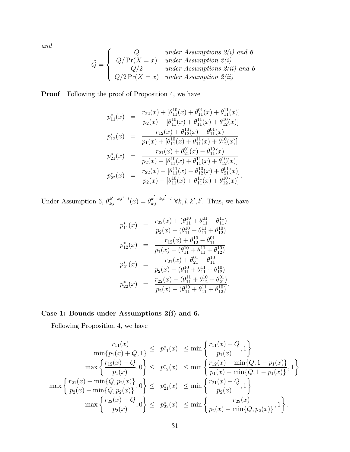and

$$
\widetilde{Q} = \begin{cases}\nQ & under Assumptions 2(i) \text{ and } 6 \\
Q/Pr(X = x) & under Assumption 2(i) \\
Q/2 & under Assumptions 2(ii) \text{ and } 6 \\
Q/2Pr(X = x) & under Assumption 2(ii)\n\end{cases}
$$

**Proof** Following the proof of Proposition 4, we have

$$
p_{11}^{*}(x) = \frac{r_{22}(x) + [\theta_{11}^{10}(x) + \theta_{11}^{01}(x) + \theta_{11}^{11}(x)]}{p_{2}(x) + [\theta_{11}^{10}(x) + \theta_{11}^{11}(x) + \theta_{12}^{10}(x)]}
$$
  
\n
$$
p_{12}^{*}(x) = \frac{r_{12}(x) + \theta_{12}^{10}(x) - \theta_{11}^{01}(x)}{p_{1}(x) + [\theta_{11}^{10}(x) + \theta_{11}^{11}(x) + \theta_{12}^{10}(x)]}
$$
  
\n
$$
p_{21}^{*}(x) = \frac{r_{21}(x) + \theta_{21}^{01}(x) - \theta_{11}^{10}(x)}{p_{2}(x) - [\theta_{11}^{10}(x) + \theta_{11}^{11}(x) + \theta_{12}^{10}(x)]}
$$
  
\n
$$
p_{22}^{*}(x) = \frac{r_{22}(x) - [\theta_{11}^{11}(x) + \theta_{12}^{10}(x) + \theta_{21}^{01}(x)]}{p_{2}(x) - [\theta_{11}^{10}(x) + \theta_{11}^{11}(x) + \theta_{12}^{10}(x)].}
$$

Under Assumption 6,  $\theta_{k,l}^{k'-k,l'-l}(x) = \theta_{k,l}^{k'-k,l'-l} \ \forall k,l,k',l'.$  Thus, we have

$$
p_{11}^{*}(x) = \frac{r_{22}(x) + (\theta_{11}^{10} + \theta_{11}^{01} + \theta_{11}^{11})}{p_2(x) + (\theta_{11}^{10} + \theta_{11}^{11} + \theta_{12}^{10})}
$$
  
\n
$$
p_{12}^{*}(x) = \frac{r_{12}(x) + \theta_{12}^{10} - \theta_{11}^{01}}{p_1(x) + (\theta_{11}^{10} + \theta_{11}^{11} + \theta_{12}^{10})}
$$
  
\n
$$
p_{21}^{*}(x) = \frac{r_{21}(x) + \theta_{21}^{01} - \theta_{11}^{10}}{p_2(x) - (\theta_{11}^{10} + \theta_{11}^{11} + \theta_{12}^{10})}
$$
  
\n
$$
p_{22}^{*}(x) = \frac{r_{22}(x) - (\theta_{11}^{10} + \theta_{11}^{10} + \theta_{21}^{01})}{p_2(x) - (\theta_{11}^{10} + \theta_{11}^{11} + \theta_{12}^{10})}.
$$

# Case 1: Bounds under Assumptions 2(i) and 6.

Following Proposition 4, we have

$$
\frac{r_{11}(x)}{\min\{p_1(x) + Q, 1\}} \leq p_{11}^*(x) \leq \min\left\{\frac{r_{11}(x) + Q}{p_1(x)}, 1\right\}
$$
\n
$$
\max\left\{\frac{r_{12}(x) - Q}{p_1(x)}, 0\right\} \leq p_{12}^*(x) \leq \min\left\{\frac{r_{12}(x) + \min\{Q, 1 - p_1(x)\}}{p_1(x) + \min\{Q, 1 - p_1(x)\}}, 1\right\}
$$
\n
$$
\max\left\{\frac{r_{21}(x) - \min\{Q, p_2(x)\}}{p_2(x) - \min\{Q, p_2(x)\}}, 0\right\} \leq p_{21}^*(x) \leq \min\left\{\frac{r_{21}(x) + Q}{p_2(x)}, 1\right\}
$$
\n
$$
\max\left\{\frac{r_{22}(x) - Q}{p_2(x)}, 0\right\} \leq p_{22}^*(x) \leq \min\left\{\frac{r_{22}(x)}{p_2(x) - \min\{Q, p_2(x)\}}, 1\right\}.
$$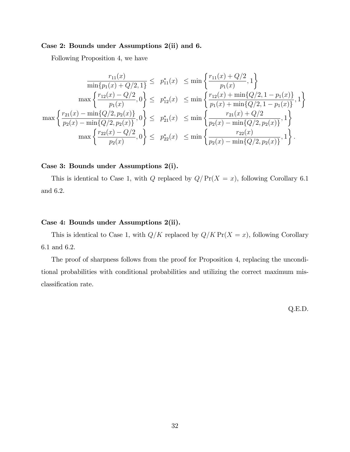# Case 2: Bounds under Assumptions 2(ii) and 6.

Following Proposition 4, we have

$$
\frac{r_{11}(x)}{\min\{p_1(x) + Q/2, 1\}} \leq p_{11}^*(x) \leq \min\left\{\frac{r_{11}(x) + Q/2}{p_1(x)}, 1\right\}
$$
\n
$$
\max\left\{\frac{r_{12}(x) - Q/2}{p_1(x)}, 0\right\} \leq p_{12}^*(x) \leq \min\left\{\frac{r_{12}(x) + \min\{Q/2, 1 - p_1(x)\}}{p_1(x) + \min\{Q/2, 1 - p_1(x)\}}, 1\right\}
$$
\n
$$
\max\left\{\frac{r_{21}(x) - \min\{Q/2, p_2(x)\}}{p_2(x) - \min\{Q/2, p_2(x)\}}, 0\right\} \leq p_{21}^*(x) \leq \min\left\{\frac{r_{21}(x) + Q/2}{p_2(x) - \min\{Q/2, p_2(x)\}}, 1\right\}
$$
\n
$$
\max\left\{\frac{r_{22}(x) - Q/2}{p_2(x)}, 0\right\} \leq p_{22}^*(x) \leq \min\left\{\frac{r_{22}(x)}{p_2(x) - \min\{Q/2, p_2(x)\}}, 1\right\}.
$$

# Case 3: Bounds under Assumptions 2(i).

This is identical to Case 1, with Q replaced by  $Q/Pr(X = x)$ , following Corollary 6.1 and 6.2.

# Case 4: Bounds under Assumptions 2(ii).

This is identical to Case 1, with  $Q/K$  replaced by  $Q/K$  Pr( $X = x$ ), following Corollary 6.1 and 6.2.

The proof of sharpness follows from the proof for Proposition 4, replacing the unconditional probabilities with conditional probabilities and utilizing the correct maximum misclassification rate.

Q.E.D.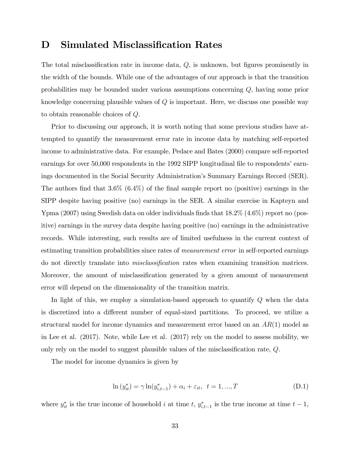# D Simulated Misclassification Rates

The total misclassification rate in income data,  $Q$ , is unknown, but figures prominently in the width of the bounds. While one of the advantages of our approach is that the transition probabilities may be bounded under various assumptions concerning Q, having some prior knowledge concerning plausible values of  $Q$  is important. Here, we discuss one possible way to obtain reasonable choices of Q.

Prior to discussing our approach, it is worth noting that some previous studies have attempted to quantify the measurement error rate in income data by matching self-reported income to administrative data. For example, Pedace and Bates (2000) compare self-reported earnings for over 50,000 respondents in the 1992 SIPP longitudinal file to respondents' earnings documented in the Social Security Administration's Summary Earnings Record (SER). The authors find that  $3.6\%$  (6.4%) of the final sample report no (positive) earnings in the SIPP despite having positive (no) earnings in the SER. A similar exercise in Kapteyn and Ypma (2007) using Swedish data on older individuals finds that  $18.2\%$  (4.6%) report no (positive) earnings in the survey data despite having positive (no) earnings in the administrative records. While interesting, such results are of limited usefulness in the current context of estimating transition probabilities since rates of *measurement error* in self-reported earnings do not directly translate into *misclassification* rates when examining transition matrices. Moreover, the amount of misclassification generated by a given amount of measurement error will depend on the dimensionality of the transition matrix.

In light of this, we employ a simulation-based approach to quantify Q when the data is discretized into a different number of equal-sized partitions. To proceed, we utilize a structural model for income dynamics and measurement error based on an  $AR(1)$  model as in Lee et al. (2017). Note, while Lee et al. (2017) rely on the model to assess mobility, we only rely on the model to suggest plausible values of the misclassification rate,  $Q$ .

The model for income dynamics is given by

$$
\ln(y_{it}^*) = \gamma \ln(y_{i,t-1}^*) + \alpha_i + \varepsilon_{it}, \ \ t = 1, ..., T \tag{D.1}
$$

where  $y_{it}^*$  is the true income of household i at time t,  $y_{i,t-1}^*$  is the true income at time  $t-1$ ,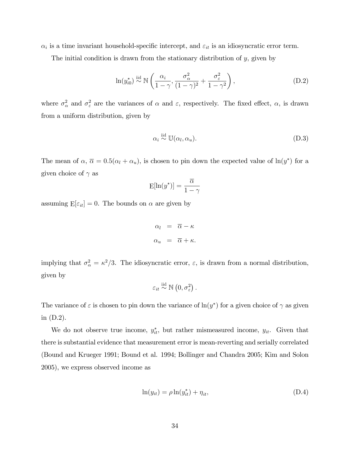$\alpha_i$  is a time invariant household-specific intercept, and  $\varepsilon_{it}$  is an idiosyncratic error term.

The initial condition is drawn from the stationary distribution of  $y$ , given by

$$
\ln(y_{i0}^*) \stackrel{\text{iid}}{\sim} \mathbb{N}\left(\frac{\alpha_i}{1-\gamma}, \frac{\sigma_\alpha^2}{(1-\gamma)^2} + \frac{\sigma_\varepsilon^2}{1-\gamma^2}\right),\tag{D.2}
$$

where  $\sigma_{\alpha}^2$  and  $\sigma_{\varepsilon}^2$  are the variances of  $\alpha$  and  $\varepsilon$ , respectively. The fixed effect,  $\alpha$ , is drawn from a uniform distribution, given by

$$
\alpha_i \stackrel{\text{iid}}{\sim} \mathbb{U}(\alpha_l, \alpha_u). \tag{D.3}
$$

The mean of  $\alpha$ ,  $\overline{\alpha} = 0.5(\alpha_l + \alpha_u)$ , is chosen to pin down the expected value of  $\ln(y^*)$  for a given choice of  $\gamma$  as

$$
\mathrm{E}[\ln(y^*)]=\frac{\overline{\alpha}}{1-\gamma}
$$

assuming  $E[\varepsilon_{it}] = 0$ . The bounds on  $\alpha$  are given by

$$
\alpha_l = \overline{\alpha} - \kappa
$$
  

$$
\alpha_u = \overline{\alpha} + \kappa.
$$

implying that  $\sigma_{\alpha}^2 = \kappa^2/3$ . The idiosyncratic error,  $\varepsilon$ , is drawn from a normal distribution, given by

$$
\varepsilon_{it} \stackrel{\text{iid}}{\sim} \mathbb{N}\left(0, \sigma_{\varepsilon}^2\right).
$$

The variance of  $\varepsilon$  is chosen to pin down the variance of  $\ln(y^*)$  for a given choice of  $\gamma$  as given in (D.2).

We do not observe true income,  $y_{it}^*$ , but rather mismeasured income,  $y_{it}$ . Given that there is substantial evidence that measurement error is mean-reverting and serially correlated (Bound and Krueger 1991; Bound et al. 1994; Bollinger and Chandra 2005; Kim and Solon 2005), we express observed income as

$$
\ln(y_{it}) = \rho \ln(y_{it}^*) + \eta_{it},\tag{D.4}
$$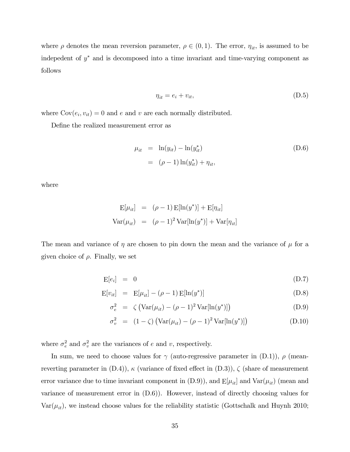where  $\rho$  denotes the mean reversion parameter,  $\rho \in (0, 1)$ . The error,  $\eta_{it}$ , is assumed to be indepedent of  $y^*$  and is decomposed into a time invariant and time-varying component as follows

$$
\eta_{it} = e_i + v_{it},\tag{D.5}
$$

where  $Cov(e_i, v_{it}) = 0$  and e and v are each normally distributed.

DeÖne the realized measurement error as

$$
\mu_{it} = \ln(y_{it}) - \ln(y_{it}^*)
$$
\n
$$
= (\rho - 1) \ln(y_{it}^*) + \eta_{it},
$$
\n(D.6)

where

$$
E[\mu_{it}] = (\rho - 1) E[\ln(y^*)] + E[\eta_{it}]
$$
  
 
$$
Var(\mu_{it}) = (\rho - 1)^2 Var[\ln(y^*)] + Var[\eta_{it}]
$$

The mean and variance of  $\eta$  are chosen to pin down the mean and the variance of  $\mu$  for a given choice of  $\rho$ . Finally, we set

$$
\mathbf{E}[e_i] = 0 \tag{D.7}
$$

$$
E[v_{it}] = E[\mu_{it}] - (\rho - 1) E[\ln(y^*)]
$$
 (D.8)

$$
\sigma_e^2 = \zeta \left( \text{Var}(\mu_{it}) - (\rho - 1)^2 \text{Var}[\ln(y^*)] \right) \tag{D.9}
$$

$$
\sigma_v^2 = (1 - \zeta) \left( \text{Var}(\mu_{it}) - (\rho - 1)^2 \text{Var}[\ln(y^*)] \right)
$$
 (D.10)

where  $\sigma_e^2$  and  $\sigma_v^2$  are the variances of e and v, respectively.

In sum, we need to choose values for  $\gamma$  (auto-regressive parameter in (D.1)),  $\rho$  (meanreverting parameter in  $(D.4)$ ),  $\kappa$  (variance of fixed effect in  $(D.3)$ ),  $\zeta$  (share of measurement error variance due to time invariant component in  $(D.9)$ ), and  $E[\mu_{it}]$  and  $Var(\mu_{it})$  (mean and variance of measurement error in (D.6)). However, instead of directly choosing values for  $Var(\mu_{it})$ , we instead choose values for the reliability statistic (Gottschalk and Huynh 2010;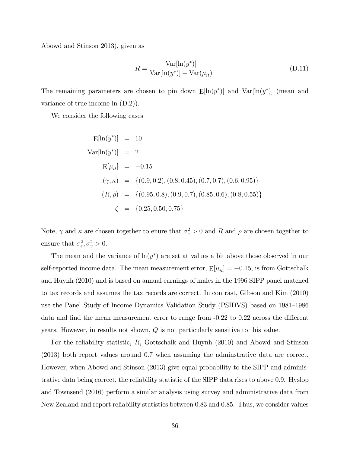Abowd and Stinson 2013), given as

$$
R = \frac{\text{Var}[\ln(y^*)]}{\text{Var}[\ln(y^*)] + \text{Var}(\mu_{it})}.
$$
\n(D.11)

The remaining parameters are chosen to pin down  $E[\ln(y^*)]$  and  $Var[\ln(y^*)]$  (mean and variance of true income in (D.2)).

We consider the following cases

$$
E[\ln(y^*)] = 10
$$
  
\n
$$
Var[\ln(y^*)] = 2
$$
  
\n
$$
E[\mu_{it}] = -0.15
$$
  
\n
$$
(\gamma, \kappa) = \{(0.9, 0.2), (0.8, 0.45), (0.7, 0.7), (0.6, 0.95)\}
$$
  
\n
$$
(R, \rho) = \{(0.95, 0.8), (0.9, 0.7), (0.85, 0.6), (0.8, 0.55)\}
$$
  
\n
$$
\zeta = \{0.25, 0.50, 0.75\}
$$

Note,  $\gamma$  and  $\kappa$  are chosen together to enure that  $\sigma_{\varepsilon}^2 > 0$  and R and  $\rho$  are chosen together to ensure that  $\sigma_e^2, \sigma_v^2 > 0$ .

The mean and the variance of  $ln(y^*)$  are set at values a bit above those observed in our self-reported income data. The mean measurement error,  $E[\mu_{it}] = -0.15$ , is from Gottschalk and Huynh (2010) and is based on annual earnings of males in the 1996 SIPP panel matched to tax records and assumes the tax records are correct. In contrast, Gibson and Kim (2010) use the Panel Study of Income Dynamics Validation Study (PSIDVS) based on 1981–1986 data and find the mean measurement error to range from  $-0.22$  to  $0.22$  across the different years. However, in results not shown, Q is not particularly sensitive to this value.

For the reliability statistic, R, Gottschalk and Huynh (2010) and Abowd and Stinson (2013) both report values around 0.7 when assuming the adminstrative data are correct. However, when Abowd and Stinson (2013) give equal probability to the SIPP and administrative data being correct, the reliability statistic of the SIPP data rises to above 0.9. Hyslop and Townsend (2016) perform a similar analysis using survey and administrative data from New Zealand and report reliability statistics between 0.83 and 0.85. Thus, we consider values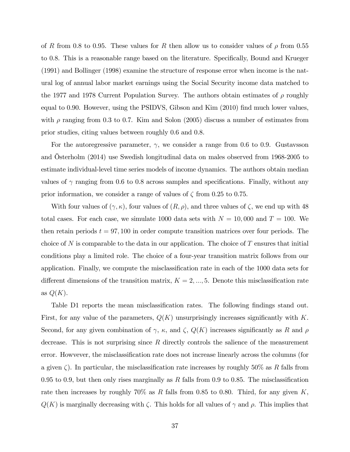of R from 0.8 to 0.95. These values for R then allow us to consider values of  $\rho$  from 0.55 to 0.8. This is a reasonable range based on the literature. Specifically, Bound and Krueger (1991) and Bollinger (1998) examine the structure of response error when income is the natural log of annual labor market earnings using the Social Security income data matched to the 1977 and 1978 Current Population Survey. The authors obtain estimates of  $\rho$  roughly equal to 0.90. However, using the PSIDVS, Gibson and Kim (2010) find much lower values, with  $\rho$  ranging from 0.3 to 0.7. Kim and Solon (2005) discuss a number of estimates from prior studies, citing values between roughly 0.6 and 0.8.

For the autoregressive parameter,  $\gamma$ , we consider a range from 0.6 to 0.9. Gustavsson and Osterholm  $(2014)$  use Swedish longitudinal data on males observed from 1968-2005 to estimate individual-level time series models of income dynamics. The authors obtain median values of  $\gamma$  ranging from 0.6 to 0.8 across samples and specifications. Finally, without any prior information, we consider a range of values of  $\zeta$  from 0.25 to 0.75.

With four values of  $(\gamma, \kappa)$ , four values of  $(R, \rho)$ , and three values of  $\zeta$ , we end up with 48 total cases. For each case, we simulate 1000 data sets with  $N = 10,000$  and  $T = 100$ . We then retain periods  $t = 97,100$  in order compute transition matrices over four periods. The choice of N is comparable to the data in our application. The choice of T ensures that initial conditions play a limited role. The choice of a four-year transition matrix follows from our application. Finally, we compute the misclassification rate in each of the 1000 data sets for different dimensions of the transition matrix,  $K = 2, ..., 5$ . Denote this misclassification rate as  $Q(K)$ .

Table D1 reports the mean misclassification rates. The following findings stand out. First, for any value of the parameters,  $Q(K)$  unsurprisingly increases significantly with K. Second, for any given combination of  $\gamma$ ,  $\kappa$ , and  $\zeta$ ,  $Q(K)$  increases significantly as R and  $\rho$ decrease. This is not surprising since  $R$  directly controls the salience of the measurement error. Howvever, the misclassification rate does not increase linearly across the columns (for a given  $\zeta$ ). In particular, the misclassification rate increases by roughly 50% as R falls from 0.95 to 0.9, but then only rises marginally as  $R$  falls from 0.9 to 0.85. The misclassification rate then increases by roughly  $70\%$  as R falls from 0.85 to 0.80. Third, for any given K,  $Q(K)$  is marginally decreasing with  $\zeta$ . This holds for all values of  $\gamma$  and  $\rho$ . This implies that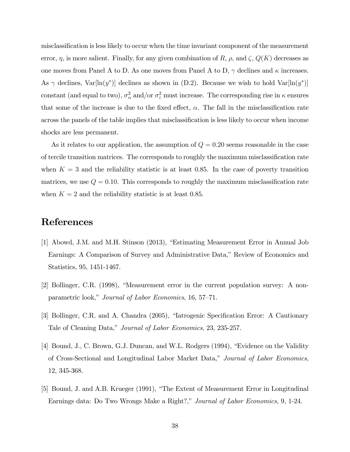misclassification is less likely to occur when the time invariant component of the measurement error,  $\eta$ , is more salient. Finally, for any given combination of R,  $\rho$ , and  $\zeta$ ,  $Q(K)$  decreases as one moves from Panel A to D. As one moves from Panel A to D,  $\gamma$  declines and  $\kappa$  increases. As  $\gamma$  declines,  $Var[ln(y^*)]$  declines as shown in (D.2). Because we wish to hold  $Var[ln(y^*)]$ constant (and equal to two),  $\sigma_{\alpha}^2$  and/or  $\sigma_{\varepsilon}^2$  must increase. The corresponding rise in  $\kappa$  ensures that some of the increase is due to the fixed effect,  $\alpha$ . The fall in the misclassification rate across the panels of the table implies that misclassification is less likely to occur when income shocks are less permanent.

As it relates to our application, the assumption of  $Q = 0.20$  seems reasonable in the case of tercile transition matrices. The corresponds to roughly the maximum misclassification rate when  $K = 3$  and the reliability statistic is at least 0.85. In the case of poverty transition matrices, we use  $Q = 0.10$ . This corresponds to roughly the maximum misclassification rate when  $K = 2$  and the reliability statistic is at least 0.85.

# References

- [1] Abowd, J.M. and M.H. Stinson (2013), "Estimating Measurement Error in Annual Job Earnings: A Comparison of Survey and Administrative Data," Review of Economics and Statistics, 95, 1451-1467.
- [2] Bollinger, C.R.  $(1998)$ , "Measurement error in the current population survey: A nonparametric look," Journal of Labor Economics, 16, 57–71.
- [3] Bollinger, C.R. and A. Chandra (2005), "Iatrogenic Specification Error: A Cautionary Tale of Cleaning Data," Journal of Labor Economics, 23, 235-257.
- [4] Bound, J., C. Brown, G.J. Duncan, and W.L. Rodgers (1994), "Evidence on the Validity of Cross-Sectional and Longitudinal Labor Market Data,î Journal of Labor Economics, 12, 345-368.
- [5] Bound, J. and A.B. Krueger (1991), "The Extent of Measurement Error in Longitudinal Earnings data: Do Two Wrongs Make a Right?," Journal of Labor Economics, 9, 1-24.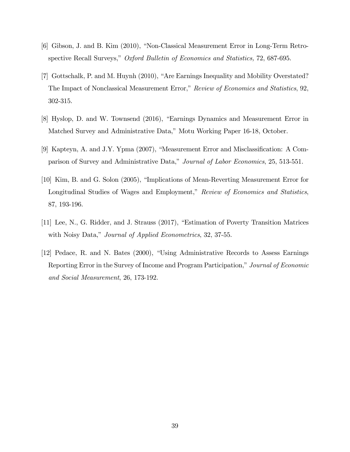- [6] Gibson, J. and B. Kim  $(2010)$ , "Non-Classical Measurement Error in Long-Term Retrospective Recall Surveys," Oxford Bulletin of Economics and Statistics, 72, 687-695.
- [7] Gottschalk, P. and M. Huynh (2010), "Are Earnings Inequality and Mobility Overstated? The Impact of Nonclassical Measurement Error," Review of Economics and Statistics, 92, 302-315.
- [8] Hyslop, D. and W. Townsend (2016), "Earnings Dynamics and Measurement Error in Matched Survey and Administrative Data," Motu Working Paper 16-18, October.
- [9] Kapteyn, A. and J.Y. Ypma  $(2007)$ , "Measurement Error and Misclassification: A Comparison of Survey and Administrative Data," Journal of Labor Economics, 25, 513-551.
- [10] Kim, B. and G. Solon (2005), "Implications of Mean-Reverting Measurement Error for Longitudinal Studies of Wages and Employment," Review of Economics and Statistics, 87, 193-196.
- [11] Lee, N., G. Ridder, and J. Strauss (2017), "Estimation of Poverty Transition Matrices with Noisy Data," Journal of Applied Econometrics, 32, 37-55.
- [12] Pedace, R. and N. Bates (2000), "Using Administrative Records to Assess Earnings Reporting Error in the Survey of Income and Program Participation," Journal of Economic and Social Measurement, 26, 173-192.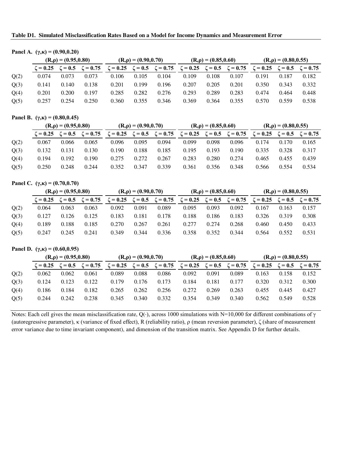**Table D1. Simulated Misclassification Rates Based on a Model for Income Dynamics and Measurement Error**

| Panel A. $(\gamma,\kappa) = (0.90,0.20)$ |
|------------------------------------------|
|------------------------------------------|

|      | $(R, \rho) = (0.95, 0.80)$ |       |                                             | $(R, \rho) = (0.90, 0.70)$ |       |                              | $(R, \rho) = (0.85, 0.60)$                  |       |       | $(R, \rho) = (0.80, 0.55)$                  |       |       |
|------|----------------------------|-------|---------------------------------------------|----------------------------|-------|------------------------------|---------------------------------------------|-------|-------|---------------------------------------------|-------|-------|
|      |                            |       | $\zeta = 0.25$ $\zeta = 0.5$ $\zeta = 0.75$ | $\zeta = 0.25$             |       | $\zeta = 0.5$ $\zeta = 0.75$ | $\zeta = 0.25$ $\zeta = 0.5$ $\zeta = 0.75$ |       |       | $\zeta = 0.25$ $\zeta = 0.5$ $\zeta = 0.75$ |       |       |
| Q(2) | 0.074                      | 0.073 | 0.073                                       | 0.106                      | 0.105 | 0.104                        | 0.109                                       | 0.108 | 0.107 | 0.191                                       | 0.187 | 0.182 |
| Q(3) | 0.141                      | 0.140 | 0.138                                       | 0.201                      | 0.199 | 0.196                        | 0.207                                       | 0.205 | 0.201 | 0.350                                       | 0.343 | 0.332 |
| Q(4) | 0.201                      | 0.200 | 0.197                                       | 0.285                      | 0.282 | 0.276                        | 0.293                                       | 0.289 | 0.283 | 0.474                                       | 0.464 | 0.448 |
| Q(5) | 0.257                      | 0.254 | 0.250                                       | 0.360                      | 0.355 | 0.346                        | 0.369                                       | 0.364 | 0.355 | 0.570                                       | 0.559 | 0.538 |

#### **Panel B.** (γ,κ) = (0.80,0.45)

|      |                | $(R, \rho) = (0.95, 0.80)$ |                |          | $(R, \rho) = (0.90, 0.70)$ |                                  |                | $(R, \rho) = (0.85, 0.60)$ |                |                | $(R, \rho) = (0.80, 0.55)$ |                              |  |
|------|----------------|----------------------------|----------------|----------|----------------------------|----------------------------------|----------------|----------------------------|----------------|----------------|----------------------------|------------------------------|--|
|      | $\zeta = 0.25$ | $\zeta = 0.5$              | $\zeta = 0.75$ | $= 0.25$ |                            | $\zeta = 0.5 \quad \zeta = 0.75$ | $\zeta = 0.25$ | $\zeta = 0.5$              | $\zeta = 0.75$ | $\zeta = 0.25$ |                            | $\zeta = 0.5$ $\zeta = 0.75$ |  |
| Q(2) | 0.067          | 0.066                      | 0.065          | 0.096    | 0.095                      | 0.094                            | 0.099          | 0.098                      | 0.096          | 0.174          | 0.170                      | 0.165                        |  |
| Q(3) | 0.132          | 0.131                      | 0.130          | 0.190    | 0.188                      | 0.185                            | 0.195          | 0.193                      | 0.190          | 0.335          | 0.328                      | 0.317                        |  |
| Q(4) | 0.194          | 0.192                      | 0.190          | 0.275    | 0.272                      | 0.267                            | 0.283          | 0.280                      | 0.274          | 0.465          | 0.455                      | 0.439                        |  |
| Q(5) | 0.250          | 0.248                      | 0.244          | 0.352    | 0.347                      | 0.339                            | 0.361          | 0.356                      | 0.348          | 0.566          | 0.554                      | 0.534                        |  |

### **Panel C.**  $(\gamma,\kappa) = (0.70,0.70)$

|      | $(R, \rho) = (0.95, 0.80)$ |               |                | $(R, \rho) = (0.90, 0.70)$ |       |                              | $(R, \rho) = (0.85, 0.60)$   |       |                | $(R, \rho) = (0.80, 0.55)$ |       |                              |
|------|----------------------------|---------------|----------------|----------------------------|-------|------------------------------|------------------------------|-------|----------------|----------------------------|-------|------------------------------|
|      | $\zeta = 0.25$             | $\zeta = 0.5$ | $\zeta = 0.75$ | $\zeta = 0.25$             |       | $\zeta = 0.5$ $\zeta = 0.75$ | $\zeta = 0.25$ $\zeta = 0.5$ |       | $\zeta = 0.75$ | $\zeta = 0.25$             |       | $\zeta = 0.5$ $\zeta = 0.75$ |
| Q(2) | 0.064                      | 0.063         | 0.063          | 0.092                      | 0.091 | 0.089                        | 0.095                        | 0.093 | 0.092          | 0.167                      | 0.163 | 0.157                        |
| Q(3) | 0.127                      | 0.126         | 0.125          | 0.183                      | 0.181 | 0.178                        | 0.188                        | 0.186 | 0.183          | 0.326                      | 0.319 | 0.308                        |
| Q(4) | 0.189                      | 0.188         | 0.185          | 0.270                      | 0.267 | 0.261                        | 0.277                        | 0.274 | 0.268          | 0.460                      | 0.450 | 0.433                        |
| Q(5) | 0.247                      | 0.245         | 0.241          | 0.349                      | 0.344 | 0.336                        | 0.358                        | 0.352 | 0.344          | 0.564                      | 0.552 | 0.531                        |

# Panel D.  $(\gamma,\kappa) = (0.60,0.95)$

|      | $(R, \rho) = (0.95, 0.80)$ |               |                | $(R, \rho) = (0.90, 0.70)$ |               |                | $(R, \rho) = (0.85, 0.60)$ |               |                | $(R, \rho) = (0.80, 0.55)$ |       |                              |
|------|----------------------------|---------------|----------------|----------------------------|---------------|----------------|----------------------------|---------------|----------------|----------------------------|-------|------------------------------|
|      | $\zeta = 0.25$             | $\zeta = 0.5$ | $\zeta = 0.75$ | $\zeta = 0.25$             | $\zeta = 0.5$ | $\zeta = 0.75$ | $\zeta = 0.25$             | $\zeta = 0.5$ | $\zeta = 0.75$ | $\zeta = 0.25$             |       | $\zeta = 0.5$ $\zeta = 0.75$ |
| Q(2) | 0.062                      | 0.062         | 0.061          | 0.089                      | 0.088         | 0.086          | 0.092                      | 0.091         | 0.089          | 0.163                      | 0.158 | 0.152                        |
| Q(3) | 0.124                      | 0.123         | 0.122          | 0.179                      | 0.176         | 0.173          | 0.184                      | 0.181         | 0.177          | 0.320                      | 0.312 | 0.300                        |
| Q(4) | 0.186                      | 0.184         | 0.182          | 0.265                      | 0.262         | 0.256          | 0.272                      | 0.269         | 0.263          | 0.455                      | 0.445 | 0.427                        |
| Q(5) | 0.244                      | 0.242         | 0.238          | 0.345                      | 0.340         | 0.332          | 0.354                      | 0.349         | 0.340          | 0.562                      | 0.549 | 0.528                        |

Notes: Each cell gives the mean misclassification rate, Q(·), across 1000 simulations with N=10,000 for different combinations of γ (autoregressive parameter), κ (variance of fixed effect), R (reliability ratio), ρ (mean reversion parameter), ζ (share of measurement error variance due to time invariant component), and dimension of the transition matrix. See Appendix D for further details.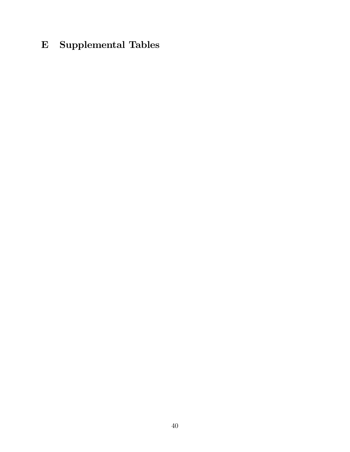# E Supplemental Tables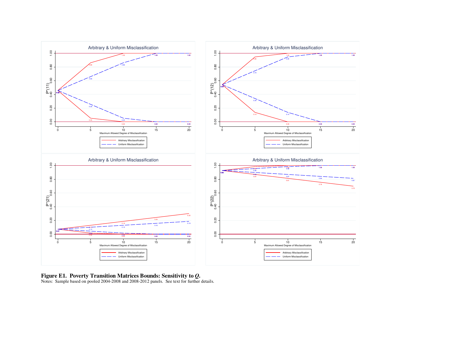

**Figure E1. Poverty Transition Matrices Bounds: Sensitivity to** *Q***.**  Notes: Sample based on pooled 2004-2008 and 2008-2012 panels. See text for further details.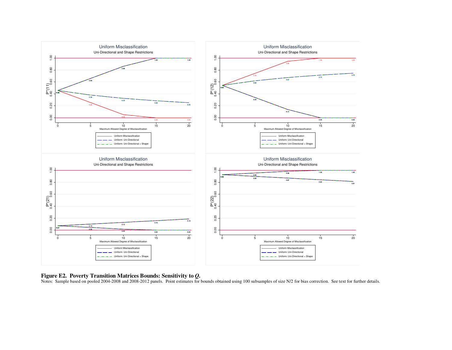

#### **Figure E2. Poverty Transition Matrices Bounds: Sensitivity to** *Q***.**

Notes: Sample based on pooled 2004-2008 and 2008-2012 panels. Point estimates for bounds obtained using 100 subsamples of size N/2 for bias correction. See text for further details.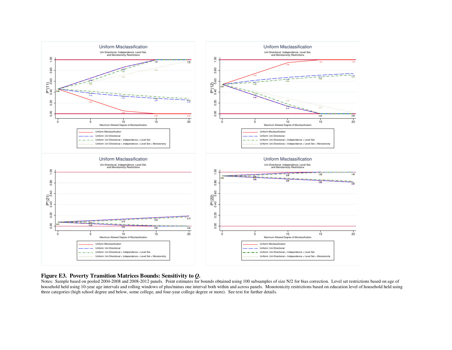

# **Figure E3. Poverty Transition Matrices Bounds: Sensitivity to** *Q***.**

Notes: Sample based on pooled 2004-2008 and 2008-2012 panels. Point estimates for bounds obtained using 100 subsamples of size N/2 for bias correction. Level set restrictions based on age of household held using 10-year age intervals and rolling windows of plus/minus one interval both within and across panels. Monotonicity restrictions based on education level of household held using three categories (high school degree and below, some college, and four-year college degree or more). See text for further details.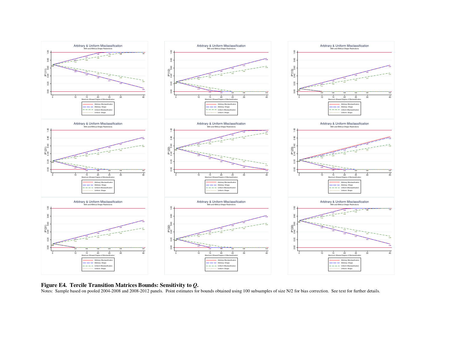

#### **Figure E4. Tercile Transition Matrices Bounds: Sensitivity to** *Q***.**

Notes: Sample based on pooled 2004-2008 and 2008-2012 panels. Point estimates for bounds obtained using 100 subsamples of size N/2 for bias correction. See text for further details.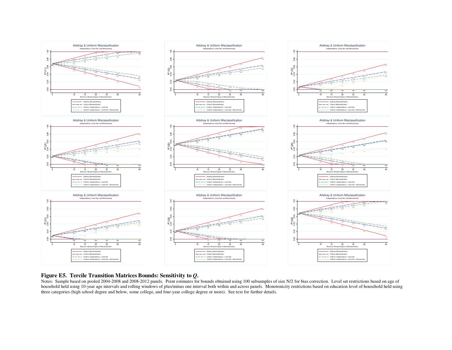

#### **Figure E5. Tercile Transition Matrices Bounds: Sensitivity to** *Q***.**

Notes: Sample based on pooled 2004-2008 and 2008-2012 panels. Point estimates for bounds obtained using 100 subsamples of size N/2 for bias correction. Level set restrictions based on age of household held using 10-year age intervals and rolling windows of plus/minus one interval both within and across panels. Monotonicity restrictions based on education level of household held using three categories (high school degree and below, some college, and four-year college degree or more). See text for further details.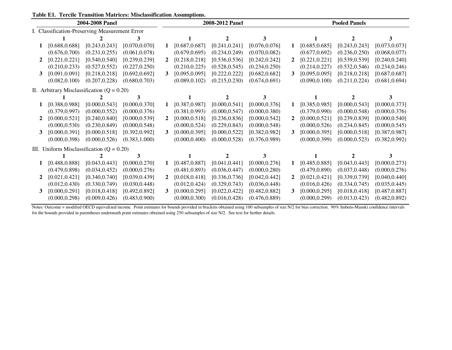| Table E1. Tercile Transition Matrices: Misclassification Assumptions. |  |
|-----------------------------------------------------------------------|--|
|-----------------------------------------------------------------------|--|

|   |                                                | 2004-2008 Panel |                |                |                | 2008-2012 Panel |                |   |                | <b>Pooled Panels</b> |                |
|---|------------------------------------------------|-----------------|----------------|----------------|----------------|-----------------|----------------|---|----------------|----------------------|----------------|
|   | I. Classification-Preserving Measurement Error |                 |                |                |                |                 |                |   |                |                      |                |
|   |                                                |                 | 3              |                |                |                 | 3              |   |                | $\mathbf{2}$         |                |
|   | [0.688, 0.688]                                 | [0.243, 0.243]  | [0.070, 0.070] |                | [0.687, 0.687] | [0.241, 0.241]  | [0.076, 0.076] | 1 | [0.685, 0.685] | [0.243, 0.243]       | [0.073, 0.073] |
|   | (0.676, 0.700)                                 | (0.231, 0.255)  | (0.061, 0.078) |                | (0.679, 0.695) | (0.234, 0.249)  | (0.070, 0.082) |   | (0.677, 0.692) | (0.236, 0.250)       | (0.068, 0.077) |
|   | [0.221, 0.221]                                 | [0.540, 0.540]  | [0.239, 0.239] | $\overline{2}$ | [0.218, 0.218] | [0.536, 0.536]  | [0.242, 0.242] |   | [0.221, 0.221] | [0.539, 0.539]       | [0.240, 0.240] |
|   | (0.210, 0.233)                                 | (0.527, 0.552)  | (0.227, 0.250) |                | (0.210, 0.225) | (0.528, 0.545)  | (0.234, 0.250) |   | (0.214, 0.227) | (0.532, 0.546)       | (0.234, 0.246) |
| 3 | [0.091, 0.091]                                 | [0.218, 0.218]  | [0.692, 0.692] | 3              | [0.095, 0.095] | [0.222, 0.222]  | [0.682, 0.682] | 3 | [0.095, 0.095] | [0.218, 0.218]       | [0.687, 0.687] |
|   | (0.082, 0.100)                                 | (0.207, 0.228)  | (0.680, 0.703) |                | (0.089, 0.102) | (0.215, 0.230)  | (0.674, 0.691) |   | (0.090, 0.100) | (0.211, 0.224)       | (0.681, 0.694) |
|   | II. Arbitrary Misclassification $(Q = 0.20)$   |                 |                |                |                |                 |                |   |                |                      |                |
|   |                                                |                 |                |                |                |                 |                |   |                |                      |                |
|   | [0.388, 0.988]                                 | [0.000, 0.543]  | [0.000, 0.370] |                | [0.387, 0.987] | [0.000, 0.541]  | [0.000, 0.376] |   | [0.385, 0.985] | [0.000, 0.543]       | [0.000, 0.373] |
|   | (0.379, 0.997)                                 | (0.000, 0.552)  | (0.000, 0.376) |                | (0.381, 0.993) | (0.000, 0.547)  | (0.000, 0.380) |   | (0.379, 0.990) | (0.000, 0.548)       | (0.000, 0.376) |
| 2 | [0.000, 0.521]                                 | [0.240, 0.840]  | [0.000, 0.539] | $\overline{2}$ | [0.000, 0.518] | [0.236, 0.836]  | [0.000, 0.542] |   | [0.000, 0.521] | [0.239, 0.839]       | [0.000, 0.540] |
|   | (0.000, 0.530)                                 | (0.230, 0.849)  | (0.000, 0.548) |                | (0.000, 0.524) | (0.229, 0.843)  | (0.000, 0.548) |   | (0.000, 0.526) | (0.234, 0.845)       | (0.000, 0.545) |
| 3 | [0.000, 0.391]                                 | [0.000, 0.518]  | [0.392, 0.992] | 3              | [0.000, 0.395] | [0.000, 0.522]  | [0.382, 0.982] | 3 | [0.000, 0.395] | [0.000, 0.518]       | [0.387, 0.987] |
|   | (0.000, 0.398)                                 | (0.000, 0.526)  | (0.383, 1.000) |                | (0.000, 0.400) | (0.000, 0.528)  | (0.376, 0.989) |   | (0.000, 0.399) | (0.000, 0.523)       | (0.382, 0.992) |
|   | III. Uniform Misclassification $(Q = 0.20)$    |                 |                |                |                |                 |                |   |                |                      |                |
|   |                                                |                 |                |                |                |                 | 3              |   |                |                      |                |
|   | [0.488, 0.888]                                 | [0.043, 0.443]  | [0.000, 0.270] | 1              | [0.487, 0.887] | [0.041, 0.441]  | [0.000, 0.276] | 1 | [0.485, 0.885] | [0.043, 0.443]       | [0.000, 0.273] |
|   | (0.479, 0.898)                                 | (0.034, 0.452)  | (0.000, 0.276) |                | (0.481, 0.893) | (0.036, 0.447)  | (0.000, 0.280) |   | (0.479, 0.890) | (0.037, 0.448)       | (0.000, 0.276) |
|   | [0.021, 0.421]                                 | [0.340, 0.740]  | [0.039, 0.439] | 2              | [0.018, 0.418] | [0.336, 0.736]  | [0.042, 0.442] |   | [0.021, 0.421] | [0.339, 0.739]       | [0.040, 0.440] |
|   | (0.012, 0.430)                                 | (0.330, 0.749)  | (0.030, 0.448) |                | (0.012, 0.424) | (0.329, 0.743)  | (0.036, 0.448) |   | (0.016, 0.426) | (0.334, 0.745)       | (0.035, 0.445) |
| 3 | [0.000, 0.291]                                 | [0.018, 0.418]  | [0.492, 0.892] | 3              | [0.000, 0.295] | [0.022, 0.422]  | [0.482, 0.882] | 3 | [0.000, 0.295] | [0.018, 0.418]       | [0.487, 0.887] |
|   | (0.000, 0.298)                                 | (0.009, 0.426)  | (0.483, 0.900) |                | (0.000, 0.300) | (0.016, 0.428)  | (0.476, 0.889) |   | (0.000, 0.299) | (0.013, 0.423)       | (0.482, 0.892) |

Notes: Outcome = modified OECD equivalized income. Point estimates for bounds provided in brackets obtained using 100 subsamples of size N/2 for bias correction. 90% Imbens-Manski confidence intervals for the bounds provided in parentheses underneath point estimates obtained using 250 subsamples of size N/2. See text for further details.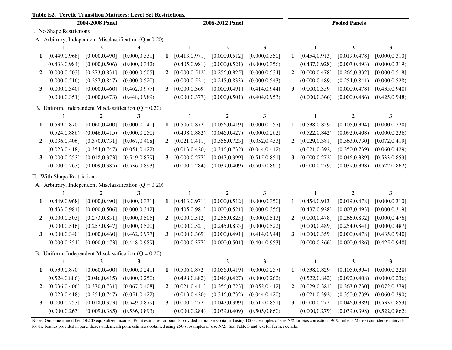# **Table E2. Tercile Transition Matrices: Level Set Restrictions.**

|              | 2004-2008 Panel             |                |                                                            |                |                | 2008-2012 Panel  |                |              | <b>Pooled Panels</b> |                  |                |  |
|--------------|-----------------------------|----------------|------------------------------------------------------------|----------------|----------------|------------------|----------------|--------------|----------------------|------------------|----------------|--|
|              | I. No Shape Restrictions    |                |                                                            |                |                |                  |                |              |                      |                  |                |  |
|              |                             |                | A. Arbitrary, Independent Misclassification $(Q = 0.20)$   |                |                |                  |                |              |                      |                  |                |  |
|              | 1                           | 2              | 3                                                          |                | 1              | $\boldsymbol{2}$ | 3              |              | 1                    | $\boldsymbol{2}$ | 3              |  |
| 1            | [0.449, 0.968]              | [0.000, 0.490] | [0.000, 0.331]                                             | 1              | [0.413, 0.971] | [0.000, 0.512]   | [0.000, 0.350] | 1            | [0.454, 0.913]       | [0.019, 0.478]   | [0.000, 0.310] |  |
|              | (0.433, 0.984)              | (0.000, 0.506) | (0.000, 0.342)                                             |                | (0.405, 0.981) | (0.000, 0.521)   | (0.000, 0.356) |              | (0.437, 0.928)       | (0.007, 0.493)   | (0.000, 0.319) |  |
| 2            | [0.000, 0.503]              | [0.273, 0.831] | [0.000, 0.505]                                             | $\mathbf{2}$   | [0.000, 0.512] | [0.256, 0.825]   | [0.000, 0.534] | 2            | [0.000, 0.478]       | [0.266, 0.832]   | [0.000, 0.518] |  |
|              | (0.000, 0.516)              | (0.257, 0.847) | (0.000, 0.520)                                             |                | (0.000, 0.521) | (0.245, 0.833)   | (0.000, 0.543) |              | (0.000, 0.489)       | (0.254, 0.841)   | (0.000, 0.528) |  |
| $\mathbf{3}$ | [0.000, 0.340]              | [0.000, 0.460] | [0.462, 0.977]                                             | $\mathbf{3}$   | [0.000, 0.369] | [0.000, 0.491]   | [0.414, 0.944] | 3            | [0.000, 0.359]       | [0.000, 0.478]   | [0.435, 0.940] |  |
|              | (0.000, 0.351)              | (0.000, 0.473) | (0.448, 0.989)                                             |                | (0.000, 0.377) | (0.000, 0.501)   | (0.404, 0.953) |              | (0.000, 0.366)       | (0.000, 0.486)   | (0.425, 0.948) |  |
|              |                             |                | B. Uniform, Independent Misclassification $(Q = 0.20)$     |                |                |                  |                |              |                      |                  |                |  |
|              | 1                           | $\mathbf{2}$   | 3                                                          |                | 1              | $\boldsymbol{2}$ | 3              |              | $\mathbf{1}$         | $\boldsymbol{2}$ | 3              |  |
| 1            | [0.539, 0.870]              | [0.060, 0.400] | [0.000, 0.241]                                             | 1              | [0.506, 0.872] | [0.056, 0.419]   | [0.000, 0.257] | 1            | [0.538, 0.829]       | [0.105, 0.394]   | [0.000, 0.228] |  |
|              | (0.524, 0.886)              | (0.046, 0.415) | (0.000, 0.250)                                             |                | (0.498, 0.882) | (0.046, 0.427)   | (0.000, 0.262) |              | (0.522, 0.842)       | (0.092, 0.408)   | (0.000, 0.236) |  |
| $\mathbf{2}$ | [0.036, 0.406]              | [0.370, 0.731] | [0.067, 0.408]                                             | $\overline{2}$ | [0.021, 0.411] | [0.356, 0.723]   | [0.052, 0.433] | 2            | [0.029, 0.381]       | [0.363, 0.730]   | [0.072, 0.419] |  |
|              | (0.023, 0.418)              | (0.354, 0.747) | (0.051, 0.422)                                             |                | (0.013, 0.420) | (0.346, 0.732)   | (0.044, 0.442) |              | (0.021, 0.392)       | (0.350, 0.739)   | (0.060, 0.429) |  |
| 3            | [0.000, 0.253]              | [0.018, 0.373] | [0.549, 0.879]                                             | $\mathbf{3}$   | [0.000, 0.277] | [0.047, 0.399]   | [0.515, 0.851] | 3            | [0.000, 0.272]       | [0.046, 0.389]   | [0.533, 0.853] |  |
|              | (0.000, 0.263)              | (0.009, 0.385) | (0.536, 0.893)                                             |                | (0.000, 0.284) | (0.039, 0.409)   | (0.505, 0.860) |              | (0.000, 0.279)       | (0.039, 0.398)   | (0.522, 0.862) |  |
|              | II. With Shape Restrictions |                |                                                            |                |                |                  |                |              |                      |                  |                |  |
|              |                             |                | A. Arbitrary, Independent Misclassification ( $Q = 0.20$ ) |                |                |                  |                |              |                      |                  |                |  |
|              |                             | $\mathbf{2}$   | 3                                                          |                | 1              | $\boldsymbol{2}$ | 3              |              | 1                    | 2                | 3              |  |
| 1            | [0.449, 0.968]              | [0.000, 0.490] | [0.000, 0.331]                                             | 1              | [0.413, 0.971] | [0.000, 0.512]   | [0.000, 0.350] | 1            | [0.454, 0.913]       | [0.019, 0.478]   | [0.000, 0.310] |  |
|              | [0.433, 0.984]              | [0.000, 0.506] | [0.000, 0.342]                                             |                | [0.405, 0.981] | [0.000, 0.521]   | [0.000, 0.356] |              | [0.437, 0.928]       | [0.007, 0.493]   | [0.000, 0.319] |  |
| 2            | [0.000, 0.503]              | [0.273, 0.831] | [0.000, 0.505]                                             | $\overline{2}$ | [0.000, 0.512] | [0.256, 0.825]   | [0.000, 0.513] | $\mathbf{2}$ | [0.000, 0.478]       | [0.266, 0.832]   | [0.000, 0.476] |  |
|              | [0.000, 0.516]              | [0.257, 0.847] | [0.000, 0.520]                                             |                | [0.000, 0.521] | [0.245, 0.833]   | [0.000, 0.522] |              | [0.000, 0.489]       | [0.254, 0.841]   | [0.000, 0.487] |  |
| $3^{\circ}$  | [0.000, 0.340]              | [0.000, 0.460] | [0.462, 0.977]                                             | $\mathbf{3}$   | [0.000, 0.369] | [0.000, 0.491]   | [0.414, 0.944] | 3            | [0.000, 0.359]       | [0.000, 0.478]   | [0.435, 0.940] |  |
|              | [0.000, 0.351]              | [0.000, 0.473] | [0.448, 0.989]                                             |                | [0.000, 0.377] | [0.000, 0.501]   | [0.404, 0.953] |              | [0.000, 0.366]       | [0.000, 0.486]   | [0.425, 0.948] |  |
|              |                             |                | B. Uniform, Independent Misclassification $(Q = 0.20)$     |                |                |                  |                |              |                      |                  |                |  |
|              | 1                           | $\overline{2}$ | 3                                                          |                | 1              | $\overline{2}$   | 3              |              | 1                    | 2                | 3              |  |
| 1            | [0.539, 0.870]              | [0.060, 0.400] | [0.000, 0.241]                                             | 1              | [0.506, 0.872] | [0.056, 0.419]   | [0.000, 0.257] | 1            | [0.538, 0.829]       | [0.105, 0.394]   | [0.000, 0.228] |  |
|              | (0.524, 0.886)              | (0.046, 0.415) | (0.000, 0.250)                                             |                | (0.498, 0.882) | (0.046, 0.427)   | (0.000, 0.262) |              | (0.522, 0.842)       | (0.092, 0.408)   | (0.000, 0.236) |  |
| 2            | [0.036, 0.406]              | [0.370, 0.731] | [0.067, 0.408]                                             | $\mathbf{2}$   | [0.021, 0.411] | [0.356, 0.723]   | [0.052, 0.412] | 2            | [0.029, 0.381]       | [0.363, 0.730]   | [0.072, 0.379] |  |
|              | (0.023, 0.418)              | (0.354, 0.747) | (0.051, 0.422)                                             |                | (0.013, 0.420) | (0.346, 0.732)   | (0.044, 0.420) |              | (0.021, 0.392)       | (0.350, 0.739)   | (0.060, 0.390) |  |
| 3            | [0.000, 0.253]              | [0.018, 0.373] | [0.549, 0.879]                                             | 3              | [0.000, 0.277] | [0.047, 0.399]   | [0.515, 0.851] | 3            | [0.000, 0.272]       | [0.046, 0.389]   | [0.533, 0.853] |  |
|              | (0.000, 0.263)              | (0.009, 0.385) | (0.536, 0.893)                                             |                | (0.000, 0.284) | (0.039, 0.409)   | (0.505, 0.860) |              | (0.000, 0.279)       | (0.039, 0.398)   | (0.522, 0.862) |  |

Notes: Outcome = modified OECD equivalized income. Point estimates for bounds provided in brackets obtained using 100 subsamples of size N/2 for bias correction. 90% Imbens-Manski confidence intervals for the bounds provided in parentheses underneath point estimates obtained using 250 subsamples of size N/2. See Table 3 and text for further details.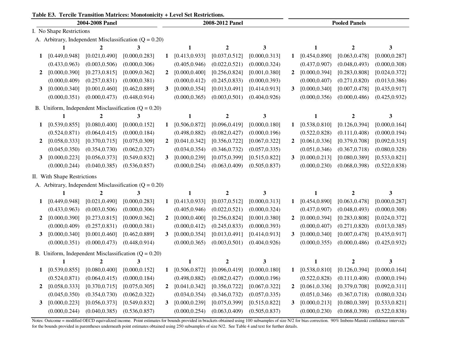|  |  |  |  |  | Table E3. Tercile Transition Matrices: Monotonicity + Level Set Restrictions. |
|--|--|--|--|--|-------------------------------------------------------------------------------|
|--|--|--|--|--|-------------------------------------------------------------------------------|

|              | 2004-2008 Panel             |                |                                                            |                |                | 2008-2012 Panel  |                |   | <b>Pooled Panels</b> |                  |                |  |
|--------------|-----------------------------|----------------|------------------------------------------------------------|----------------|----------------|------------------|----------------|---|----------------------|------------------|----------------|--|
|              | I. No Shape Restrictions    |                |                                                            |                |                |                  |                |   |                      |                  |                |  |
|              |                             |                | A. Arbitrary, Independent Misclassification $(Q = 0.20)$   |                |                |                  |                |   |                      |                  |                |  |
|              | 1                           | 2              | 3                                                          |                | 1              | $\boldsymbol{2}$ | 3              |   | 1                    | 2                | 3              |  |
| 1            | [0.449, 0.948]              | [0.021, 0.490] | [0.000, 0.283]                                             | $\mathbf 1$    | [0.413, 0.933] | [0.037, 0.512]   | [0.000, 0.313] | 1 | [0.454, 0.890]       | [0.063, 0.478]   | [0.000, 0.287] |  |
|              | (0.433, 0.963)              | (0.003, 0.506) | (0.000, 0.306)                                             |                | (0.405, 0.946) | (0.022, 0.521)   | (0.000, 0.324) |   | (0.437, 0.907)       | (0.048, 0.493)   | (0.000, 0.308) |  |
| $\mathbf{2}$ | [0.000, 0.390]              | [0.273, 0.815] | [0.009, 0.362]                                             | $\overline{2}$ | [0.000, 0.400] | [0.256, 0.824]   | [0.001, 0.380] | 2 | [0.000, 0.394]       | [0.283, 0.808]   | [0.024, 0.372] |  |
|              | (0.000, 0.409)              | (0.257, 0.831) | (0.000, 0.381)                                             |                | (0.000, 0.412) | (0.245, 0.833)   | (0.000, 0.393) |   | (0.000, 0.407)       | (0.271, 0.820)   | (0.013, 0.386) |  |
| 3            | [0.000, 0.340]              | [0.001, 0.460] | [0.462, 0.889]                                             | 3              | [0.000, 0.354] | [0.013, 0.491]   | [0.414, 0.913] | 3 | [0.000, 0.340]       | [0.007, 0.478]   | [0.435, 0.917] |  |
|              | (0.000, 0.351)              | (0.000, 0.473) | (0.448, 0.914)                                             |                | (0.000, 0.365) | (0.003, 0.501)   | (0.404, 0.926) |   | (0.000, 0.356)       | (0.000, 0.486)   | (0.425, 0.932) |  |
|              |                             |                | B. Uniform, Independent Misclassification $(Q = 0.20)$     |                |                |                  |                |   |                      |                  |                |  |
|              | $\mathbf{1}$                | $\overline{2}$ | 3                                                          |                | $\mathbf{1}$   | $\mathbf{2}$     | $\mathbf{3}$   |   | $\mathbf{1}$         | $\boldsymbol{2}$ | 3              |  |
| 1            | [0.539, 0.855]              | [0.080, 0.400] | [0.000, 0.152]                                             | 1              | [0.506, 0.872] | [0.096, 0.419]   | [0.000, 0.180] | 1 | [0.538, 0.810]       | [0.126, 0.394]   | [0.000, 0.164] |  |
|              | (0.524, 0.871)              | (0.064, 0.415) | (0.000, 0.184)                                             |                | (0.498, 0.882) | (0.082, 0.427)   | (0.000, 0.196) |   | (0.522, 0.828)       | (0.111, 0.408)   | (0.000, 0.194) |  |
| $\mathbf{2}$ | [0.058, 0.333]              | [0.370, 0.715] | [0.075, 0.309]                                             | $\mathbf{2}$   | [0.041, 0.342] | [0.356, 0.722]   | [0.067, 0.322] | 2 | [0.061, 0.336]       | [0.379, 0.708]   | [0.092, 0.315] |  |
|              | (0.045, 0.350)              | (0.354, 0.730) | (0.062, 0.327)                                             |                | (0.034, 0.354) | (0.346, 0.732)   | (0.057, 0.335) |   | (0.051, 0.346)       | (0.367, 0.718)   | (0.080, 0.328) |  |
| 3            | [0.000, 0.223]              | [0.056, 0.373] | [0.549, 0.832]                                             | 3              | [0.000, 0.239] | [0.075, 0.399]   | [0.515, 0.822] | 3 | [0.000, 0.213]       | [0.080, 0.389]   | [0.533, 0.821] |  |
|              | (0.000, 0.244)              | (0.040, 0.385) | (0.536, 0.857)                                             |                | (0.000, 0.254) | (0.063, 0.409)   | (0.505, 0.837) |   | (0.000, 0.230)       | (0.068, 0.398)   | (0.522, 0.838) |  |
|              | II. With Shape Restrictions |                |                                                            |                |                |                  |                |   |                      |                  |                |  |
|              |                             |                | A. Arbitrary, Independent Misclassification ( $Q = 0.20$ ) |                |                |                  |                |   |                      |                  |                |  |
|              |                             | $\mathbf{2}$   | 3                                                          |                | 1              | $\boldsymbol{2}$ | 3              |   | 1                    | $\mathbf{2}$     | 3              |  |
| 1            | [0.449, 0.948]              | [0.021, 0.490] | [0.000, 0.283]                                             | $\mathbf 1$    | [0.413, 0.933] | [0.037, 0.512]   | [0.000, 0.313] | 1 | [0.454, 0.890]       | [0.063, 0.478]   | [0.000, 0.287] |  |
|              | (0.433, 0.963)              | (0.003, 0.506) | (0.000, 0.306)                                             |                | (0.405, 0.946) | (0.022, 0.521)   | (0.000, 0.324) |   | (0.437, 0.907)       | (0.048, 0.493)   | (0.000, 0.308) |  |
| $\mathbf{2}$ | [0.000, 0.390]              | [0.273, 0.815] | [0.009, 0.362]                                             | $\mathbf{2}$   | [0.000, 0.400] | [0.256, 0.824]   | [0.001, 0.380] | 2 | [0.000, 0.394]       | [0.283, 0.808]   | [0.024, 0.372] |  |
|              | (0.000, 0.409)              | (0.257, 0.831) | (0.000, 0.381)                                             |                | (0.000, 0.412) | (0.245, 0.833)   | (0.000, 0.393) |   | (0.000, 0.407)       | (0.271, 0.820)   | (0.013, 0.385) |  |
| 3            | [0.000, 0.340]              | [0.001, 0.460] | [0.462, 0.889]                                             | $\mathbf{3}$   | [0.000, 0.354] | [0.013, 0.491]   | [0.414, 0.913] | 3 | [0.000, 0.340]       | [0.007, 0.478]   | [0.435, 0.917] |  |
|              | (0.000, 0.351)              | (0.000, 0.473) | (0.448, 0.914)                                             |                | (0.000, 0.365) | (0.003, 0.501)   | (0.404, 0.926) |   | (0.000, 0.355)       | (0.000, 0.486)   | (0.425, 0.932) |  |
|              |                             |                | B. Uniform, Independent Misclassification $(Q = 0.20)$     |                |                |                  |                |   |                      |                  |                |  |
|              | 1                           | $\mathbf{2}$   | 3                                                          |                | 1              | $\overline{2}$   | 3              |   | 1                    | 2                | 3              |  |
| 1            | [0.539, 0.855]              | [0.080, 0.400] | [0.000, 0.152]                                             | 1              | [0.506, 0.872] | [0.096, 0.419]   | [0.000, 0.180] | 1 | [0.538, 0.810]       | [0.126, 0.394]   | [0.000, 0.164] |  |
|              | (0.524, 0.871)              | (0.064, 0.415) | (0.000, 0.184)                                             |                | (0.498, 0.882) | (0.082, 0.427)   | (0.000, 0.196) |   | (0.522, 0.828)       | (0.111, 0.408)   | (0.000, 0.194) |  |
| $\mathbf{2}$ | [0.058, 0.333]              | [0.370, 0.715] | [0.075, 0.305]                                             | $\mathbf{2}$   | [0.041, 0.342] | [0.356, 0.722]   | [0.067, 0.322] | 2 | [0.061, 0.336]       | [0.379, 0.708]   | [0.092, 0.311] |  |
|              | (0.045, 0.350)              | (0.354, 0.730) | (0.062, 0.322)                                             |                | (0.034, 0.354) | (0.346, 0.732)   | (0.057, 0.335) |   | (0.051, 0.346)       | (0.367, 0.718)   | (0.080, 0.324) |  |
| 3            | [0.000, 0.223]              | [0.056, 0.373] | [0.549, 0.832]                                             | 3              | [0.000, 0.239] | [0.075, 0.399]   | [0.515, 0.822] | 3 | [0.000, 0.213]       | [0.080, 0.389]   | [0.533, 0.821] |  |
|              | (0.000, 0.244)              | (0.040, 0.385) | (0.536, 0.857)                                             |                | (0.000, 0.254) | (0.063, 0.409)   | (0.505, 0.837) |   | (0.000, 0.230)       | (0.068, 0.398)   | (0.522, 0.838) |  |

Notes: Outcome = modified OECD equivalized income. Point estimates for bounds provided in brackets obtained using 100 subsamples of size N/2 for bias correction. 90% Imbens-Manski confidence intervals for the bounds provided in parentheses underneath point estimates obtained using 250 subsamples of size N/2. See Table 4 and text for further details.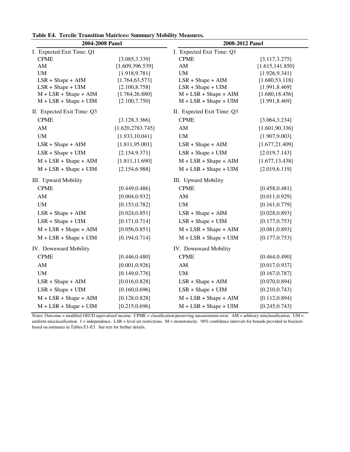| 2004-2008 Panel            |                   | 2008-2012 Panel            |                  |  |  |  |  |  |
|----------------------------|-------------------|----------------------------|------------------|--|--|--|--|--|
| I. Expected Exit Time: Q1  |                   | I. Expected Exit Time: Q1  |                  |  |  |  |  |  |
| <b>CPME</b>                | [3.085, 3.339]    | <b>CPME</b>                | [3.117, 3.275]   |  |  |  |  |  |
| AM                         | [1.609, 396.539]  | $\mathbf{A}\mathbf{M}$     | [1.615, 141.850] |  |  |  |  |  |
| $\mathbf{U}\mathbf{M}$     | [1.918, 9.781]    | <b>UM</b>                  | [1.926, 9.341]   |  |  |  |  |  |
| $LSR + Shape + AIM$        | [1.764, 63.573]   | $LSR + Shape + AIM$        | [1.680, 53.118]  |  |  |  |  |  |
| $LSR + Shape + UIM$        | [2.100, 8.758]    | $LSR + Shape + UIM$        | [1.991, 8.469]   |  |  |  |  |  |
| $M + LSR + Shape + AIM$    | [1.764, 26.880]   | $M + LSR + Shape + AIM$    | [1.680, 18.456]  |  |  |  |  |  |
| $M + LSR + Shape + UIM$    | [2.100, 7.750]    | $M + LSR + Shape + UIM$    | [1.991, 8.469]   |  |  |  |  |  |
| II. Expected Exit Time: Q3 |                   | II. Expected Exit Time: Q3 |                  |  |  |  |  |  |
| <b>CPME</b>                | [3.128, 3.366]    | <b>CPME</b>                | [3.064, 3.234]   |  |  |  |  |  |
| $\mathbf{A}\mathbf{M}$     | [1.620, 2783.745] | ${\rm AM}$                 | [1.601, 90.336]  |  |  |  |  |  |
| $\mathbf{U}\mathbf{M}$     | [1.933, 10.041]   | $\mathbf{U}\mathbf{M}$     | [1.907, 9.003]   |  |  |  |  |  |
| $LSR + Shape + AIM$        | [1.811, 95.001]   | $LSR + Shape + AIM$        | [1.677, 21.409]  |  |  |  |  |  |
| $LSR + Shape + UIM$        | [2.154, 9.371]    | $LSR + Shape + UIM$        | [2.019, 7.143]   |  |  |  |  |  |
| $M + LSR + Shape + AIM$    | [1.811, 11.690]   | $M + LSR + Shape + AIM$    | [1.677, 13.438]  |  |  |  |  |  |
| $M + LSR + Shape + UIM$    | [2.154, 6.988]    | $M + LSR + Shape + UIM$    | [2.019, 6.119]   |  |  |  |  |  |
| III. Upward Mobility       |                   | III. Upward Mobility       |                  |  |  |  |  |  |
| <b>CPME</b>                | [0.449, 0.486]    | <b>CPME</b>                | [0.458, 0.481]   |  |  |  |  |  |
| $\mathbf{A}\mathbf{M}$     | [0.004, 0.932]    | ${\rm AM}$                 | [0.011, 0.929]   |  |  |  |  |  |
| UM                         | [0.153, 0.782]    | $\text{UM}{}$              | [0.161, 0.779]   |  |  |  |  |  |
| $LSR + Shape + AIM$        | [0.024, 0.851]    | $LSR + Shape + AIM$        | [0.028, 0.893]   |  |  |  |  |  |
| $LSR + Shape + UIM$        | [0.171, 0.714]    | $LSR + Shape + UIM$        | [0.177, 0.753]   |  |  |  |  |  |
| $M + LSR + Shape + AIM$    | [0.056, 0.851]    | $M + LSR + Shape + AIM$    | [0.081, 0.893]   |  |  |  |  |  |
| $M + LSR + Shape + UIM$    | [0.194, 0.714]    | $M + LSR + Shape + UIM$    | [0.177, 0.753]   |  |  |  |  |  |
| IV. Downward Mobility      |                   | IV. Downward Mobility      |                  |  |  |  |  |  |
| <b>CPME</b>                | [0.446, 0.480]    | <b>CPME</b>                | [0.464, 0.490]   |  |  |  |  |  |
| $\mathbf{A}\mathbf{M}$     | [0.001, 0.926]    | AM                         | [0.017, 0.937]   |  |  |  |  |  |
| $\mathbf{U}\mathbf{M}$     | [0.149, 0.776]    | <b>UM</b>                  | [0.167, 0.787]   |  |  |  |  |  |
| $LSR + Shape + AIM$        | [0.016, 0.828]    | $LSR + Shape + AIM$        | [0.070, 0.894]   |  |  |  |  |  |
| $LSR + Shape + UIM$        | [0.160, 0.696]    | $LSR + Shape + UIM$        | [0.210, 0.743]   |  |  |  |  |  |
| $M + LSR + Shape + AIM$    | [0.128, 0.828]    | $M + LSR + Shape + AIM$    | [0.112, 0.894]   |  |  |  |  |  |
| $M + LSR + Shape + UIM$    | [0.215, 0.696]    | $M + LSR + Shape + UIM$    | [0.245, 0.743]   |  |  |  |  |  |

**Table E4. Tercile Transition Matrices: Summary Mobility Measures.**

Notes: Outcome = modified OECD equivalized income. CPME = classification-preserving measurement error. AM = arbitrary misclassification. UM = uniform misclassification. I = independence. LSR = level set restrictions.  $M =$  monotonicity. 90% confidence intervals for bounds provided in brackets based on estimates in Tables E1-E3. See text for further details.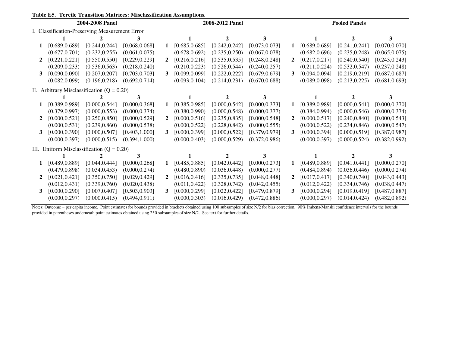| Table E5. Tercile Transition Matrices: Misclassification Assumptions. |  |
|-----------------------------------------------------------------------|--|
|-----------------------------------------------------------------------|--|

| 2004-2008 Panel                                |                                              |                |                | 2008-2012 Panel |                |                |                | <b>Pooled Panels</b> |                |                             |                |
|------------------------------------------------|----------------------------------------------|----------------|----------------|-----------------|----------------|----------------|----------------|----------------------|----------------|-----------------------------|----------------|
| I. Classification-Preserving Measurement Error |                                              |                |                |                 |                |                |                |                      |                |                             |                |
|                                                |                                              |                | 3              |                 |                |                | 3              |                      |                | $\mathcal{D}_{\mathcal{L}}$ |                |
|                                                | [0.689, 0.689]                               | [0.244, 0.244] | [0.068, 0.068] |                 | [0.685, 0.685] | [0.242, 0.242] | [0.073, 0.073] | 1                    | [0.689, 0.689] | [0.241, 0.241]              | [0.070, 0.070] |
|                                                | (0.677, 0.701)                               | (0.232, 0.255) | (0.061, 0.075) |                 | (0.678, 0.692) | (0.235, 0.250) | (0.067, 0.078) |                      | (0.682, 0.696) | (0.235, 0.248)              | (0.065, 0.075) |
|                                                | [0.221, 0.221]                               | [0.550, 0.550] | [0.229, 0.229] | $\mathbf{2}$    | [0.216, 0.216] | [0.535, 0.535] | [0.248, 0.248] |                      | [0.217, 0.217] | [0.540, 0.540]              | [0.243, 0.243] |
|                                                | (0.209, 0.233)                               | (0.536, 0.563) | (0.218, 0.240) |                 | (0.210, 0.223) | (0.526, 0.544) | (0.240, 0.257) |                      | (0.211, 0.224) | (0.532, 0.547)              | (0.237, 0.248) |
| 3                                              | [0.090, 0.090]                               | [0.207, 0.207] | [0.703, 0.703] | 3               | [0.099, 0.099] | [0.222, 0.222] | [0.679, 0.679] | 3                    | [0.094, 0.094] | [0.219, 0.219]              | [0.687, 0.687] |
|                                                | (0.082, 0.099)                               | (0.196, 0.218) | (0.692, 0.714) |                 | (0.093, 0.104) | (0.214, 0.231) | (0.670, 0.688) |                      | (0.089, 0.098) | (0.213, 0.225)              | (0.681, 0.693) |
|                                                | II. Arbitrary Misclassification $(Q = 0.20)$ |                |                |                 |                |                |                |                      |                |                             |                |
|                                                |                                              |                |                |                 |                |                | 3              |                      |                |                             |                |
|                                                | [0.389, 0.989]                               | [0.000, 0.544] | [0.000, 0.368] |                 | [0.385, 0.985] | [0.000, 0.542] | [0.000, 0.373] | 1                    | [0.389, 0.989] | [0.000, 0.541]              | [0.000, 0.370] |
|                                                | (0.379, 0.997)                               | (0.000, 0.553) | (0.000, 0.374) |                 | (0.380, 0.990) | (0.000, 0.548) | (0.000, 0.377) |                      | (0.384, 0.994) | (0.000, 0.546)              | (0.000, 0.374) |
|                                                | [0.000, 0.521]                               | [0.250, 0.850] | [0.000, 0.529] | $\overline{2}$  | [0.000, 0.516] | [0.235, 0.835] | [0.000, 0.548] |                      | [0.000, 0.517] | [0.240, 0.840]              | [0.000, 0.543] |
|                                                | (0.000, 0.531)                               | (0.239, 0.860) | (0.000, 0.538) |                 | (0.000, 0.522) | (0.228, 0.842) | (0.000, 0.555) |                      | (0.000, 0.522) | (0.234, 0.846)              | (0.000, 0.547) |
| 3                                              | [0.000, 0.390]                               | [0.000, 0.507] | [0.403, 1.000] | 3               | [0.000, 0.399] | [0.000, 0.522] | [0.379, 0.979] | 3                    | [0.000, 0.394] | [0.000, 0.519]              | [0.387, 0.987] |
|                                                | (0.000, 0.397)                               | (0.000, 0.515) | (0.394, 1.000) |                 | (0.000, 0.403) | (0.000, 0.529) | (0.372, 0.986) |                      | (0.000, 0.397) | (0.000, 0.524)              | (0.382, 0.992) |
|                                                | III. Uniform Misclassification $(Q = 0.20)$  |                |                |                 |                |                |                |                      |                |                             |                |
|                                                |                                              |                |                |                 |                |                |                |                      |                |                             |                |
| 1                                              | [0.489, 0.889]                               | [0.044, 0.444] | [0.000, 0.268] | 1               | [0.485, 0.885] | [0.042, 0.442] | [0.000, 0.273] | 1                    | [0.489, 0.889] | [0.041, 0.441]              | [0.000, 0.270] |
|                                                | (0.479, 0.898)                               | (0.034, 0.453) | (0.000, 0.274) |                 | (0.480, 0.890) | (0.036, 0.448) | (0.000, 0.277) |                      | (0.484, 0.894) | (0.036, 0.446)              | (0.000, 0.274) |
| $\mathbf{2}$                                   | [0.021, 0.421]                               | [0.350, 0.750] | [0.029, 0.429] | $\mathbf{2}$    | [0.016, 0.416] | [0.335, 0.735] | [0.048, 0.448] |                      | [0.017, 0.417] | [0.340, 0.740]              | [0.043, 0.443] |
|                                                | (0.012, 0.431)                               | (0.339, 0.760) | (0.020, 0.438) |                 | (0.011, 0.422) | (0.328, 0.742) | (0.042, 0.455) |                      | (0.012, 0.422) | (0.334, 0.746)              | (0.038, 0.447) |
|                                                | [0.000, 0.290]                               | [0.007, 0.407] | [0.503, 0.903] | 3               | [0.000, 0.299] | [0.022, 0.422] | [0.479, 0.879] | 3                    | [0.000, 0.294] | [0.019, 0.419]              | [0.487, 0.887] |
|                                                | (0.000, 0.297)                               | (0.000, 0.415) | (0.494, 0.911) |                 | (0.000, 0.303) | (0.016, 0.429) | (0.472, 0.886) |                      | (0.000, 0.297) | (0.014, 0.424)              | (0.482, 0.892) |

Notes: Outcome = per capita income. Point estimates for bounds provided in brackets obtained using 100 subsamples of size N/2 for bias correction. 90% Imbens-Manski confidence intervals for the bounds provided in parentheses underneath point estimates obtained using 250 subsamples of size N/2. See text for further details.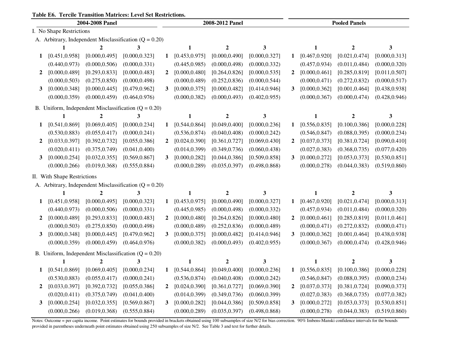# **Table E6. Tercile Transition Matrices: Level Set Restrictions.**

| 2004-2008 Panel |                             |                |                                                            |                | 2008-2012 Panel |                  |                |              | <b>Pooled Panels</b> |                  |                |  |
|-----------------|-----------------------------|----------------|------------------------------------------------------------|----------------|-----------------|------------------|----------------|--------------|----------------------|------------------|----------------|--|
|                 | I. No Shape Restrictions    |                |                                                            |                |                 |                  |                |              |                      |                  |                |  |
|                 |                             |                | A. Arbitrary, Independent Misclassification ( $Q = 0.20$ ) |                |                 |                  |                |              |                      |                  |                |  |
|                 | 1                           | $\mathbf{2}$   | 3                                                          |                | 1               | $\boldsymbol{2}$ | 3              |              | 1                    | 2                | 3              |  |
| 1               | [0.451, 0.958]              | [0.000, 0.495] | [0.000, 0.323]                                             | 1              | [0.453, 0.975]  | [0.000, 0.490]   | [0.000, 0.327] | 1            | [0.467, 0.920]       | [0.021, 0.474]   | [0.000, 0.313] |  |
|                 | (0.440, 0.973)              | (0.000, 0.506) | (0.000, 0.331)                                             |                | (0.445, 0.985)  | (0.000, 0.498)   | (0.000, 0.332) |              | (0.457, 0.934)       | (0.011, 0.484)   | (0.000, 0.320) |  |
| $\mathbf{2}$    | [0.000, 0.489]              | [0.293, 0.833] | [0.000, 0.483]                                             | $\mathbf{2}$   | [0.000, 0.480]  | [0.264, 0.826]   | [0.000, 0.535] | 2            | [0.000, 0.461]       | [0.285, 0.819]   | [0.011, 0.507] |  |
|                 | (0.000, 0.503)              | (0.275, 0.850) | (0.000, 0.498)                                             |                | (0.000, 0.489)  | (0.252, 0.836)   | (0.000, 0.544) |              | (0.000, 0.471)       | (0.272, 0.832)   | (0.000, 0.517) |  |
| $\mathbf{3}$    | [0.000, 0.348]              | [0.000, 0.445] | [0.479, 0.962]                                             | $\mathbf{3}$   | [0.000, 0.375]  | [0.000, 0.482]   | [0.414, 0.946] | 3            | [0.000, 0.362]       | [0.001, 0.464]   | [0.438, 0.938] |  |
|                 | (0.000, 0.359)              | (0.000, 0.459) | (0.464, 0.976)                                             |                | (0.000, 0.382)  | (0.000, 0.493)   | (0.402, 0.955) |              | (0.000, 0.367)       | (0.000, 0.474)   | (0.428, 0.946) |  |
|                 |                             |                | B. Uniform, Independent Misclassification $(Q = 0.20)$     |                |                 |                  |                |              |                      |                  |                |  |
|                 | $\mathbf{1}$                | $\overline{2}$ | 3                                                          |                | $\mathbf{1}$    | $\mathbf{2}$     | $\mathbf{3}$   |              | $\mathbf{1}$         | $\overline{2}$   | 3              |  |
| 1               | [0.541, 0.869]              | [0.069, 0.405] | [0.000, 0.234]                                             | 1              | [0.544, 0.864]  | [0.049, 0.400]   | [0.000, 0.236] | 1            | [0.556, 0.835]       | [0.100, 0.386]   | [0.000, 0.228] |  |
|                 | (0.530, 0.883)              | (0.055, 0.417) | (0.000, 0.241)                                             |                | (0.536, 0.874)  | (0.040, 0.408)   | (0.000, 0.242) |              | (0.546, 0.847)       | (0.088, 0.395)   | (0.000, 0.234) |  |
| $\mathbf{2}$    | [0.033, 0.397]              | [0.392, 0.732] | [0.055, 0.386]                                             | $\mathbf{2}$   | [0.024, 0.390]  | [0.361, 0.727]   | [0.069, 0.430] | $\mathbf{2}$ | [0.037, 0.373]       | [0.381, 0.724]   | [0.090, 0.410] |  |
|                 | (0.020, 0.411)              | (0.375, 0.749) | (0.041, 0.400)                                             |                | (0.014, 0.399)  | (0.349, 0.736)   | (0.060, 0.438) |              | (0.027, 0.383)       | (0.368, 0.735)   | (0.077, 0.420) |  |
| 3               | [0.000, 0.254]              | [0.032, 0.355] | [0.569, 0.867]                                             | $\mathbf{3}$   | [0.000, 0.282]  | [0.044, 0.386]   | [0.509, 0.858] | 3            | [0.000, 0.272]       | [0.053, 0.373]   | [0.530, 0.851] |  |
|                 | (0.000, 0.266)              | (0.019, 0.368) | (0.555, 0.884)                                             |                | (0.000, 0.289)  | (0.035, 0.397)   | (0.498, 0.868) |              | (0.000, 0.278)       | (0.044, 0.383)   | (0.519, 0.860) |  |
|                 | II. With Shape Restrictions |                |                                                            |                |                 |                  |                |              |                      |                  |                |  |
|                 |                             |                | A. Arbitrary, Independent Misclassification ( $Q = 0.20$ ) |                |                 |                  |                |              |                      |                  |                |  |
|                 |                             | $\overline{2}$ | 3                                                          |                | 1               | $\boldsymbol{2}$ | 3              |              | 1                    | $\boldsymbol{2}$ | 3              |  |
| 1               | [0.451, 0.958]              | [0.000, 0.495] | [0.000, 0.323]                                             | 1              | [0.453, 0.975]  | [0.000, 0.490]   | [0.000, 0.327] | 1            | [0.467, 0.920]       | [0.021, 0.474]   | [0.000, 0.313] |  |
|                 | (0.440, 0.973)              | (0.000, 0.506) | (0.000, 0.331)                                             |                | (0.445, 0.985)  | (0.000, 0.498)   | (0.000, 0.332) |              | (0.457, 0.934)       | (0.011, 0.484)   | (0.000, 0.320) |  |
| $\mathbf{2}$    | [0.000, 0.489]              | [0.293, 0.833] | [0.000, 0.483]                                             | $\overline{2}$ | [0.000, 0.480]  | [0.264, 0.826]   | [0.000, 0.480] | $\mathbf{2}$ | [0.000, 0.461]       | [0.285, 0.819]   | [0.011, 0.461] |  |
|                 | (0.000, 0.503)              | (0.275, 0.850) | (0.000, 0.498)                                             |                | (0.000, 0.489)  | (0.252, 0.836)   | (0.000, 0.489) |              | (0.000, 0.471)       | (0.272, 0.832)   | (0.000, 0.471) |  |
| $\mathbf{3}$    | [0.000, 0.348]              | [0.000, 0.445] | [0.479, 0.962]                                             | $\mathbf{3}$   | [0.000, 0.375]  | [0.000, 0.482]   | [0.414, 0.946] | 3            | [0.000, 0.362]       | [0.001, 0.464]   | [0.438, 0.938] |  |
|                 | (0.000, 0.359)              | (0.000, 0.459) | (0.464, 0.976)                                             |                | (0.000, 0.382)  | (0.000, 0.493)   | (0.402, 0.955) |              | (0.000, 0.367)       | (0.000, 0.474)   | (0.428, 0.946) |  |
|                 |                             |                | B. Uniform, Independent Misclassification $(Q = 0.20)$     |                |                 |                  |                |              |                      |                  |                |  |
|                 | 1                           | 2              | 3                                                          |                | 1               | $\overline{2}$   | 3              |              | 1                    | $\mathbf{2}$     | 3              |  |
| 1               | [0.541, 0.869]              | [0.069, 0.405] | [0.000, 0.234]                                             | 1              | [0.544, 0.864]  | [0.049, 0.400]   | [0.000, 0.236] | 1            | [0.556, 0.835]       | [0.100, 0.386]   | [0.000, 0.228] |  |
|                 | (0.530, 0.883)              | (0.055, 0.417) | (0.000, 0.241)                                             |                | (0.536, 0.874)  | (0.040, 0.408)   | (0.000, 0.242) |              | (0.546, 0.847)       | (0.088, 0.395)   | (0.000, 0.234) |  |
| $\mathbf{2}$    | [0.033, 0.397]              | [0.392, 0.732] | [0.055, 0.386]                                             | $\mathbf{2}$   | [0.024, 0.390]  | [0.361, 0.727]   | [0.069, 0.390] | 2            | [0.037, 0.373]       | [0.381, 0.724]   | [0.090, 0.373] |  |
|                 | (0.020, 0.411)              | (0.375, 0.749) | (0.041, 0.400)                                             |                | (0.014, 0.399)  | (0.349, 0.736)   | (0.060, 0.399) |              | (0.027, 0.383)       | (0.368, 0.735)   | (0.077, 0.382) |  |
| 3               | [0.000, 0.254]              | [0.032, 0.355] | [0.569, 0.867]                                             | 3              | [0.000, 0.282]  | [0.044, 0.386]   | [0.509, 0.858] | 3            | [0.000, 0.272]       | [0.053, 0.373]   | [0.530, 0.851] |  |
|                 | (0.000, 0.266)              | (0.019, 0.368) | (0.555, 0.884)                                             |                | (0.000, 0.289)  | (0.035, 0.397)   | (0.498, 0.868) |              | (0.000, 0.278)       | (0.044, 0.383)   | (0.519, 0.860) |  |

Notes: Outcome = per capita income. Point estimates for bounds provided in brackets obtained using 100 subsamples of size N/2 for bias correction. 90% Imbens-Manski confidence intervals for the bounds provided in parentheses underneath point estimates obtained using 250 subsamples of size N/2. See Table 3 and text for further details.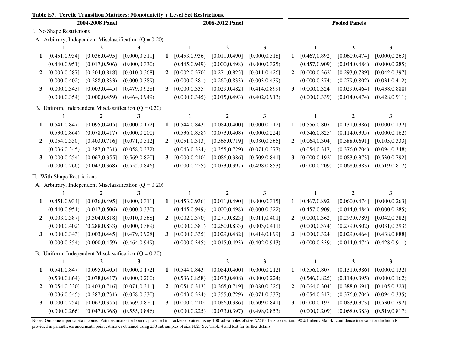|  |  |  |  |  |  | Table E7. Tercile Transition Matrices: Monotonicity + Level Set Restrictions. |
|--|--|--|--|--|--|-------------------------------------------------------------------------------|
|--|--|--|--|--|--|-------------------------------------------------------------------------------|

| 2004-2008 Panel |                                                        |                  |                                                            |              | 2008-2012 Panel |                  |                |              | <b>Pooled Panels</b> |                  |                |  |
|-----------------|--------------------------------------------------------|------------------|------------------------------------------------------------|--------------|-----------------|------------------|----------------|--------------|----------------------|------------------|----------------|--|
|                 | I. No Shape Restrictions                               |                  |                                                            |              |                 |                  |                |              |                      |                  |                |  |
|                 |                                                        |                  | A. Arbitrary, Independent Misclassification $(Q = 0.20)$   |              |                 |                  |                |              |                      |                  |                |  |
|                 | $\mathbf{1}$                                           | 2                | 3                                                          |              | 1               | $\boldsymbol{2}$ | 3              |              | 1                    | 2                | 3              |  |
| $\mathbf 1$     | [0.451, 0.934]                                         | [0.036, 0.495]   | [0.000, 0.311]                                             | $\mathbf 1$  | [0.453, 0.936]  | [0.011, 0.490]   | [0.000, 0.318] | 1            | [0.467, 0.892]       | [0.060, 0.474]   | [0.000, 0.263] |  |
|                 | (0.440, 0.951)                                         | (0.017, 0.506)   | (0.000, 0.330)                                             |              | (0.445, 0.949)  | (0.000, 0.498)   | (0.000, 0.325) |              | (0.457, 0.909)       | (0.044, 0.484)   | (0.000, 0.285) |  |
| $\mathbf{2}$    | [0.003, 0.387]                                         | [0.304, 0.818]   | [0.010, 0.368]                                             | $\mathbf{2}$ | [0.002, 0.370]  | [0.271, 0.823]   | [0.011, 0.426] | 2            | [0.000, 0.362]       | [0.293, 0.789]   | [0.042, 0.397] |  |
|                 | (0.000, 0.402)                                         | (0.288, 0.833)   | (0.000, 0.389)                                             |              | (0.000, 0.381)  | (0.260, 0.833)   | (0.003, 0.439) |              | (0.000, 0.374)       | (0.279, 0.802)   | (0.031, 0.412) |  |
| 3               | [0.000, 0.343]                                         | [0.003, 0.445]   | [0.479, 0.928]                                             | 3            | [0.000, 0.335]  | [0.029, 0.482]   | [0.414, 0.899] | 3            | [0.000, 0.324]       | [0.029, 0.464]   | [0.438, 0.888] |  |
|                 | (0.000, 0.354)                                         | (0.000, 0.459)   | (0.464, 0.949)                                             |              | (0.000, 0.345)  | (0.015, 0.493)   | (0.402, 0.913) |              | (0.000, 0.339)       | (0.014, 0.474)   | (0.428, 0.911) |  |
|                 |                                                        |                  | B. Uniform, Independent Misclassification $(Q = 0.20)$     |              |                 |                  |                |              |                      |                  |                |  |
|                 | $\mathbf{1}$                                           | $\overline{2}$   | 3                                                          |              | $\mathbf{1}$    | $\boldsymbol{2}$ | $\mathbf{3}$   |              | $\mathbf{1}$         | $\boldsymbol{2}$ | 3              |  |
| 1               | [0.541, 0.847]                                         | [0.095, 0.405]   | [0.000, 0.172]                                             | 1            | [0.544, 0.843]  | [0.084, 0.400]   | [0.000, 0.212] | 1            | [0.556, 0.807]       | [0.131, 0.386]   | [0.000, 0.132] |  |
|                 | (0.530, 0.864)                                         | (0.078, 0.417)   | (0.000, 0.200)                                             |              | (0.536, 0.858)  | (0.073, 0.408)   | (0.000, 0.224) |              | (0.546, 0.825)       | (0.114, 0.395)   | (0.000, 0.162) |  |
| $\mathbf{2}$    | [0.054, 0.330]                                         | [0.403, 0.716]   | [0.071, 0.312]                                             | $\mathbf{2}$ | [0.051, 0.313]  | [0.365, 0.719]   | [0.080, 0.365] | 2            | [0.064, 0.304]       | [0.388, 0.691]   | [0.105, 0.333] |  |
|                 | (0.036, 0.345)                                         | (0.387, 0.731)   | (0.058, 0.332)                                             |              | (0.043, 0.324)  | (0.355, 0.729)   | (0.071, 0.377) |              | (0.054, 0.317)       | (0.376, 0.704)   | (0.094, 0.348) |  |
| 3               | [0.000, 0.254]                                         | [0.067, 0.355]   | [0.569, 0.820]                                             | 3            | [0.000, 0.210]  | [0.086, 0.386]   | [0.509, 0.841] | 3            | [0.000, 0.192]       | [0.083, 0.373]   | [0.530, 0.792] |  |
|                 | (0.000, 0.266)                                         | (0.047, 0.368)   | (0.555, 0.846)                                             |              | (0.000, 0.225)  | (0.073, 0.397)   | (0.498, 0.853) |              | (0.000, 0.209)       | (0.068, 0.383)   | (0.519, 0.817) |  |
|                 | II. With Shape Restrictions                            |                  |                                                            |              |                 |                  |                |              |                      |                  |                |  |
|                 |                                                        |                  | A. Arbitrary, Independent Misclassification ( $Q = 0.20$ ) |              |                 |                  |                |              |                      |                  |                |  |
|                 |                                                        | $\mathbf{2}$     | 3                                                          |              | 1               | $\boldsymbol{2}$ | 3              |              | 1                    | $\mathbf{2}$     | 3              |  |
| 1               | [0.451, 0.934]                                         | [0.036, 0.495]   | [0.000, 0.311]                                             | $\mathbf 1$  | [0.453, 0.936]  | [0.011, 0.490]   | [0.000, 0.315] | 1            | [0.467, 0.892]       | [0.060, 0.474]   | [0.000, 0.263] |  |
|                 | (0.440, 0.951)                                         | (0.017, 0.506)   | (0.000, 0.330)                                             |              | (0.445, 0.949)  | (0.000, 0.498)   | (0.000, 0.322) |              | (0.457, 0.909)       | (0.044, 0.484)   | (0.000, 0.285) |  |
| $\mathbf{2}$    | [0.003, 0.387]                                         | [0.304, 0.818]   | [0.010, 0.368]                                             | $\mathbf{2}$ | [0.002, 0.370]  | [0.271, 0.823]   | [0.011, 0.401] | $\mathbf{2}$ | [0.000, 0.362]       | [0.293, 0.789]   | [0.042, 0.382] |  |
|                 | (0.000, 0.402)                                         | (0.288, 0.833)   | (0.000, 0.389)                                             |              | (0.000, 0.381)  | (0.260, 0.833)   | (0.003, 0.411) |              | (0.000, 0.374)       | (0.279, 0.802)   | (0.031, 0.393) |  |
| 3               | [0.000, 0.343]                                         | [0.003, 0.445]   | [0.479, 0.928]                                             | $\mathbf{3}$ | [0.000, 0.335]  | [0.029, 0.482]   | [0.414, 0.899] | 3            | [0.000, 0.324]       | [0.029, 0.464]   | [0.438, 0.888] |  |
|                 | (0.000, 0.354)                                         | (0.000, 0.459)   | (0.464, 0.949)                                             |              | (0.000, 0.345)  | (0.015, 0.493)   | (0.402, 0.913) |              | (0.000, 0.339)       | (0.014, 0.474)   | (0.428, 0.911) |  |
|                 | B. Uniform, Independent Misclassification $(Q = 0.20)$ |                  |                                                            |              |                 |                  |                |              |                      |                  |                |  |
|                 | 1                                                      | $\boldsymbol{2}$ | 3                                                          |              | 1               | $\overline{2}$   | 3              |              | 1                    | 2                | 3              |  |
| 1               | [0.541, 0.847]                                         | [0.095, 0.405]   | [0.000, 0.172]                                             | $\mathbf 1$  | [0.544, 0.843]  | [0.084, 0.400]   | [0.000, 0.212] | 1            | [0.556, 0.807]       | [0.131, 0.386]   | [0.000, 0.132] |  |
|                 | (0.530, 0.864)                                         | (0.078, 0.417)   | (0.000, 0.200)                                             |              | (0.536, 0.858)  | (0.073, 0.408)   | (0.000, 0.224) |              | (0.546, 0.825)       | (0.114, 0.395)   | (0.000, 0.162) |  |
| $\mathbf{2}$    | [0.054, 0.330]                                         | [0.403, 0.716]   | [0.071, 0.311]                                             | $\mathbf{2}$ | [0.051, 0.313]  | [0.365, 0.719]   | [0.080, 0.326] | 2            | [0.064, 0.304]       | [0.388, 0.691]   | [0.105, 0.323] |  |
|                 | (0.036, 0.345)                                         | (0.387, 0.731)   | (0.058, 0.330)                                             |              | (0.043, 0.324)  | (0.355, 0.729)   | (0.071, 0.337) |              | (0.054, 0.317)       | (0.376, 0.704)   | (0.094, 0.335) |  |
| 3               | [0.000, 0.254]                                         | [0.067, 0.355]   | [0.569, 0.820]                                             | 3            | [0.000, 0.210]  | [0.086, 0.386]   | [0.509, 0.841] | 3            | [0.000, 0.192]       | [0.083, 0.373]   | [0.530, 0.792] |  |
|                 | (0.000, 0.266)                                         | (0.047, 0.368)   | (0.555, 0.846)                                             |              | (0.000, 0.225)  | (0.073, 0.397)   | (0.498, 0.853) |              | (0.000, 0.209)       | (0.068, 0.383)   | (0.519, 0.817) |  |

Notes: Outcome = per capita income. Point estimates for bounds provided in brackets obtained using 100 subsamples of size N/2 for bias correction. 90% Imbens-Manski confidence intervals for the bounds provided in parentheses underneath point estimates obtained using 250 subsamples of size N/2. See Table 4 and text for further details.